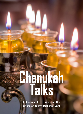# **Chanukah Talks**

**Collection of Droshas from the Author of Bilvavi Mishkan Evneh**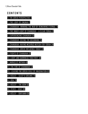# **C O N T E N T S**

[1 | THE GREEK PERSPECTIVE](#page-2-0) 2

[2 | THE LIGHT OF EMUNAH](#page-7-0) 7

3 | CHANUKAH- [WINNING THE WAR BY REMAINING ETERNAL 9](#page-9-0)

[4 | THE INNER LIGHT OF CHANUKAH –](#page-17-0) A CLEAR TORAH 17

[5 | EXPERIENCING CHANUKAH](#page-20-0) 20

[6 | CHANUKAH: SEEING THE BEGINNING](#page-24-0) 24

[7 | CHANUKAH: HAVING MESIRUS NEFESH FOR TORAH](#page-28-0) 28

[8 | CHANUKAH: GREEK INFLUENCE TODAY](#page-32-0) 32

[9 | FIGHTS OF CHANUKAH](#page-37-0) 37

[10 | LIGHT AND DARKNESS TOGETHER 40](#page-40-0)

[11 | MIRACLES WITHIN](#page-49-0) 49

[12 | THE FIRE OF CHANUKAH](#page-57-0) 57

[13 | LEAVING THE GREEK EXILE OF IMAGINATION](#page-63-0) 63

14 | KISLEV – [SLEEP & DREAMS](#page-70-0) 70

[14 | Q&A](#page-78-0) 78

[15 | KISLEV –](#page-83-0) THE BOW 83

[16 | TEVES –](#page-89-0) GOAT 89

[17 | KISLEV –](#page-96-0) BINYAMIN 96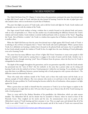# [1](#page-2-1) | THE GREEK PERSPECTIVE<sup>1</sup>

<span id="page-2-0"></span>The *Nefesh HaChaim* (Gate IV: Chapter 1) writes that as the generations continued, the *yetzer hora* devised ways to fight *Klal Yisrael*'s study of Torah, and thus the idea formed of learning Torah for the sake of *pilpul* (give-andtake analysis) alone, with no involvement of *yirah* (fear of Hashem).

The *yetzer hora* fights our power of Torah study, and so did the Greek exile fight the Torah. Greek wisdom and philosophy was at war with the wisdom of the Torah.

Our Sages viewed Greek wisdom as being a wisdom that is entirely focused on the physical body and nature, with no trace of spirituality to it. There was also another way of understanding the difference between the Torah's wisdom and Greek wisdom. Greek wisdom is entirely intellectual-based, with no mention of the "heart". Regarding the Torah, *"fear of Hashem is wisdom"*, the Torah is a wisdom that requires fear of Hashem, whereas Greek wisdom is intellect alone.

When the *Nefesh HaChaim* says that the *yetzer hora* devised ways to fight against *Klal Yisrael*'s study of Torah, it is referring to the evil force of impurity that is "*Yavan"* (the Greek exile and its philosophy). When a person learns Torah, he is definitely not learning a wisdom that is focused on the physical body and nature, but it's possible that he has Greek attitude towards the wisdom of Torah! In fact, he might have the exact thinking of Greek philosophy even as he's learning Torah.

The yetzer hora has many different ways of how it fights *Klal Yisrael*. Sometimes it causes some people in *Klal Yisrael* to abandon Torah study by causing them to engage in the study of nature and the body. Another way it fights *Klal Yisrael* is through removing "*yirah*" (fear of Hashem) from the picture, where the fiery love for Torah is extinguished in their hearts.

The depth of this struggle throughout the generations, and in our generation especially, is that the Greek attitude has penetrated into the "tents of *Shem*" (the *beis midrash*), in the sense that a person today can be sitting and learning Torah in the *beis midrash* yet he has a 'Greek perspective' within his very learning. To an onlooker, it would seem that there is no difference between a person learning with a Greek perspective with a person who doesn't. The difference cannot be discerned by the eye.

Those who study other wisdoms outside of the Torah, such as those who study nature and the body, are an obvious example of Greek influence. But even someone who merits to sit and learn in the *beis midrash* might be affected by the same problem: his Torah learning has become exiled by the evil inclination, whose purpose is to fight against the Torah.

When a person does not clarify to himself what his connection to Torah is [as we have begun to explain in the previous chapters], he might find out after 120 years when he goes up to Heaven that all of his Torah learning was with a Greek perspective.

There is a story told by Rav Shalom Shwadron of his grandfather, the *Maharsham*, which can make anyone shudder. The *Maharsham* fell ill, and he dreamt that he ascended to Heaven, where he stood in front of the Heavenly Court. They weighed out his merits and his sins. An announcement went out in praise of the *Maharsham*'s merits of Torah learning and how awesome it was. Then an angel came and declared that all of his Torah is not called "Torah"; it came and blew into his mouth, and all of the words of Torah were removed from

<span id="page-2-1"></span>*<sup>1</sup>* <http://www.bilvavi.net/english/nefesh-hachaim-gate-4-004-greek-perspective>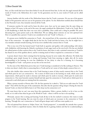him, as if the words had never been there before! It was all removed from him. In the end, the angel returned all the words of Torah to the *Maharsham*, for it said, "In the generation you live in, your words of Torah can be called 'Torah'."

Anyone familiar with the works of the *Maharsham* knows that his Torah is awesome. He was one of the greatest leaders of his generation and you can see his greatness in his *sefarim*. Yet the *Maharsham* testified about himself that in the Heavenly Court, they instantly removed all his Torah.

If someone searches for truth and he hears the above story, how can he not suspect that the same thing can happen to him? Of course, in the end of the story, the angel considered the *Maharsham*'s Torah to be Torah. But it is still shuddering to think that there was even such a possibility. How could such a thing be possible? We aren't discussing here a great person such as the *Maharsham.* We are talking about someone on our own spiritual level. How is it possible that a person's Torah is not considered to be real "Torah" in Heaven…?

If a person never clarified his connection to Torah – the external layer of the connection, and certainly the inner layer of the connection – he might think that he has love for Torah and that he learns a lot, but he might have a very mistaken attitude towards learning, for he has never clarified what connects him to Torah.

This is true even if he has learned much Torah both in quantity and quality; with understanding; with clarity; with *chiddushim*; with knowing the *Halachic* conclusions of each *sugya* (each on his own level); if he has not clarified the refined points of what connects him to the Torah he learns, then there is only a minimal connection to Torah he has (based on one of the qualities above), and he is missing much of what is required in a connection to Torah.

A person doesn't know what's missing from his learning, because he never makes this reflection. He thinks that everything's great simply because he is sitting and learning Torah from morning to night; after all, he merits understanding in his learning, he even has *chiddushim*, he has clarity in what he is learning, he is becoming knowledgeable in Torah – each person can say this on his own level.

Yet the story of the *Maharsham* proves that one's Torah learning is considered to be like nothing in Heaven. This is when one doesn't clarify what is connecting him to Torah and he isn't aware of what deeply connects him to it.

One who clarifies what connects him to his Torah learning is aware of what exactly connects him to the Torah and which parts he isn't yet connected to. He is aware of which areas in his learning are weak, which areas need improvement, which parts he needs to decrease and which parts he needs to increase, which parts he needs more connection to. One must honestly examine himself and take apart his connection to Torah and see which parts he is connected to and which parts are missing from his connection.

When a person ascends to Heaven after 120, the first question he is asked is, "Did you set aside times for Torah study?" That will be the first part of the examination. But after this the question will go deeper: During the times he learned Torah, on what level did he learn it on? How deep was his connection to it?

We must know that we can't run away from this examination. Either a person clarifies it as he is here on this world, or it is told to him when he gets to the World of Truth – where it will be too late to do anything.

Obviously, anyone who is sitting and learning Torah all day in the *beis midrash* is someone who wants to make progress in his Torah learning. But one must be aware of which parts are necessary in the connection to Torah learning. Through this, one's connection to Torah will grow deeper and it will have more quality to it.

The evil spiritual force known as '*kelipas Yavan',* the "Greek perspective", is essentially the attitude that a person can learn Torah in a superficial manner, where he thinks that he is gaining wisdom and that he is understanding it,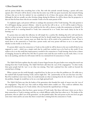and the person thinks that everything here is fine. But with this attitude towards learning, a person will come upstairs after 120 and it will be shown to him that his entire way of life was spent incorrectly; that instead of being of those who sat in the *beis midrash*, he was considered to be of those who pursue other places, *chas v'shalom*. Although he did not actually run after frivolous things during his lifetime, he will be shown that his perspective is that not that far from those who do not consider Torah to be the main pursuit of life.

To emphasize again, each person will have to undergo this assessment of his Torah learning. The only question is if it will happen during a person's lifetime - when he uses his free will to do so - or if it will be made in Heaven, where it will be too late. A person on this world has the free will to choose to make this examination on himself: To see how much he is exerting himself in Torah, how connected he is to Torah, how much clarity he has in his learning, etc.

If a person does not make this reflection, he will simply live a carefree life, thinking that all is well and that he just has to keep increasing his time for learning and that he should simply keep exerting himself more and more. Although this is also true, a person must not think that this is all he needs in his connection to Torah. There is much more to the connection to Torah that a person needs, and every person will have to see it at some point; whether on this world, or on the next.

If a person didn't assess his connection to Torah on this world, he will be shown in the next world all that he was supposed to reach – which was a simple truth that he could have reached even as he lived on this world. If one realizes as he is on this world that improvement is needed in his connection to Torah learning, then he has a chance of changing, because he still has free will. But if a person waits until the next world to see the truth, there, it is too late to do anything, and there he will remain with his very minimal level of connection to Torah.

#### ÷

The *Nefesh HaChaim* explains that the study of *mussar* began because the great leaders were seeing that much was missing from their Torah learning. The *Nefesh HaChaim* calls them the 'eyes of the congregation." In other words, these great people had the 'eyes' to see what was missing. They had a spiritual lens that could see beyond the external layer of things.

When a person sees the world through a superficial lens, he does not see what the problems are. He walks into a *beis midrash* full of people learning Torah, and he might feel, "Ah, "praiseworthy are the eyes that have seen this." But if he would have more inner vision, he would instantly see what is missing from the *beis midrash*. (To see and fix the problem, though, he would have to be on a very high spiritual level).

The *Nefesh HaChaim* says that the leaders of the generation who founded the study of *mussar* were the 'eyes of the congregation.' They had 'eyes' that could see things which others couldn't see. They could see subtleties; they possessed the discerning eye of a Torah scholar, who sees beyond the superficial layer of things.

In recent generations, there has been a great increase of Torah study. But those with inner vision can see that a deep connection to Torah is missing, and they see a whole different reality than how others see it. The leaders of the generation, who are called 'eyes of the generation', see this painful reality. But each person on his own level can gain some inner vision and he can sense that there is much that is missing from his connection to Torah.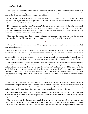The *Nefesh HaChaim* continues that those who noticed what was missing from Torah study wrote sefarim that explain *yirah* (fear of Hashem) to redirect the hearts of the nation, so that they could rededicate themselves to the study of Torah and to serving Hashem, with pure fear of Heaven.

A superficial reading of these words of the *Nefesh HaChaim* seems to imply that they realized that their Torah learning was causing them to be in lacking in *yirah* and in *avodas Hashem*, thus the leaders of the past wrote *sefarim* that explain *yirah*, in order to gain back their *yirah*.

However, that is not what he writes. The *Nefesh HaChaim* is saying [in conjunction with the earlier paragraphs] that because their Torah learning was lacking in *yirah*, because it was lacking with a "burning love for Torah" as he puts it, they felt that their very Torah learning was lacking. [Thus they weren't just missing *yirah*; they were missing Torah, because they were missing *yirah* in their Torah].

Thus, when they wrote *sefarim* about *yirah*, they didn't do this just so they could gain *yirah*; they did it so that their Torah learning could become improved in this way. For it is written, *"Fear of G-d is wisdom."*

 $\ddot{\cdot}$ 

They didn't want to just improve their fear of Heaven; they wanted to gain back a fiery love for Torah which had gone missing from them.

From a superficial perspective, it appears to be that *mussar sefarim* are here to explain to us merely how to better our actions, how to improve our *middos*, how to improve ourselves, etc. This is all true, but there is a much deeper purpose of the *mussar sefarim*. It is because "*Fear of G-d is wisdom*." When a person learns *mussar* in the true way, not superficially but with in-depth analysis, he reveals a deeper connection to Hashem and to Torah. He gains a clearer perspective on life, thus the way he relates to Hashem and to his Torah learning becomes totally different.

This is apparent from the words of the *Nefesh HaChaim*, that the reason why the leaders wrote *mussar sefarim* was "to straighten out… and fix the breaches" that had been made. They were trying to help us become more precise and exact in our way of living. They were trying to fix the 'breaches', reminiscent of the '13 breaches' which the Greeks had made in the *Beis HaMikdash*, which symbolizes the negative Greek influences on our Torah learning. Thus the purpose of the study of *mussar* was essentially so that we would clarify our connection to our Torah learning and form a deep connection to Torah; to get it back to the way it used to be before all the breaches came along.

#### $\frac{1}{2}$

The *Nefesh HaChaim* writes that any sensible person understands that those who founded the study of *mussar* never intended for people to abandon Torah study and to learn *mussar* all day. Their entire intention was so that people would improve their Torah learning and learn Torah all day; to learn the Written Torah, the Oral Torah, and the many *halachos* of the Torah. They just wanted people to add learn it with fear of Heaven.

How indeed did people then come to make such a mistake? It was because people thought that the study of *mussar*\*yirah* was solely for the sake of knowing what *yirah* is and what *avodas* Hashem is. That is how they came to neglect Torah study and to instead involve themselves with only *mussar.*

The true perspective is that the mussar sefarim, which explain how to have *yirah*, are really coming to explain our connection to Hashem, and precisely through the study of His Torah. The study of *yirah* was not meant to imply that people should stop learning Torah in favor of learning about *yirah*; for the whole purpose of *yirah* was to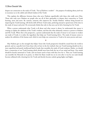deepen our connection to the study of Torah. *"Fear of Hashem is wisdom*" – the purpose of studying about *yirah* was to reconnect us to the subtle and refined wisdom of the Torah.

This explains the difference between those who serve Hashem superficially with those who really serve Him. Those who truly serve Hashem are people who use all of their spirituality to deepen their connection to Torah learning, more and more. By contrast, someone who improves his 'Avodas Hashem' without being focused on improving his Torah learning, will slowly drift off from Torah study, preferring instead to spend most of his time in the study of *mussar* and *yirah*. He erroneously thinks that only in that area can he feel a burning love for Torah.

When a person understands what Torah is all about and what *mussar* is about, he understands that *mussar* is coming to explain the subtleties of the Torah's wisdom, and that this what ultimately connects a person to Hashem and His Torah. When this is the perspective, a person understands that the study of *mussar* is not meant to weaken our study of Torah; it is rather the ingredient that helps our Torah learning thrive. The study of mussar comes to analyze the subtleties of the human soul, which in turn helps our connection to Torah to be more precise and exact.

#### ÷

May Hashem give us the strength that *kelipas Yavan* (the Greek perspective) should be erased from the world in general, and on a specific level, from those who sit here in the *beis midrash;* that our Torah learning should not be a mere superficial and purely intellectual kind of study that resembles the study of Greek wisdoms. Rather, we should have a connection to our Torah learning which should stem from both the use of our mind and heart. Our minds should be heavily immersed in Torah, and our hearts need to burn with fiery love for it. Then our Torah learning can resemble the Menorah in its purity, in which the flame would rise on its own after it was lit; our souls should become enflamed with a burning love for Torah and thereby become exalted, going higher and higher.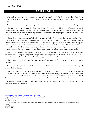# $2$  | THE LIGHT OF EMUNAH $^2$

<span id="page-7-0"></span>Chanukah was essentially a war between the *chochmah*\wisdom of the holy Torah (which is called "*Torah Ohr*", the Torah of light) vs. the wisdom of the Greeks. However, it was a different kind of war than the other wars fought.

It wasn't just about defeating and getting rid of our enemies. It was about taking their evil and sanctifying it.

The Greek nation (*Yavan*) descended from *Yefes*, the son of *Noach*. *Yefes* was blessed by his father that he would receive beauty; our Sages said that "the beauty of *Yefes* should join the tents of *Shem*",[3](#page-7-2) and the Sages also said that "Believe that there is wisdom found among the nations", $4$  and this is referring in particular to the wisdom of the Greeks, for they are the root of all secular wisdoms.

The depth of the above statement of Chazal is that when we "believe" that the Greeks do contain wisdom, this is how we sanctify the Greek essence; in other words, we are supposed to believe that the secular nations contain wisdom, but we must not go learn their wisdom. The fact that the Sages said that "Wisdom is found among the nations" does not mean, *chas v'shalom,* that we can are permitted to study their wisdom. We can *believe* that they have wisdom, but that does not permit us to go and study their wisdoms. Thus, the Sages were careful to say only that we can *believe* that there is wisdom among the nations; they did not tell us to *learn* of their secular wisdom.[5](#page-7-4)

The spiritual light of *chochmah*\wisdom has fallen [into the Side of Evil], and that is why the secular nations possess wisdom. The way we rectify this fallen light is through using our power of *emunah* - in this case, to "believe" – to *believe* that they have wisdom, precisely *without* engaging in the study of their wisdom.

This is how we bring light into the "Greek darkness" [and thus rectify it]. The Greeks are referred to as "darkness".

It is written, *"Your faith at nights."[6](#page-7-5)* Darkness is precisely the time in which we are meant to bring in the light of *Emunah*\faith in Hashem.

This is the inner reason behind why the Menorah is lit only after it is dark. The light of the Menorah is a different kind of light – it does not resemble sunlight; rather, it represents the light of Hashem which is present with us even as we are in darkness. As it is written, *"As I sit in darkness, Hashem is a light unto me."[7](#page-7-6)* The "light of Hashem" is when we he have *emunah*\faith in Him; this is also known as the "light of *emunah*."

It was the spiritual light of the holy Torah that defeated the Greeks, and that light was essentially being empowered by the light of *emunah.*

 $\overline{a}$ 

<span id="page-7-5"></span>*6 Tehillim 92:3*

<span id="page-7-1"></span>*<sup>2</sup>* <http://www.bilvavi.net/english/chanukah-000-light-emunah>

*Adapted From Introduction to Sefer Bilvavi Mishkan Evneh on Chanukah*

<span id="page-7-2"></span>*<sup>3</sup> Megillah 9b*

<span id="page-7-3"></span>*<sup>4</sup> Eichah Rabbah 2:13*

<span id="page-7-4"></span>*<sup>5</sup> See Tefillah #042- What It Means To Have Good Middos and Tefillah #094-Seeking Advice ; see also the derasha "Avoiding The Secular Influence".*

<span id="page-7-6"></span>*<sup>7</sup> Michah 7:8*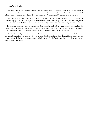The eight lights of the Menorah symbolize the level above seven. *Chochmah*\Wisdom is in the dimension of seven, while emunah is the dimension that is higher than *Chochmah*\wisdom, for *emunah* is really the source that all wisdom is drawn from; as it is written, "Wisdom is found in *ayin* (nothingness)" [and *ayin* refers to *emunah*].

The *halachah* is that the Menorah is lit outside and not inside, because the Menorah is an "*Ohr Makif"* (a "surrounding spiritual light"), as opposed to being an *Ohr Penimi* ("internal spiritual light"), because the lights of the Menorah represent the light of *emunah,* and *emunah* is not just a light that radiates inwardly; it shines outward.

For this reason, there are some opinions in our Sages that Chanukah will not cease in the future, based on the concept that "The purpose of knowledge is to know that we do not know" – in other words, *emunah* is the purpose of all *Chochmah*\wisdom. This is also known as the light of the redemption: the light of *emunah*.

The other festivals, by contrast, are all within the dimension of *Chochmah*\wisdom, therefore they will all cease in the future [because in the future there will be no need for *Chochmah*]; whereas Chanukah and Purim are the festivals that are within the higher dimension, *emunah* – which is above all *Chochmah* – and that is why these two festivals will not cease in the future.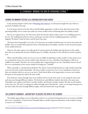$\overline{a}$ 

# 3 | CHANUKAH- WINNING THE WAR BY REMAINING ETERNAL [8](#page-9-1)

# <span id="page-9-0"></span>VIEWING THE IMMINENT FESTIVAL AS A CONTINUATION OF OUR AVODAH

In the previous chapters (of the series of [Reaching Your Essence\)](http://www.bilvavi.net/sugya/daes.hava), we discussed at length the ways of how to reveal the *Yechidah* in the soul.

It is the nature of most of us that when a Jewish holiday approaches, we like to learn about the nature of the upcoming holiday, but we tend to put aside our current *avodah* in favor of learning about the holiday at hand.

But we can compare this to one who owns a horse for 20 years and he wishes to give it as a wedding present to his son. The wedding day of his son arrives, and he gets very busy with the wedding preparations, and what happens? He doesn't watch his horse, and the horse runs away.

The lesson from this parable is very clear. If we leave put our *avodah* on hold because we need to learn about the holiday, then our *avodah* will be ignored in favor of learning about the holiday, and then we lose the previous gains of our *avodah* until now.

However, the other option is not either good: if a person ignores the holiday and only focuses on his *avodah*, then this too is detrimental, because if Hashem gives us a holiday, obviously it is His will that we involve ourselves in it.

When a Jewish holiday comes our way as we are in middle of explaining a certain *avodah,* we thus need to see it as a continuation of our own current *avodah,* rather than just see it as a coincidence that happens to fall out in middle of our *avodah*. Therefore, the current holiday that is approaching [in our case, Chanukah] must be viewed by us as a continuation of our current *avodah* of revealing our "*Yechidah"*.

What, essentially, is a Jewish festival all about? The *Yomim Tovim* (Jewish festivals) are really windows that help us see into the inner world of spirituality. The inner world is covered over, but it is not completely covered over; there are windows which we can use to see into it. Each festival offers us the opportunity to access a new window that gives us new perspectives about the inner world.

If we look into a house through many of its windows and we see the same room, we are seeing the same room each time, just through different windows. The festivals are each different windows that look at the same room. Chanukah is one window, and Purim is another window, and Pesach is another window. But they are all windows to the same view. We aren't revealing new realities through each of the festivals – rather, we can keep learning to see the same reality that exists through different angles, with each festival that we go through.

# THE LESSON OF CHANUKAH – ANOTHER WAY TO ACCESS THE VIEW OF THE YECHIDAH

The holiday approaching us now is Chanukah, and if we are currently learning about how to reveal our *Yechidah,* this is not a coincidence. It must be that Chanukah adds on another important dimension to this avodah of trying to uncover our *Yechidah.* 

<span id="page-9-1"></span>*<sup>8</sup>* <http://www.bilvavi.net/english/reaching-your-essence-010-utilizing-power-peace> *Adapted from [010 Da Es Havaysecha](http://www.bilvavi.net/english/reaching-your-essence-010-utilizing-power-peace)*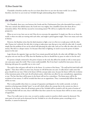Chanukah is therefore another way for us to learn about how we can view the inner world. Let us reflect, therefore, into how we can reveal our *Yechidah* through understanding about Chanukah.

# REAL VICTORY

On Chanukah, there was a war between the Greeks and the *Chashmonaim* (Jews who descended from royalty). This was a miracle that defied nature; the Greek were very mighty, but a handful of Jews slew them all in a miraculous defeat. How did they succeed in overcoming nature? We will try to explain this with an inner perspective.

When we are in war, how can we win? How do we overcome the opposition? A simple war, like we see from the world, is when two sides are warring with each other, and might is pitted against might. There were many such wars in history.

However, the Ramban writes that the ideal situation to fight a war is to first try to make peace with the other side. If peace isn't achieved, the side who is trying to make peace may then go to war with the other side. It sounds simply that the problem of war can be solved with placating the other side, such as if we offer the other side a lot of money. But there is a deeper reason. It is because when there is fighting, we need to access the power of *shalom* (peace) in the soul.

Logic dictates the opposite: logic says that if you remain peaceful and docile, the other side will fight you. How can peace win our wars for us?! Why does the Ramban say that we should first try peace in order to win the war?!

If a person is deeply connected to the power of peace in the soul, that affects his outside as well, so inner peace can cause peace upon the world. That is more understandable. But if one hasn't reached his inner peace, how can behaving with peace be a possible way to win a war?!

The truth is that real peace will only be in the future. It is written of the future, "*The wolf and the lamb shall walk together*." Then there will be no more wars, because we will all become one unit. It really doesn't make sense that peace should win our wars. Only in the future will this concept make sense, because the future will be the revelation of the innermost point of the soul, the all-inclusive point, which does not allow for any contradictions, oppositions, or war. The fact that there will be peace in the future will not be a coincidence. The future peace will be the revelation of our essence. It will be revealed that there are no oppositions. Thus, it automatically follows that there will be no wars.

War is only possible when there is a concept of separation and disparity in the world; currently, we look at ourselves as having many divided "parts" to our self, which reflects the concept that in the current era, there is disparity. In the future, when the all-inclusive point of the *Yechidah* will be revealed to all, the entire of notion of ever being divided will not exist, thus it will follow that there cannot be war, because there will be no more concept of opposition.

Thus, if we really want to win a war, we need to awaken a point in ourselves which cannot be destroyed. The outer parts of our soul can be destroyed, but the *Yechidah* in us is the all-inclusive point; everything is in it therefore, it cannot be destroyed.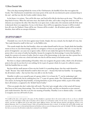This is the deep meaning behind the victory of the *Chashmonaim*, the handful of Jews that won against the Greeks. The *Chashmonaim* revealed their own inner power of the soul, the non-destructive point contained deep in the soul - and that was why the Greeks couldn't destroy them.

In the future, it is written, *"Esav will be like straw, and Yosef will be like fire that burns up the straw."* This will be a deep kind of victory. When fire and water meet, they battle each other, and it takes a long time until one of the elements can overpower the other. But when fire is set upon straw, it takes only a few moments until all of the straw is destroyed; there is no opposition. So too, in the future, there will be no opposition, because it will be revealed how all is one, for Hashem's Name will be one. Oneness will be revealed – the all-inclusive point will be revealed, therefore, there will be no concept of division.

# THE DEPTH OF HUMILITY

 $\overline{a}$ 

Chanukah was a war of a few Jews against many Greeks. Simply, this was a miracle, but the depth of it was, that "they made themselves small in their eyes", as the Rabbis write.

This sounds simply that they had humility, when one makes himself small in his eyes. People think that humility means to focus on your shortcomings, and that it is arrogance to focus on your qualities. After all, it is true that the power of imagination can cause one to ignore reality, which in turn makes him ignores his shortcomings, while a person who is very aware of reality has humility, because he recognizes his shortcomings. It seems that humility is simply for a person to be aware of reality, thus he is aware of his shortcomings, in the same way that a person has to be realistic when he writes out a check and make sure that he still has money in his bank account.

But there is a deeper understanding of humility: when one recognizes the greater reality, which is the all-inclusive point in the soul, he sees how he is not nothing, for he is part of a greater whole; he is part of a collective essence. And that humbles him as a result.

But how did the small amount of Jews win the Greeks? It is something deeper: that they made themselves "small." Because "they made themselves small in their own eyes" – because they had true humility - by recognizing the all-inclusive reality – that was how they were able to win the Greeks.

Humility is really to see yourself as part of a greater whole. It is to lessen the "I", not by weakening it and ignoring your self-worth, but by realizing how your "I" is part of a greater whole. The *Chashmonaim* nullified their own essence, by having this deep humility, of seeing themselves as part of the greater whole, as part of the reality that is all-inclusive, as opposed to the 'divided' kind of reality[.9](#page-11-0)

(There are people who don't realize their self-worth. They don't give enough value to their actual self, because they focus on their many shortcomings. They view themselves as lowly, and they see themselves as just scattered parts inside themselves. But this is not the true meaning of humility. Humility is not to dismiss reality – it is really to recognize your true self-worth of a Jew.

<span id="page-11-0"></span>*<sup>9</sup> In middle of this shiur, with regards to this aspect, the Rav clarified to a questioner that in the current reality we live in, we live in a divided reality, not in the all-inclusive reality; only in the future will we all live in an all-inclusive reality. For this reason, our body is obligated in the mitzvos, and there are different parts of our body which require different mitzvos. Our body represents divisions and disparity, because in the physical dimension, there is no concept of oneness. Only in the spiritual dimension there is oneness. In the future this will be fully revealed, and currently, we can have access to that spiritual dimension of the future when we access the deep part of our soul, the Yechidah. The Rav is explaining here how we can access the all-inclusive reality that is contained in our Yechidah.*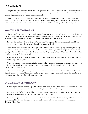The proper outlook for one to have is that although one shouldn't pride himself too much about his qualities, he must never lessen his actual "I". He can be aware of his shortcomings, but he doesn't have to lessen the value of his essence. A person must always remain with his self-worth.)

Thus, the deep way to win a war is not through fighting a war. It is through revealing the power of *netzach*, eternity – to reveal the all-inclusive point in the soul, the non-destructive point of the soul. When one reveals his non-destructive essence, he indeed cannot be destroyed. And if one tries to destroy it, he is destroying himself.

## CONNECTING TO THE ONENESS OF HASHEM

This power of deep unity with the world, known as "*echad"* (oneness), which will be fully revealed in the future, still exists deep in the soul, and is the deepest power of the soul. Hashem in "One", and when one is connected with Hashem, he is connected to His oneness, and then the disparity in front of him ceases.

How did Dovid *HaMelech* defeat *Golyas*? With one rock. The depth of this is that he defeated him with the power of "one", not simply that he managed to kill him with a small rock.

The war with the Greeks could not be won physically. It wasn't possible. The only way was through revealing *echad* in their souls – they connected to Hashem, to His oneness; thus they had Hashem's protection, and no one can fight Hashem. *"And they will see that the name of Hashem is upon you, and they will fear you."* (Although Hashem is called "man of war", this is a metaphor).

If two people are having a game with each other, it is not a fight. Although they are against each other, this is not viewed as a fight, but as a game.

When one wins the other, it's not that he has won the fight, because it's just a game; afterwards, they laugh with each other. So too, when one is connected to Hashem, he is protected by Him, and no one can fight Hashem – trying to fight Hashem is a joke.

There is no opposition, because any human who tries to oppose Hashem does not oppose Hashem. If it's not a fight, it can only be a game.When one approaches a fight with the perspective that he is against the other based on his human strengths, this will indeed be an opposition.

# VICTORY IS NOT ACHIEVED THROUGH FIGHTING

Is there anyone who doesn't have any fights with others? It is not possible. The Talmud says that if there is a Rav in a city who is never opposed at all, he is not a real Rav, because he's probably being bribed.

(By the way, even before I came to deliver these *shiurim,* I already prepared myself for opposition. I knew that there were will be those who will fight with me about what I'm saying!)

We all need opposition. There is no person who does not have opposition. For everything good there is, Hashem created something else in evil that can oppose the good. There is only one whom there is no opposition to – Hashem, Who is One.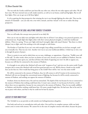The war with the Greeks could have just been like any other war, where the two sides oppose each other. We all have wars. We have internal wars as well, inside ourselves, as well as in our homes, small and big fights. But we all have fights. How can we get out of all these fights?

It is by acquiring the deep perspective that winning the war is not through fighting the other side. That was the miracle of Chanukah – you can only win a war with a miracle, and that 'miracle' is for one to realize this deep perspective.

## ACCESSING PEACE IN THE SOUL: NULLIFYING YOURSELF TO HASHEM

Now we will make this concept more practical in our daily life.

How can we win our daily wars and fights with others that we all have? I am asking a very practical question, not a theoretical one. People fight their fights either with their various physical strengths, or with their intellectual abilities. (There is a saying, "If you can't fight with *koach* (strength), fight with *moach* (brains)." But there is a third [deeper] way to fight, and it has nothing to do with strength or with brains.

The Kotzker *zt"l* said that if you can't win with strength, keep telling yourself that you do have strength, until you eventually win. That was one view. Another view was to use your intellectual abilities. A third way to win a war is through the power of prayer.

There is a point in our soul in which there are no wars, challenges, or oppositions. *Chazal* say, "Nullify your will to His will." In other words, when you have no desires of your own, because you are nullified to Hashem, then the name of Hashem comes upon you, and then all those who think of opposing you won't be able to oppose you, because you will then be connected to the oneness of Hashem.

It is brought in our *sefarim* that *Moshiach* will come with "weapons of war" and win over the entire world. People interpret this to mean that *Moshiach* will reveal how good prevails over evil. Will he throw a bomb on the world? Iran can do that too. How would that bring peace to the world?! How will he 'win' over the entire world?

He will be connected to the oneness of Hashem, thus, he will connect to all of Creation in his enormous love. *Moshiach* will win not through the conventional means of fighting, but because he will be utterly connected to oneness of Hashem, and nothing can oppose the oneness of Hashem.

Avraham *Avinu* was thrown into a fire and was untouched. The depth of this was because he was so connected to the oneness of Hashem that nothing could harm him. It wasn't just a miracle. It was because he lived in a world where there was no opposition, because he was connected to the oneness of Hashem. Thus, he was totally nullified to Hashem, and therefore nothing could harm him. Of course, people fought him. He had wars. But in his soul, he was at peace with others, and that is why he could not be hurt by anyone.

# ACCESS TO YOUR INNER PEACE

The *Yechidah* in us can provide us with entirely new feelings*/*emotions altogether.

Our body and soul are in contradiction with each other. Our soul lives in complete oneness, while our body cannot come to terms with oneness. We cannot live in the state of complete oneness with others, because the peace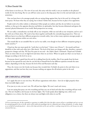of the future is not here yet. The view of our soul, this unity with the world, is not yet manifest in the physical world, for the time being. But we can still have some access to the deep peace that is in the soul and make use of it sometimes.

One can learn how to be amongst people who are saying things against him, but in his soul, he is living with inner peace. He hears what they are saying, but it doesn't bother him, because he lives in place of no opposition.

People tend to be either realistic or delusional. Either people are realistic and they do not believe in any inner realities, or they go in the opposite direction and believe in spirituality, but they become delusional and ignore the external, physical dimension of our world. Both perspectives are wrong.

We are really a contradiction; our body tells us one viewpoint, while our soul tells us one viewpoint, and we can't live with one of them alone. We need to fuse them together and handle the contradicting perspectives. There are different layers in us that have different perspectives towards reality. Just as there many opinions amongst people, so are there many opinions within our own selves.

This sounds like we are unstable! But we can be very stable, even though we have different viewpoints going on inside ourselves.<sup>[10](#page-14-0)</sup>

*Chazal* say that one must speak the "truth that is on his heart" ("*doiver emes b'levovo"*) – his mouth and heart should be in line with each other (*piv v'libo shavin*). The level of the heart can change each day, therefore, a person's perspective changes each day. We have five parts in our soul – the *Nefesh, Ruach, Neshamah, Chayah* and *Yechidah*. There are times when we are on high level and times when we are lower. When we speak out what's on our heart, it changes according to the level we are at.

If someone doesn't speak from his soul, he is talking from his dry intellect. But if one speaks from his heart because he has opened his soul, then he can feel this in himself that he has different opinions towards the same subject, depending on the day, because the level of his soul fluctuates each day.

Thus, the victory over the Greeks was because they revealed their *Yechidah*, the point in the soul where is no oppositions, and that was how they won, because nothing can oppose the all-inclusive point in the soul.

# HOW TO WIN OVER ALL OPPOSITIONS

 $\overline{a}$ 

Let's apply this now to our own lives. We all have oppositions with others – how do we fight properly when those inevitable fights come?

If we just try to win, we won't win. We will just have fights, We won't reach real victory.

I am not saying that peace can win everything and that you can sit back and relax that everything will just work out. This isn't feasible at all, because we do have fights. The Torah speaks about fighting wars, either as an obligation or as a choice, but there are always wars and fights with others in our life.

<span id="page-14-0"></span>*<sup>10</sup> On an interesting note, the Rav responded to a questioner in middle of this shiur that often a person will go to a psychologist and try to sort out his contradicting goals he has in his life, and he will be told by the psychologist that he is delusional and a living contradiction. In reality, though, we are all full of contradicting desires – desires of the body and desires of the soul, and there is nothing wrong with this at all, because our soul is structured that way….*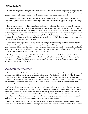How should we go about our fights, when those inevitable fights come? We need to fight not from fighting, but from using our power of inner peace, to reveal the point in us which has no wars, which is the *Yechidah*. Of course, you can't see this reality in the physical world; it is an inner reality that is deep within the soul.

You can solve a fight in just half a minute, if you make sure to always access this deep power of the soul [when you yearn for peace]. When one accesses this inner peace in himself, his enemies disappear, and people will not fight him!

I am not saying that this will drive away all people who fight you, because the Greeks were certainly trying to fight the *Chashmonaim* even though the *Chashmonaim* had reached their inner peace, and in addition, we currently live *in* a world in which the 50<sup>th</sup> Gate of Impurity surrounds us, which is very difficult to send off. But the point is that when you access the inner peace of the soul, the enemies around you won't be able to win against you, because the fight will lose its zenith, for the entire fight is being fueled by the fact that there each of the two side is warring against each other. Once one of the sides reaches a place inside himself in which there is no war, the entire war loses its fuel, and thus the war will cease on its own.

There are two ways to get rid of an enemy. Either you can fight with him and try to drive him away, or you can make peace with him, by uncovering your own ability of inner peace. When you uncover a peace in your own soul, your opposition will feel somewhat that you want peace, and when he feels your wish for peace, he will stop fighting you. There will be no place for a fight. Your opposition might not be aware why he is losing interest in fighting you, but he will still feel somewhat that there is no place now for a fight.

I will repeat and emphasize again that this inner solution does not work 100%. If it would, then our body would cease, and we would only be souls with no body. This is not possible in the current situation in the world, where we are not yet in the future. But if you make use of this point of the soul, it will greatly affect even your physical situation and radiate some of its light.

# LIVING WITH AN INNER CONTRADICTION

When we reveal our *Yechidah* of the soul, we gain a new perspective on reality, and the old reality has no bearing on us anymore. Of Shabbos, *Chazal* say that you should consider it "as if all your work is done". What does that mean? To pretend that your situation at work is fine just because it's Shabbos? We all know good and well that Sundays can be stressful and full of problems we have to deal with. But it's because there is a part in our soul which has the ability to view all our work "as if" it is done. The *Yechidah* is the point inside us which tells us that all is finished and done, that there are no problems,

If a person doesn't want to accept that there can be inside him this deep perspective on reality, then indeed, he will have no way of relating to this concept. He might feel that he is a realistic person who faces the facts of reality and that the view of the *Yechidah* is an escape from reality, so why fool yourself with it. After all, when a person hears about the *Yechidah*'s view on reality and he tells it over to others, what kind of reaction does he usually get from others? He will be told that he is being delusional, that he is trying to run away from life, that he can't deal with reality, that he is too idealistic in his aspirations, that he's not being realistic…

But in the future, it will be a day that is entirely Shabbos, and there will be peace and serenity for the entire world; nowadays, that reality hasn't been realized yet, but we still can have some access to it and touch it. Therefore,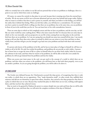while we certainly have to be realistic in our life and not pretend that we have no problems or challenges, there is a point in our soul in which there exists *no challenges.*

Of course, we cannot live entirely in that place in our soul, because that is running away from the external layer of reality. We do not mean at all for one to become delusional and run away into himself and escape reality. Rather, what we mean is to believe that there is such a power in yourself, and when you believe in this feeling, you will feel the reality that is behind that feeling. When you feel that reality, you will discover a contradiction. On one hand, you have a point in yourself which is telling you that there are no problems, but at the same time, you see problems in front of you in the world that you live in. You can learn how to live with contradiction, however.

There are some days in which we feel completely serene and that we have no problems, and the next day, we feel like our entire world has come crashing down. What is the inner reason for this? It is because there are some days in which we live very internally, and our perspective on our life is then coming from our deep place in the soul that feels how there are no problems. So I am not saying that you should run away into yourself all the time. I am merely trying to tell you that there does exist a place in yourself in which you can return to every here and there to draw vitality from, and that will give you the strength to go back into your problems and deal with them with renewed vigor.

If a person only knows of the problems in his life, and he has no inner place of refuge in himself, he will have no vitality at all in his life. He only lives within his problems, and problems do not provide us with vitality. A person has to know how to escape the stress of life to a place in himself where he can draw forth vitality [when he accesses the calmness in his soul], and then when he returns to his problems, he will be able to feel alive even amidst his problems; he will not get drained from his problems and lose his vitality.

When you access your inner peace in the soul, you get used to the concept of a world in which there are no problems, and then when you return to the problems, you will know how to deal with them properly, even as you are amidst a problem. As you are going through the problem, you will be able to be above it.

## IN CONCLUSION

The Greeks were defeated because the *Chashmonaim* accessed this deep power, of recognizing that there is only one reality, in which there are no oppositions. They "made themselves small", in other words, they nullified their existence and did not see themselves as apart from others, therefore, they arrived at the deep perspective that there is a place in which there are no wars. Because they reached this place in which there are no wars, nothing could oppose them, and that was how they achieved victory.

May we merit to be granted by Hashem the power to connect deeply into our souls and from that we will be able to escape all our wars, and from that, we will merit the complete revelation of the days of *Moshiach*.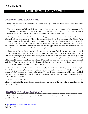# 4 | THE INNER LIGHT OF CHANUKAH – A CLEAR TORAH<sup>[11](#page-17-1)</sup>

# <span id="page-17-0"></span>OHR PENIMI: THE ORIGINAL, INNER LIGHT OF TORAH

Every Yom Tov contains an *"ohr penimi"*, an inner spiritual light. Chanukah, which contains much light, surely contains a certain *ohr penimi* to it.

What is the *ohr penimi* of Chanukah? It was a time in which *ohr* (spiritual light) was revealed on this world. By the Greek exile, the Chashmonaim<sup>[12](#page-17-2)</sup> were a light amidst the darkness of that period. It is a lesson that even when there is so much darkness in the world, a light can be revealed and illuminate the darkness.

The Sages say that the *Yomim Tovim* which will disappear in the future, except for Purim, and some say Chanukah will not either disappear. What is the deep reason behind this? It is because the other *Yomim Tovim* celebrate the past, and the past will no longer be important in the future. But Chanukah and Purim are about the future dimension. They are about the revelation of the future: the future revelation of a perfect Torah. The Greek exile concealed the light of the Torah; when the Chashmonaim appeared on the scene and they succeeded, they essentially removed the evil of the Greek exile, and a new light of Torah was revealed with it.

The Sages state that the Greeks said, "Write for yourselves on the horn of a bull: We have no portion in the G-d of Israel." The *Maharal* and others explain that this is hinting to the sin of the Golden Calf, which is a bull. The sin with the Calf caused great damage within the Jewish people; in other words, sin is similar to a bull, which gores with intention to damage<sup>13</sup>. The Chashmonaim merited to experience some of the light of the future, in which a light will come and illuminate the darkness. The miracle of Chanukah represents our purified state had we never sinned with the Calf after we received the Torah. Thus the Chashmonaim on Chanukah merited to reveal a bit of the future revelation: returning to our purified state without sin.

The Sages say that when the Greeks invaded the Temple, they made holes when they broke into the Temple. What is the deeper meaning behind this? It was because Greeks intended to break our unity. The Jewish people have a power of *echad*, the power to be "one", to be unified. We were all "one" when we stood at Har Sinai; we all had "one heart". The Greeks wanted to break up this unity, and that was what they were trying to show in making the holes in the *Beis HaMikdash*.

The Greek exile is defined by its secular influence on the Jewish people. They wanted their wisdom to replace the wisdom of the Torah. They caused damage to us in doing so, and because of the Greek exile, we are still missing the *ohr penimi* of Torah.

# "OHR TORAH" IS NOT YET THE "OHR PENIMI" OF TORAH

In the future, we will get the "*ohr penimi"* back. We still have the "*ohr"* (the light) of Torah, but we are missing the *"ohr penimi"* of Torah.

<span id="page-17-1"></span>*<sup>11</sup>* <http://bilvavi.net/english/chanukah-010-inner-light>

<span id="page-17-2"></span>*<sup>12</sup> The Hasmoneans*

<span id="page-17-3"></span>*<sup>13</sup> Bava Kamma 2b*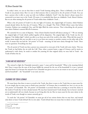In today's times, we can see that there is much Torah learning taking place. There is definitely a lot of *ohr* of Torah in our present times. But it is rare to find someone who is connected to the *ohr penimi* of Torah. You can have a person who is able to come up with very brilliant *chiddushei Torah*[14,](#page-18-0) but that doesn't always means he's connected in an inner way to the Torah. Of course, it is wonderful that there are *chiddushei Torah*. *Baruch Hashem*. But we are often missing the *ohr penimi* of Torah within these *chiddushei Torah*….

What is the *ohr penimi* of Torah? It is the true light of Creation, the original light of Creation, which Hashem created already before the first day of Creation. What is it, though? The *Pirkei D'Rebbi Eliezer* states that before Creation, Hashem was completely One, and His light filled the entire universe. That is describing the *ohr penimi*: state where Hashem's oneness fills all of existence.

We currently live in a state of disparity. "*Sinas chinam* (baseless hatred) still dances among us". [15](#page-18-1) We are missing the original light of Torah which unified together all the disparities. The original light of the Torah was the *ohr haganuz* ("the hidden light") which was able to see from one end of the world to the other. What did this mean? It did not mean simply that one was able to use it to see from one country to another country on the other side of the world. It meant that one had the "*ohr penimi"* of Torah – meaning, he had utter clarity through the Torah. There were no questions. Everything was clear.

The *ohr penimi* of Torah was that a person was connected to every part of the Torah with utter clarity. This was the Torah we had before the sin with the Calf. Thus, when a person learns a *sugya* of *Gemara*, and he merits to understand it with clarity, he needs to awaken his yearning for that original clarity we once had in Torah - the Torah of before the sin.

## "A MAN AND HIS HOUSEHOLD"

The *mitzvah* to light the Chanukah menorah is upon "a man and his household." What is the meaning behind this? Does it mean that the man of the house fulfills the *mitzvah* for the rest of his household? Is it just a *mitzvah* upon the house? It is because the *mitzvah* of *ner Chanukah* was given to us so we can return to our very soul: "a man and his household" – the "household" is our soul, our root.

# YEARNING FOR TORAH LISHMAH

We must know that there is more to reveal in the Torah, that there is more to the Torah that we must yearn for. It is not simply that we must yearn to finish more *masechtos*[16](#page-18-2) of Gemara; that is wonderful too, but it is not yet the "*ohr penimi"* of Chanukah. The *"ohr penimi"* of Chanukah is accessed when has a yearning to reveal the clarity in the words of Torah that we have already learned. We may have learned much Torah already, but we haven't merited yet to understand it all very clearly, because we are living after the sin. But we must yearn for the utter clarity in the words of Torah, even though we cannot currently get it.

To reach the "*ohr penimi"* of Chanukah, we must get rid of our various desires that we may have, and instead only desire to learn Torah *lishmah* (for its own sake). Torah *lishmah* does not mean that we desire to learn Torah for

<span id="page-18-0"></span>*<sup>14</sup> novel Torah thoughts*

<span id="page-18-1"></span>*<sup>15</sup> Yoma 9b*

<span id="page-18-2"></span>*<sup>16</sup> Tractates of the Talmud*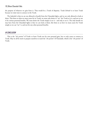the purpose of whatever we gain from it. That would be a Torah of disparity. Torah *lishmah* is to learn Torah because we truly want to connect to the Torah.

The *halachah* is that we are not allowed to benefit from the Chanukah lights, and we are only allowed to look at them. This hints to what we must yearn for in Torah: we must only desire to "see" the Torah as it is, and not to use it for various personal benefits. We must desire the Torah simply to see it – and only to see it. The only benefit we may have from the Chanukah lights is that we can look at them; this hints to us how we must yearn for Torah simply so we can "see" it, and not for any other personal benefits.

# IN CONCLUSION

This is the "*ohr penimi"* of Torah: to learn Torah not for own personal gain, but to truly yearn to connect to Torah. May we all be merit to prepare ourselves to reach the "*ohr penimi"* of Chanukah, which is the "*ohr penimi"* of Torah.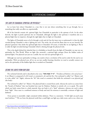# 5 | EXPERIENCING CHANUKAH<sup>[17](#page-20-1)</sup>

# <span id="page-20-0"></span>THE LIGHT OF CHANUKAH: SPIRITUAL OR PHYSICAL?

Let us learn here about Chanukah in a way that is not just about something that we go through, but as something that really can affect us, experientially.

All of the festivals contain *ohr,* spiritual light, but Chanukah in particular is the epitome of *ohr*. In the other festivals, the light is purely spiritual, but on Chanukah, although the light is also spiritual, it manifests also as a physical light that we empower, through the eight lights that we light on Chanukah.

The lights of Chanukah seem to be lit through a wick and oil, but the inner way to understand it is that the *light revealed during Chanukah is what is lighting the wick*. The wicks, the oil and the flame that we see are [merely] the physical 'garments' that clothe the spiritual light that is Chanukah. Of course, it looks like we are lighting it. But it is really the light [revealed during] Chanukah which is shining through the physical wick.

This is the depth behind the *halachah* that it is forbidden to benefit from the light of Chanukah: we may not use spirituality for This World. When we light [the *menorah*], a spiritual light emerges [from the hidden realm of spiritual light]. Our physical eyes just see a candle, but our soul sees spiritual light in it.

Although our soul sees spirituality in things, one needs to have a revelation of his soul in order for the soul to see spirituality. With our physical eyes, all we see are just candles burning; therefore we need to actually connect our *soul* to the spirituality of the hidden light that is revealed on Chanukah.

# SEEING THE LIGHTS FROM OUR SOUL

The *neshamah* (Jewish soul) is described in the verse, **"אדם נשמת' ה נר"***," The flame of Hashem is the soul of man"*. A *ner* (flame) is composed of a *kli* (vessel, or container)), oil, and the fire. Our *neshamah* is called "*ner"* (flame), and it is also called "*ohr"* (light), whereas the "*kli"* (the vessel or container) that holds the *neshamah* is our physical *guf* (the body).

The *neshamah* is called "*ner"* (flame). Our physical body is created from earth, whereas the soul in us comes from the "breath of Hashem" that was breathed into man by Hashem. Hashem is entirely *ohr*, so to speak. The earth which our body comes from is a dark material, thus our body is of a "dark" substance, whereas our soul is taken from "light". Since man is a combined existence of body and soul, his existence is essentially a mixture of light and darkness.

Every person is essentially a light contained within darkness. There is a statement, "*A little light can push away much darkness*."[18](#page-20-2) We see from the physical world that a small light can light up a dark room, and so too, when our

<span id="page-20-1"></span>*<sup>17</sup>* <http://www.bilvavi.net/english/chanukah-017-experiential-chanukah>

<span id="page-20-2"></span>*<sup>18</sup> Chovos HaLevovos: Shaar Yichud HaMaaseh: 5*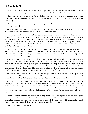soul is concealed from our access, we will feel like we are groping in the dark. When our soul becomes revealed to us, however, there is a great light we experience, which sends away the "darkness" that is the body.

Thus, when a person hasn't yet revealed his soul, he lives in darkness. He will experience life through a dark lens. When a person begins to merit a revelation of his soul, his soul begins to shine, and he experiences a degree of spiritual light.

These are the two kinds of lenses through which we experience life: either we see through a dark lens, or we see life through a lens of light.

In deeper terms, there is *ayin ra*, a "bad eye", and *ayin tov*, a "good eye." The perspective of "*ayin ra"* comes from the view of the body, and the perspective of "*ayin tov"* is the view from the soul.

They are different lenses in a person. It is not simply that there are different personalities of either "*ayin ra"* or "*ayin tov"* that some people have positive personalities and some people have negative personalities. Rather, "*ayin tov"* and "*ayin ra"* are perspectives of how we experience life – either we are viewing life from the prism of the body, or the soul. *"Ayin ra"* represents the body's viewpoint, a view from "darkness", which is a perspective that is darkened by materialism of This World. Thus it does not offer a clear view on life. In contrast, "*ayin tov"* is a view of "light", which is pleasant and calming.

These are root concepts of the soul. The world we are in is a mix of light and darkness, a mix of good and evil. And it is mostly dark. What is the world looking like right now? What is it calling out? It is calling out darkness. The world is conveying to us a message of unhappiness, pain, and difficulty – a life of darkness. It is not a place that is mostly good, pure, holy and happy.

A person sees from the place in himself that he is at now. Therefore, if he has a dark lens on life, if he is living a materialistic kind of life where his body dominates and his soul is unrevealed in his life, then he will see a dark life in front of him. If you view life through dirty glasses, everything will look dirty, even if you are looking at something clean. For this reason, when a person sees others, he usually doesn't see people as souls whom he can have a connection to. He usually just sees the thick materialism of others, he relates to their superficial shell, and as such, he relates to others as physical bodies, and he does not see them as souls in front of him.

But when a person reveals his soul, he will see others through a clear lens. Then he will see the joy, purity, and cleanliness in front of him. This does not mean that he will be naïve and that he's not aware of reality. He is well aware of reality on this world, but he has gained a view of others that is pristine, clear, and clean.

For example, when he speaks with others, like when asking someone for directions, he will understand that he is speaking with a *soul*, and not with a body. When he asks questions to others, he is aware that he is asking it from his *soul*. And when a person speaks from his soul, the soul of the other picks up on it, because the soul is receptive to the sound of another soul. Where you speak from is what the other person will hear; if you speak from your body, the other person hears your gruff body talking, and when you speak from your soul, the other's soul hears words coming from your soul.

The world today doesn't have that much speech coming from the soul. When a person meets another and greets him, does he really mean it that the other should have a good day? "Good morning" has become more like a mannerism. Contrast this with what was said about the Alter of Slobodka, who would practice saying "Good Morning" to himself, because he held that it was giving a *beracha* (blessing) to others.

This is different view on life - totally.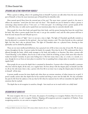# SPEAKING AND ACTING FROM WITHIN YOURSELF

When a person is talking, where is he speaking from in himself? A person can talk either from the most external part of himself, or from the most innermost part of himself that he identifies with.

Most natural speech flows from the external part of the soul. The more inner a person's speech is, the more it reflects the statement "*words from the heart enter the heart*." This should not just be limited to when a person is conveying a deep emotion such as "I love you", or "I feel your pain". It is referring to how a person speaks *all the time*. All of the time, we really need to speak from our innermost place that we currently identify with.

Most people live from their body and speak from their body, and the person hearing him hears the words from his body. But when a person speaks from his soul, it can go into another's soul, and the other person will hear it from his soul, because his soul will pick up on it.

Chanukah is a time of "light", but it is not just a time to light. The light of Chanukah specifically reminds us that the physical is a container for the spiritual – that our body contains a soul. The other festivals are also a spiritual light, but they don't take on physical form. The light of Chanukah takes on a physical form, showing us that spirituality can be clothed by physicality.

These are not mere intellectual definitions, but a practical view of life to have every day of your life. We do many actions throughout the day. A person washes his hands, for example. How does he do it? We understand that this is allowed through the brain, which sends messages to the body and enables it to function. But when a person tells "Good Morning" to his children, does he do so with at least a little bit of feeling, at least a little more than when he washes his hands? Certainly, he puts some feeling into it. But how many times a day, or a week, or a month, or a year, though do we act from an inner place in ourselves? Are we speaking from a deeper place in ourselves on a more regular basis?

Most people do not access the depth that is contained in themselves. A person who is living inwardly is someone who lives with his depth, all the time, on a regular basis. He lives always with the deepest place in himself. Just like we all use the sink many times a day, a person who lives life in an inner way is using the deepest place he knows of in himself - all the time.

A person usually accesses his inner depth only when there are extreme emotions, of either intense joy or grief. A person usually cannot take that depth that he has reached and bring it more into his daily life. He may remember the pain he felt from his sadness or the joy that he felt when he rejoiced, but he will not remember the *depth* of the emotions that he reached.

The depth that we *do* recognize in ourselves, though – how much are we in touch with it on a daily basis?

# RECOGNITION OF OURSELVES

We must recognize who we are. Of course, the purpose of everything is to recognize Hashem. But if we do not recognize ourselves, we can't recognize Hashem. Skipping self-recognition prevents recognition of Hashem. From recognizing ourselves, we can come to recognize Hashem<sup>[19](#page-22-0)</sup>.

<span id="page-22-0"></span> $\overline{a}$ *19 Raavad (Rabbi Avraham ben David, 10th century scholar); based on the verse, "From my flesh, I see G-d."*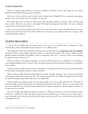Surely, the deepest thing possible is to connect to Hashem, but before we get to that stage, one has to know himself well and identify the deepest place in himself.

How can it be that a person is not in touch with the deepest part of himself? We can memorize many phone numbers. How can it be that we don't recognize our own self?

If we really want to live a true life, we need to know what our deepest point is in ourselves, which can take a long time to know. After that, one needs to ask himself if his depth has deepened from before. The way we identify ourselves has to mature as the years go on.

We can say in general how deep the soul is, but you on your own need to uncover the depth of your own soul, and then you need to know how to live with it all the time. At least once a day, make sure that you are using it. *That* is what Chanukah is all about.

# THE DEEPEST POINT IN YOURSELF

I will try here to explain what the deepest point of the soul is, but it will be hard to understand it, both intellectually as well as emotionally, because each person is at a different point.

The deepest part of the soul, the deepest experience your soul can know of is to experience your very existence (*havayah*). (There is really a higher experience, which is to experience the reality of the Creator, which is reached through *emunah* and *d'veykus* with Hashem. That is an experience above the "I", however. Here we are describing the experience that is within the "I".)

One's very existence is his deepest experience. It is not the will of a person, it is not aspiration, it is not giving, it is not enduring suffering, and it is not joy. Those are all deep experiences, but the deepest experience is to experience one's existence.

A person needs to be able to remove all the external layers covering the soul, and then he can experience himself. It is not a place of any desires, because it is above all desires.

When a person purifies himself through doing the *mitzvos*, through attaining a state of purity, and through correcting his *middos*, then he calms the soul.<sup>[20](#page-23-0)</sup> He can then experience the soul. When he experiences his own soul, he can feel his existence then and be able to live it on a daily basis.

All day, people are running around, and this causes people not to be in touch with the soul. This refers to internal running as well, in which people are running all the time with their desires. They are not calm inside, and they never reach their soul. Therefore, people wonder what the deepest experience is. But the deepest experience is: to experience your own self!

You can't live from your depth if you haven't accessed it yet. When you do access it, you need to then live with it all the time – sensibly, of course. This will reveal more and more depth to you as time goes on. In order to get to your own depth, you first need to live daily with the deepest point in yourself – you can think about it and can feel it throughout the day.

<span id="page-23-0"></span>*<sup>20</sup> See the series of Getting To Know Your Hisboddedus*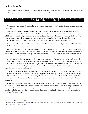These are not ideas or opinions – it is about life. May we merit from Hashem to know our souls and to realize our depths, our existence, and from there, to reach *d'veykus* with Hashem.

# **6 | CHANUKAH: SEEING THE BEGINNING<sup>[21](#page-24-1)</sup>**

<span id="page-24-0"></span>We are now approaching Chanukah. Let us understand the concept of this Yom Tov in a way that can affect our own souls.

We have three *Yomim Tovim* according to the Torah – Pesach, Shavuos and Sukkos. The Sages enacted two more *Yomim Tovim* – Chanukah and Purim. We find that the *Yomim Tovim* of the Torah are each seven days, which end up becoming eight. Sukkos is seven days, and then there is an "eighth day" of Sukkos, which is *Shemini Atzeres*. Pesach is seven days, but from a deeper perspective, it is actually "eight" days, because the Ramban writes that Shavuos is called "the *Shemini Atzeres"* of Pesach. Chanukah, though, is eight days to start with.

What is the difference between the *Yomim Tovim* of the Torah, which are seven days that really add up to eight, and Chanukah, which is eight days to start out with?

*Chazal* say that when a person smiles at someone, it is better than giving him a cup of milk. Why? This is because when you smile at someone, you radiate a light towards him, and this is more illuminating than even the white color of the milk. This is Chanukah: it is a light that radiates outward. The oil of Chanukah which we light with is that illumination that radiates outwards.

Oil is "*shemen"* in Hebrew, which is similar to the word "*shemoneh"* – the number eight. Chanukah is eight days, hinting to the fact that it is above regular time, which contains seven days in a week. The *Yomim Tovim,* which are each seven days that become eight, are within regular time. The *Yomim Tovim* are a revelation of a concept that we can use the regular times of the year to go above time. But Chanukah is eight days to start with, because it reveals a light that is above time in the first place.

The oil that we light the menorah with on Chanukah, which is lit to commemorate the miracle of Chanukah, is long after the miracle during the time of Chanukah happened many years ago. This is because Chanukah is a light that transcends time. It continues to radiate long after the "time" of the miracle of Chanukah has happened. We aren't commemorating Chanukah because it was a miracle that happened long ago history; rather, it is a time of light, even now.

Hashem created the world to have a timeframe of seven days, creating the world in "seven" days; the six days of the week, and Shabbos. But if we count the Shabbos that Hashem started out the world with, we get eight days. On a deeper understanding, there are really eight days in Creation – the Shabbos of before Creation [when there was nothing yet in Creation, and there was nothing but the oneness of Hashem]<sup>[22](#page-24-2)</sup>, the six days of the week, and then Shabbos of after Creation.

<span id="page-24-1"></span>*<sup>21</sup>* <http://www.bilvavi.net/english/chanukah-018-seeing-beginning>

<span id="page-24-2"></span>*<sup>22</sup> For more on the "Shabbos of before creation", refer to the Rav's series on Shabbos Kodesh, in particular, the shiur of שבתות שלש*\_*01*\_*קודש שבת ( ספר בלבבי משכן אבנה* - *שבת קודש in or(*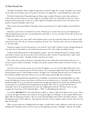The light of Chanukah, which we light for eight days, reveals this "eight-day" concept. Normally, time consists of seven days, but the deeper aspect of Creation is that there is an eighth day – a spiritual light that is above time.

We find in *halacha* that if Chanukah begins on Friday night, we light 30 minutes earlier than sundown on Friday. How can this be? How are we able to light for Chanukah when it isn't Chanukah yet? We aren't able to bring the *korbon pesach* early. So why are we able to light for Chanukah earlier than its time? The answer to this mystery is because Chanukah is above time.

What exactly is this special light of Chanukah, which transcends time? It is really the light of *emunah* (faith in Hashem).

*Emunah* is a power that is not limited to any time. *Emunah* says to us that what you see as the beginning isn't really the beginning, because there was something that came before it. You see seven days of the week, but there was a Shabbos that came before it.

(This also alludes to the "letter *aleph*" which Hashem used to create the world with, before He created the world using the letter *beis*. We only see Creation starting from the letter "*beis*," *Beraishis*, and we do not see what preceded it – the letter *aleph*).

During our regular seven-day time period, we can reach the "letter *aleph*" of before Creation, though utilizing the seven days. But on Chanukah, we start already from that point of the "letter *aleph*" preceding Creation.

Avraham *Avinu* illuminated the world through his *emunah* – how? He radiated that power of *emunah*, which came before Creation, onto the seven days of the world that are after Creation. He used that letter "*aleph*" which was around before Creation – the light of perfect *emunah* in the Creator.

This is why some say that in the future, Chanukah will not cease, while all the other festivals will cease. It is because the power which is Chanukah – the light of the perfect *emunah*, which existed even before Creation – can never cease.

Now that we have seen this concept, let us see how this applies to our very soul. Any light which exists in the world seems to be coming from the sun. But from where is the sun getting its light from? It gets its light from the heavenly spheres above it, which Hashem sustains. The light of our Chanukah *Menorah* seems to be coming from this world, but all light comes from Heaven, so we are really using a spiritual light that is Heavenly.

That is the meaning behind the *halachah* why it is forbidden to benefit from the Chanukah lights. It is really because the light gets its source from Heaven, and thus we are not allowed to use it. Normally, we are allowed to benefit from light. We were also allowed to benefit from the light that shined by the *Simchas Beis HaShoeivah*. But on Chanukah, we are prohibited from benefiting from the lights. Why? There is a special *halachah* that on Chanukah, it has to be recognizable from the street who is lighting the *Menorah*. This hints to how we must recognize the True Source of the Chanukah lights – "Who" is really lighting this *Menorah*….

It is written, **אדם נשמת' ה נר** – the *neshamah*\soul is called *ner,* a flame, a light. Every light is lit by a source. There is a Source that lights the flame of the *neshamah*. By seeing the lights on Chanukah, we can recognize Who lit these lights; Who the beginning of all this is. We can see the Chanukah lights and see Who is the Master that lit it - where the beginning source of these lights are. This represents the power to have complete, perfect *emunah*. That is the real light of Chanukah.

When a person walks into a building and he sees light, it usually doesn't make a difference to him who lit up the building. But Chanukah teaches us that we must see the beginning, the source, of all light – Hashem. We usually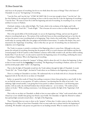only focus on the purpose of everything, but do we ever think about the source of things? That is the lesson of Chanukah: we can see "the beginning" of everything.

"I am the First, and I am the Last." (האחרון ואני הראשון אני(. It is not just enough to know "I am the Last", the fact that Hashem is the end goal of everything; we have to also be aware that He is also the *beginning* of everything – "I am the First." We must see how He is *both* the beginning and end of everything. In everything we see, we must attribute its source to Hashem.

*Chochmah,* wisdom, is also called *ohr*/light. The Torah, which is the revelation of the higher and G-dly *chochmah,* is called "*Torah Ohr"*, "Torah of light." This is because *ohr* serves to show us what the beginning of everything is.

This is the special ability of the Jewish people: we can see the beginning of things, and not just the goal of whatever everything leads up to. The nations of the world only focus on what something leads up to, but they do not have the power to trace everything back to its beginning. Take a look at the world today. The people in the world today are running wildly after new gadgets and all kinds of innovations. To analyze this deeper, they aren't interested in the 'beginnings' of anything - only in what they can 'get out' of something; they are immersed in endpoints, not in beginnings.

The Torah, in contrast, is entirely a revelation of the Beginning where it comes from. Although we also must pursue the end goal of everything, knowing that the purpose of life is to reach closeness with Hashem and that the eventual purpose of all of Creation is when Hashem's existence will be fully revealed to all, and there will be nothing besides Him ("I am the Last"), we also need to search for the beginning source of everything, attributing the source of everything to Hashem, Who is the Beginning of everything.

Thus, Chanukah is not about the "purpose" of things, which is about the end. It is about the beginning. It shows us that we must search for the **beginning** of everything. The Beginning of everything is Hashem, and so are Torah and the Jewish people called "*raishis"*, the beginning.

That is why the light of Chanukah reveals how the Torah radiates through the light of Chanukah. It reveals "Torah *Ohr*", the "Torah of light", the kind of Torah where we see Hashem as the beginning in everything.

There is a *minhag* on Chanukah to eat dairy. We understand why we eat foods with oil in it, because the miracle happened with oil. But why do we eat dairy on Chanukah?

Earlier, we quoted the words of *Chazal*, that smiling at someone is better than giving him a cup of milk. In this we can find the answer to our question. If I smile at someone, I am showing him the white of my teeth - I am radiating a light toward another, I am giving him *he'aras panim* (a radiant countenance). I am bestowing upon another, with my smile, the *chochmah*/wisdom that is found within me – as it is written, *"The wisdom of man radiates on his face.*" With a smiling countenance, I am shining upon another the light of the "beginning" of all wisdom.

This is why we eat dairy on Chanukah, to allude to how we must radiate our "white" teeth toward others, which *Chazal* say is even valuable than giving your friend a cup of milk. On Chanukah, we light the *Menorah* to radiate that spiritual light outwards toward others – the light of the Beginning.

Thus, Chanukah does not come to show us the "purpose" of these days. It rather comes to show us what the beginning of it is. What we learn from Chanukah is that we must make sure to always look for the beginning of something. We shouldn't only pursue our goals that we are heading towards. What we mainly need to do is to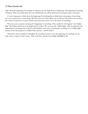reflect about the beginning of everything. In whatever you do, think about its beginning. The beginning of anything is Hashem. When you think about this, you will find that you will be much more motivated to get to your goal.

It's more important to think about the beginning of each thing than to think about the purpose of each thing. Let's say a person loves a certain thing. Why does he love it? If he reflects, he can discover that all loves are rooted in the Creator, because love is a power which comes from the Creator. He is the source of everything.

We must access our power of seeing the "beginning" in everything. This is really the "*ohr haganuz"*, the "hidden light" that Hashem hid away at the beginning of Creation. We can access the "hidden light" when we think into the beginnings of everything, and we discover that Hashem is the source of absolutely everything. It is a "hidden light" because at first this perspective is hidden from a person – until he finds it.

This power can be revealed on Chanukah. By accessing our power to see the beginning of everything, we can truly come to connect to the Creator - Who is the First, and the Last. האחרון ואני הראשון אני.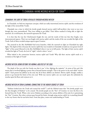# 7 | CHANUKAH: HAVING MESIRUS NEFESH FOR TORAH[23](#page-28-1)

# <span id="page-28-0"></span>CHANUKAH: THE LIGHT OF TORAH, REVEALED THROUGH MESIRUS NEFESH

In Chanukah, we find two important concepts, which are really intertwined [*mesirus nefesh*, and the revelation of the light of the *menorah*\the Torah].

Chanukah was a time in which the Jewish people showed *mesirus nefesh* (self-sacrifice); they went to war even though they were outnumbered. They were willing to get killed. Their efforts resulted in being able to light the *menorah*. As is well-known, the *menorah* represents the Torah.

It is clear that the way the *Chashmonaim* fought the war, and the results of this war that they fought, were interconnected aspects. Their war was fought with *mesirus nefesh*, and the results of the war revealed the light of the Torah. Each of these revealed unique aspects upon Creation.

The *menorah* in the *Beis HaMikdash* had seven branches, while the *menorah* we light on Chanukah has eight lights. The depth of this is because the *mesirus nefesh* that was revealed on Chanukah revealed an even greater level of "light" of the actual *Menorah* in the *Beis HaMikdash* when it was in its full purity. The light of their *mesirus nefesh* revealed the light of Torah, the level of "eight", which is above "seven".

What indeed is the connection between *mesirus nefesh* and Torah? Why did their *mesirus nefesh* result in a revelation of the light of Torah?

# MESIRUS NEFESH: GOING BEYOND THE NORMAL ABILITIES OF THE SOUL

The depth of the war with the Greeks was that it was "a few, fighting the majority". In terms of the soul, this means that it involved fighting a power that is beyond human strength. That is the power in the soul called "*mesirus nefesh"*. Each person has abilities in his soul, but all of these abilities are limited. *Mesirus nefesh*, though, enables a person to go beyond the limits of his own soul. With true *mesirus nefesh*, one can touch upon the unlimited; he touches upon his Root and connects to it.

# MESIRUS NEFESH IN TORAH LEARNING: CONNECTING TO THE HIGHER SOURCE OF TORAH

"Hashem looked into the Torah and created the world"[24](#page-28-2), and the *Midrash* states that "the Jewish people were the first thoughts of Hashem" to be created. The Jewish people are the "first" of Creation; we were the first to be formed from the Torah. When a Jew serves Hashem according to his various abilities of his soul, he is epitomizing the "first" Creation. But when a person goes beyond his limits, through using *mesirus nefesh*, he is attaching himself to the very Source that he was hewn from. From that place, comes true understanding in Torah.

<span id="page-28-2"></span>

<span id="page-28-1"></span><sup>&</sup>lt;sup>23</sup> <http://www.bilvavi.net/english/chanukah-042-mesirus-nefesh-torah><br><sup>24</sup> Zohar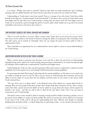It is written, *"Wisdom, from where is it found?*" Chazal say that when one makes himself into "*ayin"* (nothing), meaning, when he nullifies himself to the Source that he comes from, he receives the true wisdom of Torah.

Understanding in Torah doesn't come from oneself. There is a concept of one who learns Torah from within himself (as the Sages say, "Avraham learned Torah from himself"<sup>[25](#page-29-0)</sup>), but there is also a source of Torah which comes from higher than the self: when one's Torah learning is coming from the Source of the self. This higher source of Torah can be accessed by a person through the power of *mesirus nefesh*, which enables one to go above his normal soul abilities and connect to the Source that is above it.

# TWO DIFFERENT SOURCES FOR TORAH: SHAVUOS AND CHANUKAH

There is our soul, and there is its source. When a person wants Torah, there are two sources he can get it from. One source can be reached on the festival of Shavuos, through the ability of accepting the yoke of learning Torah. The other source can be reached on Chanukah, where one can acquire the power of *mesirus nefesh* in order to understand the Torah.

Thus, Chanukah is an opportunity for us to understand how *mesirus nefesh* is a source to access understanding in our Torah learning.

# UNCOVERING MESIRUS NEFESH IN OUR TORAH LEARNING

When a person merits to penetrate into this place in his soul that is above his actual level of understanding [through having *mesirus nefesh* in his Torah learning and persevering to understand it], he reaches the spiritual light of Chanukah, which enables him to understand the Torah from that higher source.

Understanding the Torah can only come from putting in effort and exertion to understand it, using our normal capabilities, but it also requires one to exert himself a little bit beyond his normal capabilities.

If a person goes his whole life learning Torah using only his natural capabilities, or if he doesn't try as much as he can (which is usually the case), he won't be able to see true success in Torah learning. But if someone uncovers his ability of *mesirus nefesh*, he can go above his own abilities, and from there, he can connect to the Source which Torah is derived from.

"The way of the wise is to always think", as the Ramchal writes. How indeed can a person think all day in learning? What do most people think about all day? Most People think about themselves all day. That is human nature. But when a person uncovers his ability of *mesirus nefesh*, he can go above this nature, and he acquires for himself a new nature - and then he will be able to think all the time about Torah. This is the true kind of connection to one's Torah learning.

This doesn't mean to force oneself to think in learning. Forcing oneself to think in learning is perhaps a way to get started, and in addition, it needs to be done sensibly. But when one uncovers his *mesirus nefesh*, he is connected to the source of the Torah, and he will get his understanding from there. Whereas most people are naturally thinking about themselves all day – or about things that are interesting to them – so can a person who uncovers his

<span id="page-29-0"></span>*<sup>25</sup> Midrash Tanchuma, parshas Vayigash*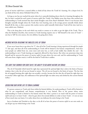power of *mesirus nefesh* have a natural ability to think all day about the Torah he's learning. On a deeper level, he can think all the time about *HaKadosh Baruch Hu*.

As long as one has not reached the point where he is *naturally* thinking about what he is learning throughout the day, he hasn't reached his soul's point of *mesirus nefesh* [for Torah]. Our Rabbis wrote that those who reached true understanding in Torah merited that their initial thoughts came from *Ruach HaKodesh*. How? It was because their thoughts naturally thought about the Torah they were learning. Just as the average person naturally thinks about himself all the time, so does a person who reaches *mesirus nefesh* naturally think about Torah all the time (and on a more subtle note, Hashem).

This is the deep place in the soul which one needs to connect to in order to get the light of the Torah. This is what the Rambam describes, that exertion in Torah learning requires one to "kill himself in the tents of Torah" – one has to 'kill' his own essence, his own abilities, by going above them.

## MESIRUS NEFESH: REACHING THE ENDLESS LEVEL OF TORAH

If one never learns how to go above his "I", then all of his Torah learning is being experienced through his simple "I" [the ego], and then all of his understanding in Torah will be limited to his human comprehension. And since most people are sullied from sin, some more and some less, as well as bad *middos* that inhabit the soul – the understanding in one's Torah learning are negatively affected by these factors. But when one penetrates deep into himself and he uncovers his power of *mesirus nefesh*, he goes above his own soul, and his understanding in Torah will come from a higher source; it will be the kind of Torah that is endless.

## THE LIGHT THAT BURNED FOR EIGHT DAYS: THE ABILITY TO GO ABOVE NATURE (IN TORAH)

The oil of Chanukah which lasted for eight days represented the spiritual light that is above the limits of human wisdom; that is why the oil was not bound to nature. The oil was not bound to the limits of nature. The fact that the oil stopped burning after eight days was actually a novelty, because the fact that the oil lasted for eight days was no novelty! (After eight days, the endlessness of the spiritual light was taken away and clothed by this current limited reality.)

#### DEDICATING OUR ENTIRE LIFE TO TORAH LEARNING

If a person connects to Torah only from within his limited abilities, his understanding in Torah will be limited to what he can comprehend, and human comprehension is very limited. Woe to the person whose entire understanding in Torah is limited to his human mind. But when a person is in touch with his power of *mesirus nefesh* and uses it to learn Torah – when he goes above his normal abilities in order to learn Torah – it's not an issue of how much time one learns. It is rather about how one dedicates his entire being to the Torah.

Just as Avraham tied Yitzchok to the altar, so do all of us have the power of *mesirus nefesh* in our own souls; we can all give up our whole being to the Torah.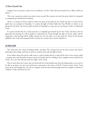Imagine if you were given a choice if you would die, or if the Torah will cease instead of you. What would you choose…?

This is not a question a person can answer in one second. But a person can reach the point where he is prepared to completely give himself up for Hashem.

There is a concept of *mesirus nefesh* in which one gives up his body for the Torah; but this is not the *mesirus nefesh* that was revealed on Chanukah. It is rather the light of *Olam HaBa* (the Next World), in which we are divested of our body. The *mesirus nefesh* revealed on Chanukah is: to give up our very being, in order to understand Torah.

If a person decides that he is ready each day to completely give himself up for the Torah, and that is how he approaches his learning, he will be guided to understand the Torah through the light of *mesirus nefesh*, and his connection to his learning will be endless, because he won't be able to ever part from the Torah; he has become nullified to the Torah and integrated with it, because he is ready to have *mesirus nefesh* for it.

## IN CONCLUSION

The words here were about something subtle, and deep. The concepts here are far from anyone who doesn't think about these things, and they are closer to someone who seeks the light of truth.

If one reflects about this and he really wants it, and he decides that he is ready all the time to have *mesirus nefesh* – meaning, that each day before he goes to learn, he decides that he is willing to have complete *mesirus nefesh* for the Torah – he is one who will truly merit the "light" of the Torah.

May we merit from the Creator that our bond with the Torah should come from the deepest place in our soul: to be able to go above our own soul and become connected to the Source of all the Torah we learn, where Torah comes from. And though this, may all of us together with the entire Jewish people merit the complete revelation of "Hashem, Torah, and Yisrael are one."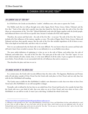# 8 | CHANUKAH: GREEK INFLUENCE TODAY[26](#page-32-1)

# <span id="page-32-0"></span>THE CURRENT EXILE OF "EREV RAV"

In *Al HaNissim,* the Greeks are described as "*zeidim*", rebellious ones, who came to uproot the Torah.

Our Rabbis teach that we will go through seven exiles: Egypt, Bavel, Persia, Greece, Edom, Yishmael, and the *Erev Rav*. [27](#page-32-2) Each of the exiles had a specific time that they lasted for. But the last exile, the exile of the *Erev Rav* (these are reincarnations of the "*Erev Rav*" [Mixed Multitude] souls who left Egypt together with the Jewish people, and influenced them to do evil) has no specific time, because it includes all of the exiles together.

Therefore, the current and final exile – the exile of the *Erev Rav* – is not just "the exile of the *Erev Rav"* alone. It includes all of the influences of the nations, together, at once. The exiles of Egypt, Bavel, Persia, Greece, Edom and Yishmael each have their specific natures. But the exile of the *Erev Rav* includes ingredients of all of them at once. This is the depth of our final exile, and this is why it is so hard.

Now we can understand why the final exile is the most difficult. No one knows when the current and final exile will end; it hasn't been revealed to anyone. But we are definitely in it, as our Rabbis wrote about.

The more subtle definition of explaining it is that we are in the exile of Edom, and within that, the exile of Yishmael, and within that – the exile of the *Erev Rav*. The main part of the exile is the "*Erev Rav"* aspect. It is an exile which includes all exiles; clearly, then, it is the most difficult of all the exiles. It pits us against the nations as never before. From all sides, we are surrounded with the evil influences that seek to ensnare us.

That describes the place and time we are in.

# THE UNIQUE NATURE OF THE GREEK EXILE

 $\overline{a}$ 

In a certain sense, the Greek exile was also different than the other exiles. The Egyptian, Babylonian and Persian exiles all took place outside of *Eretz Yisrael*, but the Greek exile took place in *Eretz Yisrael*, and not only that, but with the *Beis HaMikdash* still standing.

The Greeks came to defile the *Beis HaMikdash*. It added a new dimension to exile: that even when we have *Eretz Yisrael* and a *Beis HaMikdash*, we are still susceptible to danger.

Normally, exile is defined by the fact that we are exiled from *Eretz Yisrael* and forced to live outside the land. But the Greek exile was a new kind of exile: that even when we are in *Eretz Yisrael*, and even when we have a *Beis HaMikdash*, we can still be in exile. It wasn't just a side thing. It defined the whole Greek exile.

<span id="page-32-1"></span>*<sup>26</sup>* <http://www.bilvavi.net/english/chanukah-048-greek-infleunce-today-erev-rav>

<span id="page-32-2"></span>*<sup>27</sup> Although we refer generally to the "four" exiles (Bavel\Babylonia, Yavan\Greece, Persia, and Edom\Rome) the four really subdivide for a total of seven, when we add on Egypt, the root of all exiles; and the last exile, Edom, which breaks up into two additional exiles: the exile of Yishmael\Arabs and the innermost layer of the exile, the exile of the "Erev Rav." For the source on "exile of the Erev Rav", refer to Gra (the Vilna Gaon) in sefer Even Shelaimah available at the bilvavi website.*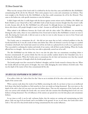What was the concept of the Greek exile? It is defined by the fact that they came and defiled the *Beis HaMikdash,* contaminating all the oils for the *Menorah*. Their entire purpose was to come and contaminate our holiness. They went straight to the *Heichal* in the *Beis HaMikdash*, so that they could contaminate the oil for the *Menorah*. They came to the holiest site, with specific intentions to ruin the holiness.

It didn't begin with that. It really began with the decrees against certain *mitzvos* such as Shabbos, *Bris Milah*, and Rosh *Chodesh*, as our *Chazal* tell us. But it still didn't look so bad, because everyone thought that they weren't really in exile, because after all, the *Beis HaMikdash* was still around. So although decrees were being made against us, decree after decree, still, people thought it wasn't so bad – because we still had the *Beis HaMikdash*.

What indeed is the difference between the Greek exile with the other exiles? The difference was astounding. During the other exiles, when we were exiled from *Eretz Yisrael* and we had no *Beis HaMikdash*, we knew we were in exile. But during the Greek exile, it did not seem to us that we were in exile, because we were in *Eretz Yisrael*, and we had a *Beis HaMikdash*.

The Greeks came to contaminate the oil – this did not just mean that we had a technical problem in that the Greeks had all the oil. It was all a result of what came before that. Olive oil (*shemen*) is seen by our Sages as a symbol of wisdom (*chochmah*); the Greeks had control over all the oil, both on a physical level as well as on a spiritual level. They succeeded in confusing the wisdom and minds of our nation, with all their secular thinking. When the Greeks affected how we thought - that was how they were able to physically control our oil as well.

The *Beis HaMikdash* was the holiest site, but it was also the place that can contaminate everything [when it becomes contaminated]. If a person thinks that this was just another random detail in the Chanukah story, he is missing the whole point. When the Greeks came to contaminate the oil, their real intentions were that they wanted to destroy the holy power of thought which the Jewish people possess.

The Jewish people were first conceived in Hashem's thoughts, and the Greeks wanted to destroy that too. When the Greeks affected our holy power of thought, they were really damaging the entire holiness of Jewish souls. That was the depth of the matter of how they contaminated all the oils.

# THE GREEK EXILE REAPPEARING IN THE CURRENT EXILE

If we reflect a little, the "exile of the *Erev Rav"* that we are in includes all of the other exiles with it, and that is the depth of the current exile.

When a person reads about the words of our Rabbis concerning the exile, he can know at least on an intellectual level about what kind of problem we find ourselves in, how our minds are being threatened. But even more so, the depth of the exile is that evil can enter even into the holiest places. That was the uniqueness of the Greek exile, and since our current exile includes the Greek exile, our current exile also contains that disturbing kind of evil: our very holiness is being threatened. The evil influences of the nations can spread into even the holy places and contaminate holiness.

In our times as well, it can be said, *rachmana litzlan*, that the nations are coming and contaminating our holy places. Only one jug of oil was found, and it was hidden in the ground. So too, in our times, the Greek exile is here with it. The real evil is that Jewish minds are being contaminated by the secular influences.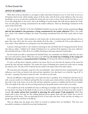# DEPTH OF THE CURRENT EXILE

When these words are absorbed, we can begin to realize what kind of situation we are in. First of all, we are in an all-inclusive kind of exile, which includes aspects of all the exiles, with all of the secular influences. But even more specifically, we are in an exile that resembles the Greek exile, for we live in *Eretz Yisrael;* and the exile that we are in is not only taking places in the streets, and in the buildings of secular people who make decrees against the Torah. Our very holy places are being contaminated by the modern influences, which are disturbingly reminiscent of the nature of the Greek exile.

It is not only the "*Heichal*" of the *Beis HaMikdash* hundreds of years ago which is being contaminated. Every shul and beis midrash in this generation is being contaminated by the secular influences! When a Jew walks into a shul or *beis midrash* nowadays, his mind is becoming contaminated from all of the secular ideas he hears about!

In this exile, "*Erev Rav*", which includes in it the Greek exile, we find ourselves facing Greek influences all over again. But worse still is that the current exile includes all of the exiles – it includes all of the secular influences of every nation. Those influences are coming into every *beis midrash* and *shul*!

A person is learning Torah in a *beis midrash* or davening in *shul*, and thinks that he's being protected by the fact that *shuls* are called a "*mikdash me'at"* (abode of holiness) he is in, and that all the impurity is the street, while he's safe and sheltered from it. After all, he is in middle of learning or *davening*, immersed in spirituality…

But the Greeks were able to contaminate the *Heichal*! If they can contaminate the *Heichal*, surely they can come into every *shul* and *beis midrash*. What this causes is the following: the initial way of thinking of the average Jew who lives in our times is a contaminated kind of thinking. It is because the whole air around us is impure.

It's clear to all that there's impurity outside in the streets. But it's not clear that the impurity of the streets has entered the *shuls* and *batei midrashim.* The secular *de'os* (ways of thinking) have entered our circles and are ruining the mind of a Jew. The *daas* of the Torah has become exiled to the impure *daas* of the other nations.

We must know that all people, except for a few rare individuals - their minds have been contaminated by secular influences; even if they are found in the *shuls* and *batei midrashim*. One who doesn't try to find the "jug of oil" in our times – meaning, if he doesn't search for truth – he will not see the truth.

But the real difficulty is that people don't even realize that there's a problem. If we would know that there was an exile, everyone would cry to Hashem and beg Him that we attain a pure mind and have real daas. But people think that exile is only in the streets, not in the *shuls* and *batei midrashim*; a person is confident that his *de'os* are truthful. This is the depth of the exile; our *de'os* are being mixed up by the gentile nations, and we don't even realize.

If we would list all of the untruthful *de'os* that are affecting us nowadays, there would not be enough time. But we must know one thing: In the depth of exile we are in, in the last couple of years (it's hard to say when exactly it started), the secular nations have succeeded in uprooting the entire proper Torah perspective which *frum* people used to have. Not only are they making financial decrees against those who learn Torah; that is just the external part of the decree. They are uprooting all *de'os* of even those who learn Torah, and they are doing so to groups of people here and there; it all adds up.

They are taking away the proper *de'os* which we received as tradition from our forefathers. They have even succeeded in causing us to doubt the most basic fundamentals.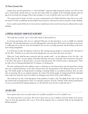Anyone born into this generation is a "*tinok shenishboh"* (captured child) among the nations, even if he is born into a Torah family, because there are very few *de'os* today which are truthful. In the Chanukah episode, only one jug of oil was found; the message of this is that nowadays, it is rare to find the truth, even in the Torah world.

The actual words of Torah, of course, are never contaminated, as the *Nefesh HaChaim* writes. But in our souls, the words of Torah can definitely become hidden from the person, when his real mind is ruined by secular thinking.

If one would research all his *de'os* in his mind, he would discover how much he has become influenced by secular thinking.

# A SPIRITUAL HOLOCAUST TAKING PLACE IN OUR MIDST

The words here are harsh - but it is the reality which we find ourselves in.

In previous generations, they were in a physical Holocaust. In this generation, we are in middle of a spiritual Holocaust. The spiritual Holocaust is not only affecting those who have gone off the *derech* and taken to the streets; it is affecting even us who are in the *beis hamidrash*! The true *de'os* are being uprooted, and the holiness of the Jew's soul is being extinguished.

It is all because of what the influence of the *Erev Rav* is doing; because people are connected with "the heads of the *Erev Rav*". And there is no end to how much damage they can cause when they enter our circles.

When the Torah world becomes connected with the outside world – via the influences of the *Erev Rav* – the "heads of the *Erev Rav*" can mix together *Chareidim* with those who aren't *Chareidim*. How do they have the power to do this?? The answer is: Because there is no more *Chareidi* society! The *Chareidi* society is already gone! There are only a few G-d fearing individuals left. It's all gone, it's all destroyed.

We must understand that their influence upon is a holocaust to us! Someone born into this generation is being born into a spiritual holocaust, no less than someone born into the generation of the Holocaust that was 50 years ago. The Jewish people are being burned; everything is burning! Maybe in our physical situation, there are some who are surviving. But in our spiritual situation, the souls of the Jewish people are being burned! Each individual must realize how much the ways of our fathers are being given up in favor of the secular influences.

The words here are just a brief description of the problems of today's exile. The depth of the exile is that each day, Jewish souls are being burned. There is no safe place anymore. Even the "*Heichal"* itself is being contaminated. It is not an external kind of impurity going on; it is the kind that enters the Jew's mind and ruins it.

# THE ONLY HOPE

Every opinion that enters our minds needs to be carefully researched to see if it's truthful or not.

The truth must burn in our hearts. We need to daven and cry out to Hashem, from the depths of our hearts: "Save me from this generation that I am in, from all the impurity that is everywhere! Help me get through this lifetime properly!"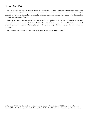$\overline{a}$ 

One must know the depth of the exile we are in – that there is no more *Chareidi* society anymore, except for a few rare individuals who fear Hashem. The only thing that we can do in this generation is to connect ourselves truthfully to Hashem, and one who is connected to Hashem, and he makes sure to have *mesirus nefesh,* he resembles the heroic *Chashmonaim* of history.

Although we each have our various ups and downs in our spiritual level, we can still remain all the time connected with Hashem and pray to Him all the time that we remain connected with Him. We must be very afraid of the situation that we are in right now, because of the spiritual danger that surrounds us; that fear is what can protect us.

May Hashem end this exile and bring *Moshiach*, speedily in our days, *Amen V'Amen*. [28](#page-36-0)

<span id="page-36-0"></span>*<sup>28</sup> Refer also to Tefillah #085- Erev Rav Today and Derashos #0103 – Surviving Spiritually. See also Tefillah #093- Media Influence and Tefillah #094- Seeking Advice . Refer also to the Rav's series of Getting To Know Your Hisboddedus Practice and the clip of Eretz Yisrael Today.*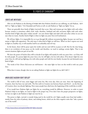# 9 | FIGHTS OF CHANUKAH<sup>[29](#page-37-0)</sup>

## FIGHTS ARE INEVITABLE

After we ask Hashem in the blessing of בעניניו ראה that Hashem should see our suffering, we ask Hashem, ריבה ריבנו to "fight our fights." On Chanukah and Purim as well, we ask Hashem to "fight our fights" for us.

There are generally three kinds of fights (*merivah*) that occur. Man and woman get into fights with each other, because woman is sometimes called *rivah*, strife; therefore, husband and wife encounter fights with each other. Another kind of fight takes place within oneself - our own desires fight and clash with each other [when we are not sure what we want]. Another kind of fight is when we fight our *yetzer hora* (evil inclination).

We all have fights. It is impossible for us to go through life without encountering fights, because our soul has a nature to fight with opposition. The only issue is what kind of fight we will have. When we don't express our need to fight in a healthy way, it will manifest itself in an unhealthy and evil way.

In the future, there will be peace upon the world, and our soul will be at peace as well. But for the time being, there is no revelation of true peace on the world, and therefore, we need to undergo certain fights. That is our current situation; fights are part of our life.

We have the power of *bechira* (free will) to decide if our fights will mainly be with our *yetzer hora* - or if they will be with people. If a person fights his *yetzer hora* a lot, he will fight a lot less with others. If he doesn't fight his own *yetzer hora*, he will end up fighting a lot with other people and with his own family, because his soul demands some kind of fight.

The words of the *Chovos HaLevovos* are well-known – the main fight we have on this world is with our *yetzer hora.* 

What does it mean, though, that we are asking Hashem to fight our fights for us, ריבנו ריבה ?

## WHEN DOES HASHEM FIGHT FOR US?

l

The world is full of wars, some bigger and some less. But every day, there are wars. Since the beginning of Creation, there has been war and strife. The first strife in Creation was between Kayin and Hevel – on the first day of Creation, there was already fighting. How many people have died since the beginning of this world due to strife!

If we would have Hashem fight our fights for us, everything would be different. However, in order to merit Hashem's help in our fights, we need to fight in the proper way. If we don't have the proper perspective on fights, we have no right to ask Hashem to fight our wars for us.

The power to fight, *merivah*, is mostly being used in the world for evil. Fights usually stem from bad *middos* – mainly from the traits of jealousy, desire, and seeking honor, which are the three negative traits that "take a person out of the world".

<span id="page-37-0"></span>*<sup>29</sup>* <http://www.bilvavi.net/english/tefillah-067-fights-chanukah>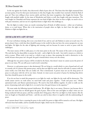In the war against the Greeks, they discovered a flask of pure olive oil. This hints that their fight emanated from an inner purity; if not for their pure motivations in why they fought, they wouldn't have merited to find the flask of pure oil. They were willing to have *mesirus nefesh*, and from that inner recognition, they fought the Greeks. They fought with purified *middos*. In the times of Mordechai and Esther as well, they fought with pure intentions. The wars fought on Chanukah and Purim represent the true kind of fight: that when we have to fight, we need to do so with pure intentions, and not out of a superficial desire to fight those who challenge us.

But the fights in today's times are mostly stemming from all kinds of selfish interests – either out of jealousy, desire, or to seek honor. When this is the motivation of people when we fight, we don't have the right to ask Hashem to fight our fights for us.

## FIGHTING ALONG WITH A HOPE FOR PEACE

If a war is all about winning, this is not a true kind of war, and we can't ask Hashem to assist us in such wars. If a person doesn't have a wish that there should be peace in the world, he does not have the correct perspective on wars and fights. He fights for the sake of fighting and winning, and not because he wants to arrive at peace with his challengers.

The inner essence of life is really peace; it is the inner point in the soul. The nature of the soul is to be peaceful. The soul also has the deep ability to pursue the truth – and to fight for the truth - but truth is meant as a vehicle to arrive at peace. When truth is not used as a vehicle to get to peace, then pursuing the truth is destructive to the world, because when peace isn't the goal, the goal is instead about victory over the enemy.

Although the true power of peace will be revealed in the future, that doesn't mean we cannot access the power of peace in our times. We can still access it and reveal it somewhat.

However, to *only* pursue peace is also detrimental. We are living in a world which is a mix of good and evil, and it is mostly evil; if a person only pursues peace, and he does not fight for truth, then he will wish to connect with the entire world, even with those who are totally evil. This is detrimental. A person must not use the deep power of peace to seek peace with the evil in our times. Instead, we must access our power of peace by desiring deep down that there should be peace in the world.

If we do not bear in mind this perspective as we fight for truth, our fights for the truth will be destructive. The world cannot survive on truth alone; we need both truth and peace together. "Truth and peace met." Moshe epitomized truth, and Aharon epitomized peace. We need to fuse both abilities together. In order to really use the power of pursuing truth and to fight for it, we need to have the goal of peace in the equation.<sup>[30](#page-38-0)</sup>

We must make the following internal clarification. We all fight; that is our nature. However, just because this is true does not mean that we should ignore the goal of peace. Most of the wars and fights in today's times are not being conducted with any peace, and they certainly don't bring peace. But if we can fight in a holy manner, like the wars we fought on Chanukah and Purim – and this can only be done when it is together with the understanding of peace.

<span id="page-38-0"></span>If a person doesn't have a yearning for peace in the world, his power to fight will be turned to evil uses. His fights will stem from bad *middos*, and he resembles Korach's fight, which was for evil motives.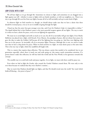## HOW TO DEAL WITH A FIGHT

<span id="page-39-1"></span><span id="page-39-0"></span> $\overline{a}$ 

We all have fights as we go through life. Sometimes we choose to fight, and sometimes we are dragged into a fight against our will – whether it comes to fights with our family members, or with our neighbors, etc. There is no way to go through life scot-free from any fights, because all of us will inevitably end up in some kind of fight.

In whatever fight we find ourselves in, though, we should always make sure that we have a desire that there should be eventual peace, even as we are in middle of going through the fight.

*Chazal* say that the *yetzer hora* gets stronger every day, and if not for Hashem's help it is impossible to defeat.<sup>[31](#page-39-0)</sup> The depth behind this is that Hashem's peace is the most powerful weapon against all our fights. The way to merit it is when we have a desire for peace, even as we are fighting the opposition.

We must try to avoid fights and strife as much as we can, but all of us inevitably will get into fights. Even Moshe *Rabbeinu* was placed into a fight, with Korach. Even Aharon, the paradigm of peace, did not always have peace; he gave the idea to make the Golden Calf because all of the fighting that was going on. And they were fighting with him too in the process. So inevitably, all of us encounter fights. However, although this is true, we need to make sure that we have a deep desire for peace. When we find ourselves in a fight, we must desire peace at the same time. This is the true way to fight, which the *tzaddikim* all fought with.

This is a matter that requires deep reflection. This was always a point that needed to be considered, but in our generation especially, where there is much war and strife going on, this matter needs tremendous attention. If a person doesn't make this reflection, he will lose both this world and the Next World, in his ignorance towards this concept.

The sensible way is to seek both truth and peace together. As we fight, we must wish there could be peace too.

Even when we had to fight the Greeks, who created the Greeks? Hashem created them. We were only to win over them because we realized that they were *Hashem's creations*….

May we merit that Hashem should fight our fights, and that He should reveal onto the world "the vessel which holds all blessing – the power of peace".<sup>[32](#page-39-1)</sup>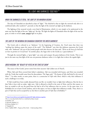# 10 | LIGHT AND DARKNESS TOGETHER [33](#page-40-0)

## WHEN THE DARKNESS IS TOTAL, THE LIGHT OF THE MENORAH BEGINS

The days of Chanukah are described as days of "light." The *halachah* is that we light the *menorah* only after it is confirmed dark, after sundown<sup>[34](#page-40-1)</sup>, precisely so that the light of the *menorah* can light up the darkness.

The lighting of the *menorah* reveals a new kind of illumination, which it is not simply to be understood in the same way that the light of the sun "lights up" the day. We light the lights of Chanukah when the light of the sun has gone, in order to reveal a new, unique light in its place.

## THE LIGHT OF THE MENORAH ON CHANUKAH COUNTERS THE GREEK DARKNESS

The Greek exile is referred to as "darkness." At the beginning of Creation, the *Torah* states that there was "nothing but darkness upon the waters of the earth". The Midrash<sup>[35](#page-40-2)</sup> says that this darkness represents the Greek exile, who "darkened" the eyes of the Jewish people with their decrees, for they said, "*Write on the horn of a bull that we have no portion in G-d of Israel*." In another place, the Sages refer to the Greeks as a "great darkness".[36](#page-40-3)

Through the *menorah* lights, a "great light" can come and conquer the great darkness of the Greeks. This is not just in the same way that light of the sun can penetrate darkness; rather, it is a light that is above the regular light.

## GREEK WISDOM: THE "BEAUTY OF YEFES IN THE TENTS OF SHEM"

The source of the Greeks' power stems from their ancestor *Yefes* [oldest son of *Noach*].

When *Yefes* and *Shem* covered their father's nakedness, *Yefes* was rewarded with beauty, and *Shem* was rewarded with the Torah that would come from his descendants. The Sages said, "*The beauty of Yefes shall dwell in the tents of Shem*."[37](#page-40-4) In other words, at some point, there is a connection of *Yefes* with *Shem,* which is why their influence is such a challenge to us today.

If *Yefes* would have been totally alienated from our life, we wouldn't have to fight their influences. But the fact is that Yafes is here with us today- right now. *Yefes* is allowed to dwell in the tents of *Shem*, and for this reason, we have an *avodah* to sift out the good from the bad in all of the influences that we receive. At the same time, it is forbidden for us to learn Greek wisdom, and in this aspect, we have to fight their influences totally. Thus, there is a part of *Yefes* that can be accepted by us, but there is another part of *Yefes* that is forbidden.[38](#page-40-5)

- <span id="page-40-2"></span>*35 Beraishis Rabbah 2:4*
- <span id="page-40-3"></span>*36 Shemos Rabbah 51:7*
- <span id="page-40-4"></span>*37 Megillah 9b*

<span id="page-40-0"></span>*<sup>33</sup>* <http://www.bilvavi.net/english/chanukah-007-light-darkness-together>

*This is a very deep drasha built on a multitude of deep concepts*

<span id="page-40-1"></span>*<sup>34</sup> Shabbos 21b*

<span id="page-40-5"></span>*<sup>38</sup> See Tefillah #090 – Purpose of Our Exile – Understanding Others*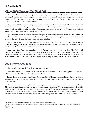## WHAT THE GREEKS INHERITED FROM THEIR ANCESTOR YEFES

The parts of *Yefes* which may be accepted into the Jewish people stem from the fact that *Yefes* did a noble act in covering his father *Noach*. The entire praise of *Yefes* was that he covered his father. On a deeper level, the Greek nation that descends from *Yefes* received this power to "cover." *Yefes* used this power for holiness, but his descendants, the Greeks, use this power for evil.

The Sages describe the Greeks as being a "darkness", and darkness is the power to cover and conceal. Clearly, the Greek darkness means that their power to "cover" is used for evil, for purposes of concealing holiness. On the other hand, *Yefes* is praised for covering his father. This was the same power to "cover", but *Yefes* used it for holiness, which his descendants took this power and used for evil.

*Yefes* covered his father's nakedness; the entire concept of nakedness only came after the sin, for only after the sin did Adam and Chavah become ashamed of their nakedness. Modesty was a concept that was introduced as a result of the sin, because before the sin, there was no concept of nakedness.

There are two concepts of coverings: before the sin, and after the sin. After the sin, Adam and Chavah covered themselves with fig leaves. When *Yefes* covered his father's nakedness, this was a kind of modesty that came after the sin of Adam; when a covering is used to cover nakedness.

At the giving of the Torah, we returned to the level of before the sin, but with the sin of the Golden Calf, we fell back to the level of after the sin, and the concept of being ashamed over nakedness returned. Thus, the Greek concept of covering nakedness came back with the sin of the Golden Calf; it enabled the Greek nation to nurture their power to "cover". When the *Chashmonaim* defeated them, they essentially defeated this "Greek darkness".

## MODESTY BEFORE AND AFTER THE SIN

There are a few ways how the "Greek darkness" can be vanquished.

The simple approach is: "*A little bit of light can push away a lot of darkness.*"[39](#page-41-0) This is one approach, and it is true. This is the simple idea of Chanukah: to illuminate darkness.

But the deeper understanding is as follows. There was a kind of darkness that existed before the sin<sup>[40](#page-41-1)</sup>, and there was a darkness that came after the sin [which we are currently in]. Darkness, in essence, is a power to conceal and hide something.

This entire concept of "covering" is really the concept of modesty, which only came into Creation after the sin. Modesty is needed when something is proper to be kept hidden. For example, "The Jewish nation are a holy people, and therefore they do not have marital relations during the daytime".<sup>[41](#page-41-2)</sup> The time when marital relations are proper is nighttime – a time in which there is darkness, covering, concealment, privacy, modesty. But the entire nature of concealment, which is the idea behind modesty, is an idea that only came into Creation as a result of the sin.

<span id="page-41-0"></span>*<sup>39</sup> Chovos HaLevovos: Shaar Yichud HaMaaseh: 5; and also in Rabbeinu Bachye: Beraishis 4:7*

<span id="page-41-2"></span><span id="page-41-1"></span>*<sup>40</sup> For more on the "original darkness" of Creation and how it pertains to the soul, see also Getting To Know Your Torah #06 – Difficulty In Learning.*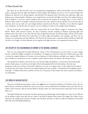But where do we find the holy roots of concealment*/*covering*/*darkness, which existed before the sin? Hashem made a separation between light and darkness. Rashi explains that Hashem saw that it won't be good if light and darkness are allowed to be mixed together, and therefore He separated them. But before the separation, light and darkness were mixed together. Darkness, in its original form, was mixed with light, and this is the original and pure kind of darkness. It was not a kind of darkness that existed for the purpose of covering; thus, it is not a kind of darkness which needs to be fought. *Gehinnom* and strife were only created on the second day, but on the first day of Creation, there was no strife yet, even though darkness existed on the first day. Therefore, we see that the original state of darkness, on the first day of Creation, was not a darkness of strife. It was a higher kind of darkness.

On the second day of Creation, strife was created when the Lower Waters sought to overpower the Upper Waters. When strife entered Creation, the idea of disparity entered, resulting in Hashem separating light and darkness from each other. It was then that the idea of opposition between the Jewish people and the Greek nation began conceptually. But before the second day of Creation, light and darkness were together, and there was no concept yet to disassociate yet from darkness. The first day of Creation thus contained a kind of darkness which did not have to be fought, in which darkness can be together with light and there is no opposition between them.

#### THE VICTORY OF THE CHASHMONAIM: RETURNING TO THE ORIGINAL DARKNESS

Now we can understand the depth behind the victory of the *Chashmonaim* over the Greeks. It wasn't simply because "a little bit of light can dispel a lot of darkness." In waging war with the Greeks, the *Chashmonaim* were able to reveal the original darkness of Creation, the root darkness, in which darkness and light were together. When the root of darkness is returned to its root, revealed is a point which is above war which is the ultimate victory.

The superficial viewpoint is that there was a war between light and darkness, a war between the Jewish people and the Greek nation, a war between the light of the Jewish people with the Greek darkness. But the inner perspective of the war was that it returned to darkness to its root, to its upper source, to the original way it looked on the first day of Creation. And since this original darkness became revealed – the kind that was originally mixed with light – it followed that there could be no more war. The power of the Greeks who tried to uproot our holiness was eliminated.

#### THE POWER OF MESIRUS NEFESH

The power of darkness*/*concealment which came after the sin is the kind of darkness of Yitzchok *Avinu*, who was blind. Because Yitzchok was blind, his vision was covered, so he was affected by the darkness that came after the sin. Yaakov *Avinu*, however, did not become blind in old age; rather, his vision became heavy upon him, but he was still able to see.

The depth behind this was because Yitzchok represents *gevurah/*strength, which implies war, thus, he was affected by the darkness which came after the sin, which is the kind of darkness that needs to be fought. But Yaakov *Avinu* represents the middle point between Avraham and Yitzchok, therefore, he did not suffer the blindness of Yitzchok that came from his blindness*/*darkness.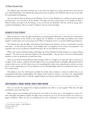The *Midrash* states that when Yitzchok was on the Altar, the angels were crying, and their tears went into his eyes, which blinded him. The *Midrash* also brings that because he gazed at the *Shechinah* when he was on the Altar he was punished with blindness.

This was really the deep rectification of the blindness. The test of the *Akeidah* was a revelation of *mesirus nefesh* of Yitzchok *Avinu* – he was ready to die for Hashem. The Sages state that a person merits to see Hashem in death.<sup>[42](#page-43-0)</sup> When Yitzchok was ready to die for Hashem, it was as if he saw the *Shechinah*. This was a kind of seeing, and it resulted in his blindness. This was a kind of "darkness" that was mixed with light.

#### HOLINESS IS TO BE SEPARATE

What exactly does it mean that light and darkness are mixed together? What does it mean that the *Chashmonaim*  returned the darkness of the Greeks to the original state of darkness, in which light and darkness were mixed together, and thus there was no more point of war? Before we bring the answer, we need the following introduction.

The *halachah* states that the lights of the *Menorah* have holiness and, therefore, we have no permission to benefit from them – we may only look at them<sup>[43](#page-43-1)</sup>. Even thought, there is an argument in the *Gemara* concerning this<sup>44</sup>, the *halachah* is that we are not allowed to benefit from them. We are only allowed to see them.

What is the concept of holiness? Rashi and Ramban (in *Parshas Kedoshim*) describe holiness as a concept of being "separate". The same can be said of the holiness of the *Menorah* lights – they are above our level of understanding, therefore, we have no permission to benefit from them.

There are two kinds of seeing: (1) One kind of seeing is when we use light to see with, like when we read next to the light. In this scenario, using the *Menorah's* light for his own personal benefit, is forbidden. (2) Another kind of seeing is when you see it as holy, when you see it as something that is above your comprehension, and you are aware that it is more exalted than you. We are allowed to see the Chanukah lights with the second kind of vision: to just see it, and no more.

This alludes to how the *Chashmonaim* rectified the Greeks whose wisdom is a kind of wisdom that we can comprehend with human understanding. The wisdom of the Torah, by contrast, is not able to be comprehended through human wisdom alone. It is like the original darkness of Creation, which was mixed together with light.

#### GREEK WISDOM IS TANGIBLE WISDOM, TORAH IS INNER WISDOM

How can it be that the original form of light and darkness were able to co-exist together? Why don't the light and darkness cancel each other out?

When a person sees something and he knows he can't reach it, he cannot use it, even though he is aware of it. This is like light and darkness together; the light is here, because he can see it, but the fact that he can't reach it is a degree of darkness. When one can see something but he can't understand it or reach it, that means he is really

<span id="page-43-0"></span>*<sup>42</sup> Toras Kohanim Vayikra 1; Kallah Rabbasi 3*

<span id="page-43-1"></span>*<sup>43</sup> Orach Chaim 673:1*

<span id="page-43-2"></span>*<sup>44</sup> Shabbos 21a*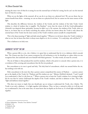missing the inner view of what he is seeing; he sees the external layer of what he's seeing, but he can't see the internal layer of what he's seeing.

When we see the lights of the *menorah*, all we can do is see them on a physical level. We can see them, but we cannot benefit from them – meaning, we can see them on a physical level, but we cannot see the inner essence of the light.

This describes the difference between the wisdom of the Greeks and the wisdom of the holy Torah. Greek wisdom is a kind of wisdom that is tangible. The Ramban<sup>[45](#page-44-0)</sup> wrote that the wisest of all the Greek philosophers (Aristotle) was skeptical about spirituality, because he didn't see it. By contrast, the wisdom of the Torah, when we learn it, we know that we are barely scratching the surface; all that one knows about the Torah is only about the external layer of the Torah, but the inner essence of the Torah's wisdom cannot actually be comprehended.

This is the deep meaning of "light and dark mixed together." Whatever we do know about the Torah's wisdom is what we see, but we know that there is always more depth to it, for it is written, "It is vastly deep, who will find it?"<sup>[46](#page-44-1)</sup>

This is darkness at its holy root.

#### DARKNESS "AFTER" THE SIN

When a person falls to a sin, *chas v'shalom,* it is upon him to understand that he is in a darkness which conceals him. The *Gemara* says that if one cannot overpower his evil inclination to sin, he should go to a place where no one recognizes him, don sackcloth and cover himself with black garments.<sup>[47](#page-44-2)</sup> In other words, sin must be covered.

The sin of Adam is what produced the need for modesty, which is the power to conceal; when a person sins, it is a revelation of the covering and concealment that the first sin produced.

But concealment at its root is good and holy. The holy kind of concealment, which was around before the sin, has nothing to do with sin.

Holy concealment is the mere fact that a person cannot comprehend the essence of Hashem – a person cannot get to the depths of the Torah, for "Hashem and His wisdom are one." Shlomo *HaMelech* declared, *"I said I would try to understand it, [but] it is far from me."[48](#page-44-3)* When a person tries to learn the Torah's wisdom, he is viewing its light, but he sees that he cannot understand the depths of the Torah's wisdom, and this is darkness to him. This is the "light and darkness mixed together."

This does not mean to imply that one should give up on trying to understand the Torah, *chas v'shalom.* The Torah is not only a darkness – it is light together with darkness. Thus, we have a *mitzvah* to delve in it all day and try to understand it, but at the same time, we must know that its depths are far from us. It is both light and darkness together.

<span id="page-44-0"></span>*<sup>45</sup> Kisvei HaRamban: "Derashas Toras Hashem Temimah"* 

<span id="page-44-1"></span>*<sup>46</sup> Koheles 7:24*

<span id="page-44-2"></span>*<sup>47</sup> Kiddushin 40a*

<span id="page-44-3"></span>*<sup>48</sup> Koheles 7:23*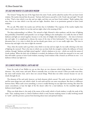## THE SAGE WHO WANTED TO LEARN GREEK WISDOM

The *Gemara*<sup>[49](#page-45-0)</sup> brings that one of the Sages knew the entire Torah, and he asked his teacher if he can learn Greek wisdom. His teacher showed him the *possuk*, *"And you shall immerse yourself in it [the Torah], day and night.*" He said to him, "Find a time which is not day and not night, and then you can learn Greek wisdom." Rashi explains that since there is no time which is not day and not night, therefore, there is no permission granted to learn Greek wisdom.

We can ask: Why didn't his teacher just tell him that it's forbidden? The response of the teacher implies that there is such a time in which it is not day and not night; what is the meaning of this?

The deep understanding is as follows. The *mitzvah* to light *Menorah* is after sundown, and the time of lighting lasts preferably [*l'chatchilah*] until passerby's are no longer walking in the marketplace. It is really the time in which darkness and light are mixed together, because it is the time of twilight *(bein hashemashos)* – the time in between day and night. It is complicated to discuss the status of the time of *bein hashemashos[50,](#page-45-1)* but with regards to our discussion here, it is a time in which the sun has already gone down, yet it is not totally night time. The time in between day and night is the time to light the *menorah*.

Thus, when the teacher said to go find a time which is not day and not night, he was really referring to the time of lighting the *menorah*. That is the time in which one can draw forth the strength to defeat the influence of Greek wisdom, through "darkness and light mixed together", which is darkness at its root – which can rectify the nature of Greek wisdom. When the holy root of darkness is revealed, the darkness of the Greeks has returned to its root, and that will enable a person to learn Greek wisdom; meaning, Greek wisdom is like a branch cut off from its root – it is darkness without any light in it.

## THE ELEMENTS WHICH CONCEAL: EARTH AND FIRE

From the words of our Rabbis we can see that there are two elements which bring darkness. There are four elements – fire, wind, water, and earth. Water is naturally clear, so it does not conceal. Unless you make water dirty, the water itself remains clear, and it does not conceal things. Wind does not either conceal, because we can see clearly through the air.

The elements of fire and earth, however, are both elements which conceal. The earth covers the dead in burial, and fire turns things into coal, which is dark. So each earth and fire can cause concealment. But there is a difference between them. When earth covers something, it covers it totally blotting out any light from entering. But when fire causes concealment, at least the light of the fire doesn't allow for a total darkness. So fire resembles light and darkness mixed together.

When you think about it, the study of the nature of the world, which is Greek wisdom, is really the study of the earth. Thus, studying nature is a kind of darkness which is total, because studying nature is really involving oneself in "earth", and this prevents a person from knowing about inner and spiritual wisdom.

<span id="page-45-1"></span><span id="page-45-0"></span>*<sup>50</sup> See Tur and Shulchan Aruch Orach Chaim: 672*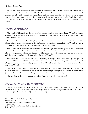On the other hand, the element of earth reveals the potential of the other elements<sup>[51](#page-46-0)</sup>, so earth can both conceal as well as reveal. The Greek darkness resembles the element of earth, for it is a total darkness that causes total concealment. It is rectified through the higher kind of darkness, which comes from the element of fire, in which light and darkness are mixed together. The Torah is likened to a fire<sup>52</sup>, and it is also called "black fire on white fire"<sup>53</sup>, because the light and darkness mixed together that is the Torah is what can rectify the darkness of the Greeks.

## THE EIGHTH LIGHT OF CHANUKAH

The miracle of Chanukah was that the oil of the *menorah* lasted for eight nights. In the *Menorah* of the *Beis HaMikdash*, there were seven lights, while on Chanukah we light eight lights, in the *menorah*. What is the source for lighting the eighth light?

How can it be that we light eight lights, when the *Menorah* in the *Beis HaMikdash* had only seven? The *Menorah*'s light represents the source of all light in Creation – so if all light is modeled after the *Menorah*, how can it be that we light more than what the actual *Menorah* in the *Beis HaMikdash* was?

Rashi<sup>[54](#page-46-3)</sup> states that in the evening, the wicks from the Western Light were removed, placed in the Kohen's hand or in a vessel, and the wick would continue to burn from the oil that was absorbed in it; as this was going on, a new wick and oil replaced the old one, and then they would relight the new wick from the old wick, and from the new wick they would proceed to light all of the other lights of the *Menorah*. [55](#page-46-4)

From these words of Rashi we can find a hint to the concept of the eighth light. The Western Light was split into two different lights as it was being replaced – there was a new one and an old one burning at the same time. The old wick, as it continued to burn after being taken out of the *Menorah*, is really the root of the concept of the eighth light in the *Menorah*.

The Maharal<sup>[56](#page-46-5)</sup> though finds a different source for the eighth light in the *Menorah*: there was a light coming from the Aron in the Holy of Holies (*Kodesh Kodashim*), and there was a light coming from the *Menorah* in the Sanctuary (*Heichal*). The *Aron* is from the word *ohr* (light), because the *Aron* contained its own light.

This was like an eighth light – it was a level of light above the seven lights of the *Menorah*.

## INNER MODESTY – THE ROOT OF UNDERSTANDING TORAH

<span id="page-46-6"></span>The source of *ohr/*light is called "*Torah Ohr*", and Torah is light and darkness mixed together. Hashem is concealed yet revealed, and so is His Torah concealed yet revealed.<sup>[57](#page-46-6)</sup> There is an aspect of revelation in the Torah, as well as an aspect of concealment in it [as it was explained here].

<span id="page-46-0"></span>*<sup>51</sup> as the Maharitz writes in the glosses of sefer Nefesh HaChaim*

<span id="page-46-1"></span>*<sup>52</sup> Yirmiyahu 23:29*

<span id="page-46-2"></span>*<sup>53</sup> Rashi Devarim 33:2, Midrash Tanchuma: Beraishis: 1*

<span id="page-46-3"></span>*<sup>54</sup> Shabbos 22b*

<span id="page-46-4"></span>*<sup>55</sup> This follows the view of Rashi, but Tosafos concludes differently.*

<span id="page-46-5"></span>*<sup>56</sup> Ner Mitzvah p.23*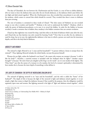The days of Chanukah, the war between the *Chashmonaim* and the Greeks, is a war of how to define darkness. {Do we want] to have the darkness that came after the sin (Greek darkness), or the darkness which came before the sin (light and dark mixed together). When the *Chashmonaim* won, they revealed that concealment is not only used for modesty, which comes to conceal that which should be covered. They revealed that there is more to darkness than just covering.

The root of modesty is contained in these words of *Chazal*: "The holy names [of Hashem] are not revealed except to one who is modest and humble."<sup>58</sup> Modesty is the tool to understand the hidden<sup>59</sup>. Modesty, which is really the power of darkness*/*concealment, at its root, is to reveal the hidden. In order for the hidden to become revealed, it needs a container that is hidden; thus, modesty is the hidden container that can contain revelation.

*Chazal* say that nighttime was created for sleep, (and this refers to the kind of darkness which came after the sin), and *Chazal* also say that daytime was only created for learning Torah.<sup>[60](#page-47-2)</sup> Now that we are after the sin, darkness is used for sleep, but at its root, the nighttime*/*the darkness is the time in which a person can reach into his innermost depths, and this is the holy kind of darkness.

#### MODESTY AND WOMEN

The *mitzvah* to light *Menorah* is on "a man and his household".[61](#page-47-3) A person without a home is exempt from the *mitzvah*[62.](#page-47-4) Thus, lighting *Menorah* includes the whole family, not just the person himself.

Women do not light, unless the husband is not home<sup>63</sup>; the reason why women are exempt is because "a wife is like his body<sup>[64"](#page-47-6)</sup>, therefore, a married woman is included with her husband when he lights.<sup>[65](#page-47-7)</sup> Another reason brought<sup>[66](#page-47-8)</sup> is because "*the entire honor of a daughter of the king is on her inside*", [so it is not modest if she lights]. The Vilna *Gaon*<sup>[67](#page-47-9)</sup> says that the nature of a woman is to be modest; the level of a woman's spirituality is determined by how modest she is, because the inner depth of something is what defines it.

#### THE LIGHT OF CHANUKAH: THE DEPTH OF INCREASING SHALOM BAYIS

The *mitzvah* of lighting *menorah* is on "man and his household", and the wife is called the "home" of her husband<sup>68</sup>. The depth of this is because the light of the *menorah* is light and darkness mixed together; it is not simply a light that comes to dispel the darkness, because if that would be the purpose, then the obligation would be separately upon man and woman. But lighting *menorah* is the light of "light and darkness mixed together", which

- <span id="page-47-3"></span>*61 Shabbos 21b*
- <span id="page-47-4"></span>*62 Shabbos 23a*

- <span id="page-47-6"></span>*64 ibid*
- <span id="page-47-7"></span>*65 ibid*

 $\overline{a}$ *57 Zohar Achrei Mos 71b*

<span id="page-47-0"></span>*<sup>58</sup> Kiddushin 71a*

<span id="page-47-1"></span>*<sup>59</sup> For more on modesty, see Understanding Your Middos #013 – Modesty In-Depth*

<span id="page-47-2"></span>*<sup>60</sup> Eruvin 65a*

<span id="page-47-5"></span>*<sup>63</sup> Mishna Berurah 671:9*

<span id="page-47-8"></span>*<sup>66</sup> Chasam Sofer to Shabbos 21b*

<span id="page-47-9"></span>*<sup>67</sup> Igeres HaGra*

<span id="page-47-10"></span>*<sup>68</sup> Yoma 2a*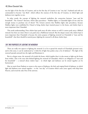was the light of the first day of Creation, and on the first day of Creation it was "one day"; husband and wife are commanded to become "one flesh", which reflects the oneness of the first day of Creation, in which light and darkness were together as one.

In other words, the concept of lighting the *menorah* symbolizes the connection between "man and his household". The *Gemara*<sup>[69](#page-48-0)</sup> discusses, which takes precedence - Shabbos lights, or Chanukah lights (if one only has enough money to purchase one of them)? The *Gemara* answers that Shabbos lights take precedence, because Shabbos lights were established by *Chazal* to bring *shalom bayis* (marital peace) to the home, and *shalom bayis* is more important than Chanukah.

This needs understanding: Does *shalom bayis* push away all other *mitzvos* as well? It cannot push away a Biblical *mitzvah*, but there are times when it can push away a Rabbinical *mitzvah*. But the deeper reason why *shalom bayis* is more important than Chanukah is because the entire purpose of lighting *menorah* on Chanukah is "man and his household", that there should be marital peace; lighting the *menorah* is all about *shalom bayis*.

## THE TWO PURPOSES OF LIGHTING THE MENORAH

There are really two aspects to lighting the *menorah*. It is lit to spread the miracle of Chanukah (*pirsumei nisa*), and in this sense, it can be understood as "a little bit of light that pushes away a lot of darkness". The light of the *menorah* spreads outward into the night and illuminates it.

But in a deeper sense, the *menorah* is lit inside the home, which implies that it is also meant to light up the home from within. This is the exact idea behind lighting the *menorah* of Chanukah, which is an obligation of "man and his household" – a *mitzvah* about *shalom bayis* – in which light and darkness can be mixed together yet be harmonized.

<span id="page-48-0"></span>May we merit from Hashem to return to the source of darkness, the holy and original kind of darkness, in which light and darkness were mixed together – to the "one day" of Creation which come [once again] with help from Heaven, and reveal the only One of the universe.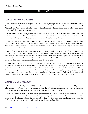# 11 | MIRACLES WITHIN[70](#page-49-0)

## MIRACLES – WHEN NATURE IS OVERCOME

On Chanukah, we make a blessing of לאבותינו ניסים שעשה, expressing our thanks to Hashem for this time where He performed miracles for us. Although we also experienced miracles on Pesach, only the Rabbinical festivals of Chanukah and Purim contain a blessing where we thank Hashem for the miracles performed, which we express in the prayer of *Al HaNissim* in *Shemoneh Esrei*.

Hashem runs the world through a system of laws He created which we know as "nature" (*teva*), and He also built into this a system that works above the normal laws of "nature": miracles (*nisim*). Hashem has allowed the laws of "nature" that He created to be the system of the normal "laws" (*chukim*) which He runs the world with.

When we analyze Creation deeper, there are actually different kinds of "nature" in creation. There are four classifications in Creation: the non-living objects (*doimem*), plants (*tzomeiach*), animals (*chai*), and people *(medaber*). Each of these has their own specific natures. Human beings, animals, plants, and inanimate objects each have their own specific kind of "nature".

Each of the creations has their limitations. If Hashem enables a rock to grow and have life to it, it would be a miracle for the rock, because the nature of a rock is that it cannot grow. If Hashem were to allow a plant to move from place to place like an animal can, this would be a miracle for the plant, because a plant's nature is that it does not grow. If an animal is allowed by Hashem to talk, such as the donkey of Bilaam who was allowed to talk, this is a miracle for the animal, because an animal's nature is that it cannot talk.

Thus, what is the depth of a miracle (*nes*)? It is when a different "nature" is revealed in something. A miracle is not simply that Hashem changes the rules. Rather, as the Ramban and others explained, the definition of a "miracle" is when a lower level creation is allowed to function on a level that is normally above its natural level. When a rock can grow, when a plant can walk, when an animal can talk, these are all miracles, because they would be functioning on a higher level than they are normally on. Thus, in the days of Chanukah, we experienced "miracles" in the sense that a higher level of creation was revealed within this lower realm that we dwell on.

## BECOMING UPLIFTED TO A HIGHER LEVEL

When one has a difficulty (*nisayon*\ $\alpha$ ), either his *avodah* is to find a way to run away from it (וינס), such as what happened with Yosef when he had to run away from the wife of Potiphar; and sometimes the *avodah* of going through a *nisayon* is to bear through it and thereby become uplifted from it (להתנוסס).

When the family of the *Chashmonaim* had to go to war with the Greeks, it was a *nisayon* for them, and they passed the test, becoming uplifted from it and rising to a higher level than before. That was the miracle. The *Chashmonaim* faced some difficulty in their *avodah* in their own individual souls, and because they passed the difficulty, they were elevated to a higher level, where miracles were performed for them.

<span id="page-49-0"></span>*<sup>70</sup>* <http://bilvavi.net/english/chanukah-055-miracles-within>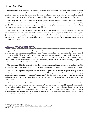In clearer terms, as mentioned earlier, a miracle is when a lower level creation is allowed by Hashem to function on a higher level. This can apply within human beings as well: what is considered nature for one person might be considered a miracle for another person, and vice versa. If Shimon is on a lower spiritual level than Reuven, and Shimon rises to the level of Reuven (which is a natural level for Reuven to be on), this is a miracle for Shimon.

Thus, every year when Chanukah returns, where the spiritual light of "miracles" is revealed, this does not simply mean that the miracles of Chanukah are revealed to us in the very same way it was revealed to us last year. Rather, the definition is that if we have risen to higher levels since a year ago, last year's miracle isn't considered a miracle anymore for us, because it has now become our natural level.

The spiritual light of the miracles are shined upon us during this time of the year, as our Sages explain, but the depth of this concept is that it depends on the level we have reached since last year. If one has passed more *nisyonos*  (difficulties) since last year, he merits a greater level of "miracle" this year, because now that he has become more elevated since last year's level, the miracle of last year is now his natural level, and he is now ready to receive greater miracles than the year before.

## OVERCOMING OUR OWN PERSONAL NATURES

Applying this to us on a personal level, every person has his own "natures" which Hashem has implanted into his soul. There are four elements contained in our various "natures": fire, wind, water, and earth. These are the roots of our negative *middos* (character traits). Fire is the root of conceit and anger, wind is the root of idle speech, water is the root of seeking hedonistic pleasure, and earth is the root of sadness and laziness, with their branching traits.<sup>[71](#page-50-0)</sup> These are the natures of our *middos*. When one works to improve his *middos*, he is really working to uproot the various natures that Hashem has implanted in him.

The *nisayon,* the difficulty of man, is to rise above his nature contained in the animalistic layer of the soul (the *nefesh habehaimis*)[72](#page-50-1) - which will not improve on its own; just as an animal dies with the natures that it is born with.

The Vilna Gaon says that if a person does not break his negative *middos,* there is no point of living. In other words, a person must work on himself to uproot the nature of his negative *middos*. In other writings of our sages, working on one's *middos* means to acquire a "second nature". But the depth of it is for one to break his very nature and to subflaskate it, so that it slowly changes, and eventually the "second nature" that one acquires becomes his "first" nature.

Thus, it can be said that the *avodah* of a person is to rise above his own nature that he was born with and to elevate himself to a more "miraculous" level than before. When one changes his natural level, this is a *nes*\miracle, just as Hashem performed a *nes* when He redeemed us from Egypt, where He changed nature for us. Just as Hashem runs the world through nature and also through miracles, so does our soul contain nature and miracles. Everything that exists in the world and in time exists as well in our own souls<sup>73</sup>, so if there can be miracles in the world, there can be miracles in our own soul as well.

<span id="page-50-0"></span> $\overline{a}$ *71 Shaarei Kedushah (Rav Chaim Vital), 1:1*

<span id="page-50-2"></span><span id="page-50-1"></span>*<sup>72</sup> as explained extensively in Tanya, Nefesh HaChaim, Derech Hashem, and Maharal 73 Sefer Yetzirah 3:1*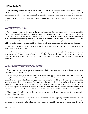This is referring specifically to our *avodah* of working on our *middos*. We have certain natures we are born with, which manifest in our negative *middos*, and when we deal with our *middos* and we deal with this *nisayon* – instead of running away from it, we deal with it and face it, by changing our nature – this elevates us from nature to miracles.

After that, what used to be considered a "miracle" for one's personal level will now become "second nature" to him.

## CHANGING A PERSONAL NATURE

To give a clear example of this concept, the nature of a person is that he is concerned for his own gain, and he feels competition with others who are getting in his way. "A craftsman hates those who are in his craft." A person in the business will naturally feel competition with his competitor and he won't love him. A person loves himself more than others and he will naturally put himself before others. His attitude will always be, "*Chayecha Kodmin*" – "Your own life comes first." But when one works on his *middos*, on changing his nature, he will become more at peace with others who compete with him, and his love for others will grow, replacing the hatred he once had for them.

What used to be his "nature" has now changed for him, if he has worked on changing his natural *middos*; he has now risen to a "miraculous" level.

And vice versa: what used to be considered a "miraculous" level for him to access (in this case, to be able to love even his competitor) has now become "second nature" to him. As his love slowly grows for his competitor, he rises to a more "miraculous" level than before; it is a miracle for him, for a miracle is anything that goes above one's natural level.

## HARMONIZING THE OPPOSITE FORCES WITHIN THE SOUL

When one reaches a more elevated, "miraculous" kind of existence, he is able to harmonize together contradictory forces within himself.

To give a simple example of this, the earth and the heavens are opposite realms of each other. On this earth we live in, fire and water cannot exist together. When fire and water meet, there is a clash of the elements, and one of them will overpower the other. But in the upper realms that extend beyond this earth, fire and water are united. The Gemara says that the word "*shomayim*" (heaven) is a combination of the words *aish* (fire) and *mayim*[74](#page-51-0) (water), which hints to how fire and water can co-exist in the heavens. It would be a miracle on this earth if water and fire can co-exist together. By the story of Eliyahu HaNavi at Mount Carmel, fire and water came down together from heaven, and that was a miracle on this earth. In the heavens, though, it is natural for fire and water to be together.

Thus, what is a "miracle" on one level can be "nature" on another level, and what is "nature" for one level can be a "miracle" for another level.

A person, within himself, also has the ability to harmonize together his opposing, contradictory forces. That is a revelation of a "miracle" for the soul, and then this miracle can become second nature to him, where it is no longer miraculous. In the example we brought of one who was used to hating his competitors, he is able to develop a love

<span id="page-51-0"></span>*שמים* = *אש ומים 74*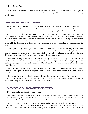for them, and he is able to transform his character traits of hatred, jealousy, and competition into their opposite: love. This is but one example of a miracle that can take place in the soul, and there are many more examples as well, of this concept.

## THE DEPTH OF THE VICTORY OF THE CHASHMONAIM

By the miracle with the family of the *Chashmonaim,* where the "few overcome the majority, the impure were defeated by the pure, the wicked were defeated by the righteous" – the depth of the Chanukah miracle was because the *Chashmonaim* must have overcome their own nature, and that was precisely how they merited miracles.

How do we see that the *Chashmonaim* overcame their nature? They were "few against many". When a person sees that he is outnumbered, his nature is to feel incapable of winning. When going out to war against our enemies, the Torah commands those who are afraid to return home, because they will not be able to fight in the war when they are afraid. Human nature is to be afraid when we were outnumbered by enemies. But the *Chashmonaim* went to war with the Greek army even though the odds were against them; they went against the human nature to be afraid.

Simply speaking, they received *siyata d'shmaya* (assistance from Heaven), and that was how they succeeded. But there is really a deeper reason. They realized their natural limitations, and indeed they were afraid, but they were able to penetrate into a deeper part of their souls, which felt *emunah* in Hashem, and they felt the belief that Hashem is in charge and that He can fight our wars for us and defeat our enemies.

They knew that they could not naturally win. But the light of *emunah* was shining in their souls, and it penetrated into even the physical, animalistic layers of their soul. When a person's *emunah* is strong enough, it can uplift even the *nefesh habehaimis* and elevate it to a higher level, filling it with confidence that it can defy one's natural limitations.

When there is such a "miracle" within one's own soul, it is only "natural" that there will be miraculous results. The miracle that happens afterwards in the physical realm is a result of the *inward* miracle which has just taken place in one's *soul*.

That was what happened with the *Chashmonaim* – because they reached a miracle within themselves, by elevating their *nefesh habehaimis* to have firm *emunah* that Hashem can save them, they merited miracles in the physical realm, because they had now become elevated to the level of miracles.

## THE DEPTH OF THE MIRACLE WITH FINDING THE ONE PURE FLASK OF OIL

Now we can understand the following deep point.

The *Chashmonaim* found the flask of pure olive oil sealed by the *Kohen Gadol*, amongst all the many oils that were contaminated by the Greeks. Besides for the simple understanding of why this was a miracle – the fact that they found one flask of oil that was still pure – there is also a deeper meaning to this miracle.

There are many layers to a person's soul. When a person works on his character and he uproots his own natures, he uncovers deeper parts of his soul, which shed light onto the external layers of the soul and raises them to higher levels. The external layers of the soul can be improved by the inner layers of the soul that a person reveals. The inner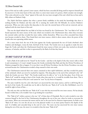layers of the soul are really a person's inner nature, which has been concealed all along until he improves himself and he uncovers it. In the inner layers of the soul, there is a more inner nature of a person, which contains vast strength. This is also referred to as the "*Aisan*" (giant) of the soul, the true inner strength of the soul, which has no fears and is fully reliant on Hashem's help.

The *Nefesh HaChaim* explains that when a person firmly establishes in his mind the knowledge that there is nothing besides for Hashem and that only He is running the world (*Ain Od Milvado*), he receives Hashem's protection. When one truly reaches this deep place in the soul, the external layers of his soul are removed, and are replaced with the inner layers of the soul.

This was the depth behind the one flask of oil that was found by the *Chashmonaim*. The "one flask of oil" they found represents the inner essence of the soul, which was revealed to the *Chashmonaim* then, where they overcame the external reality and they revealed the inner reality, within themselves. What was at first concealed from them now became revealed to them. They found their own inner essence, which is above nature, above the power of the Greeks who were operating within nature.

On a more inner level, the war of the Jews against the Greeks represented the war of Greek *chochmah*, their wisdoms and ideologies, versus the holy *chochmah* of the Torah. The Greeks were on an agenda to make the Jews forget the Torah, and when the *Chashmonaim* found the inner essence of their own souls, they merited an elevated existence, of miracles, and this is what is represented by the flask of oil that they found.

#### THE INNER "FLASK OF OIL" IN THE SOUL

Such a flask of oil could never be "found" by the Greeks – and that is the depth of why they weren't able to find it and contaminate it. It wasn't simply because the Greeks overlooked that flask and that the Divine Providence of Hashem arranged for this to happen. It is true that it was all Divine Providence, but the Divine Providence was only activated because the *Chashmonaim* revealed a deep *emunah* in their own souls.

The *Chashmonaim* removed their own nature contained in their *nefesh habehaimis,* and they revealed the purity of the *neshamah*, which can never be touched by impurity. This deep place in the soul of the *neshamah* is the "oil" which the Greeks can never "find". The Greeks would never be able to "see" it in the first place. Even if this one "flask of oil" would be sitting in front of the Greeks when they pass by it, it would be invisible from them. This is because the inner essence of the Jew's soul cannot be "seen" by any forces of impurity.

The same would be true for a Jew who hasn't yet uncovered his own inner essence, and he is still living life on the level of the Greeks. He would also not be able to find this one "flask of oil" in the *Beis HaMikdash,* even if it would be right in front of him….

The only one who can find this one "flask of oil" is one who has uncovered his own inner essence. He has already found it within him, so he wouldn't have to go looking for it anywhere.

This "flask of oil" within a person is the true "oil" of these days of Chanukah. But it is only revealed to one who connects himself to the level of the *Chashmonaim* throughout the rest of the year, when he works to overcome his own nature. When one overcomes his nature and he rises to the next level in character improvement, he finds a true "flask of oil" there. It is not the oil you see in the physical world; it is an inner purity found in the depths of the soul. It is hidden and concealed deep in the soul of a Jew. The more one has uncovered his own inner essence during the rest of the year, the more it is revealed to him the inner "flask of oil".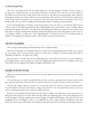This "oil" is essentially the fact that the Jewish people were "the first thoughts of Hashem" before Creation, as the Sages state. A gentile therefore can never know of this pure, untouched "oil" in the Jew's soul. The wisdom of the Greeks was at war with the wisdom of the Torah, but this war only exists on an external plane, where wisdom is pitted against wisdom; the Torah's wisdom is but its external layer. The inner layer of the Torah, the actual essence of the Torah, cannot be attacked by any outer forces. The inner layer of the Torah is the intrinsic essence of the Jewish people, who were the first thoughts of Hashem before creation. Nothing can attack that point.

In the external dimension of Creation, in the external layers of the soul, there is a war between good and evil. There is a rule of "The shell comes before the fruit" (*kelipah kodemes l'pri*), and similarly, "there is no light unless it is preceded by darkness", but this is true only in the external dimension. When one reaches the inner essence of his soul, there is no longer a battle between the forces of light and darkness in the soul; of that point it is said, *"Even as I sit in darkness, Hashem is a light to me."* The "beginning point" of Creation, the fact that the Jewish people are Hashem's first thoughts that preceded creation, is above all the concealment and darkness.

#### TWO FACETS TO CHANUKAH

This is a deeper understanding of Chanukah than what we explained earlier.

One facet of Chanukah, as we explained until now, is that if one has worked during the rest of the year to uproot his own natures and to reveal his inner essence, he merits more revelation of miracles during these days of Chanukah. He finds the "one flask of oil" within.

But even more so, it brings a Jew into his "beginning point" of the soul, the fact that he was part of Hashem's first thoughts before creation, and then he reveals a new beginning for himself. His own first thoughts, and his own will, will then become aligned with Hashem's thoughts and Hashem's will.

## REACHING THE DEPTH OF THE SOUL

When one reaches that place of his soul, there are no outer, impure forces that can attack him there. Evil cannot take hold there.

To reach that place in oneself, we explained that one needs to work on uprooting his own natures, and to reveal more and more inner layers of his soul. How far, indeed, will one have to go into his soul, in order to get there?

The first step, trying to uproot one's nature, is a concept that anyone can work on, as long as he desires true life. It can be worked on by anyone who wishes to change, on any level he is on. At any level that a person is on, he can work on uprooting his nature and to reveal more depth of his soul.

But what is the end point that one should strive for? That is a higher level, which not everyone can reach. It is a lofty place in the soul for one to reach, where one truly realizes the "beginning point" of his soul, realizing that he is the first thoughts of Hashem and that his own first thoughts are aligned with Hashem's will, where he is not even struggling with the evil influences. That is a very high level to reach, a place of *peshitus* (simplicity) in the soul, where one's entire *ratzon* (will) in life is to do Hashem's will, and he does not even entertain any thought otherwise.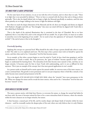## THE INNER POINT IS AROVE OPPOSITIONS

On the outer layers of our existence, we are at war with the evil in Creation, and it is there that it is said, "There is no light that is not preceded by darkness." There we have to contend with the forces that seek to bring us down spiritually. This is also the depth behind why we begin to light the Menorah specifically at sundown, until the time where passerby are no longer walking in the streets; to fight the darkness with light.

But when we reach the deeper dimension of the Menorah and the oil, there our thoughts and desires are aligned with Hashem's thoughts and will; our "first thoughts" that enter our mind will then be aligned with Torah (this is also called *Ruach HaKodesh*).

That is the depth of the spiritual illumination that is contained in the days of Chanukah. But as we have explained, this is a very lofty level, and it is the end goal of all our *avodah*. Yet, in spite of this, we must try to realize it somewhat even in the beginning of our *avodah* – for we need to have the aspiration of "*sof maaseh, b'machshavah techilah*" ("the end of action is first in the thoughts").

#### *Practically Speaking*

Applying this concept on a practical level: What should be the order of steps a person should take when it comes to this? The order is as we explained until now. The first step is that a person must work on himself to uproot his nature, and then what used to be a "miraculous" level for him becomes nature.

As an example, at first when a person begins to exert his mind in Torah, he has a hard time grasping it, and his comprehension in Torah is weaker. But as he perseveres, the "gates of wisdom" become opened to him[75](#page-55-0) and he begins to understand his learning better. The miraculous levels then become more natural to him, and they are no longer miracles. It becomes easier for him to learn Torah with understanding, and it is not as difficult for him anymore. This is just an example of the concept, but it has more general applications in one's *avodah*.

As a person works on himself and he merits uproot his natural *middos*, he uncovers more of his inner essence, on a more continual basis. His growth is more permanent and it is not just temporary where it feels like a miracle; it has rather become more natural and permanent in his life.

This is the depth of הזה בזמן ההם בימים לאבותינו ניסים שעשה, where the "miracles" have more permanence in his life. When one changes his nature and he reveals his inner essence, what used to be a "miraculous" level for him now becomes "natural" to him.

## WHEN MIRACLES BECOME NATURE

<span id="page-55-0"></span> $\overline{a}$ 

The more a person merits, with help from Heaven, to overcome his nature, to change the natural bad habits he was born with, the more it becomes natural for him to live a more miraculous kind of existence, where the miracles within his inner character are no longer miracles, but nature.

It then becomes a natural part of his life, and he reaches deeper and deeper kinds of miracles within his inner character – until he eventually reaches the deepest place of the soul, where one truly believes that it is only Hashem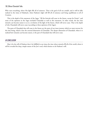Who runs everything, where His light fills all of existence. That is the goal of all our *avodah*, and it will be fully realized in the times of Mashiach, when Hashem's light will fill all of existence and bring equilibrium to all of Creation.

This is the depth of the statement of the Sages, "All the festivals will cease in the future, except for Purim", and some of the opinions in the Sages included Chanukah as well in this statement. In other words, the fact that miracles can become nature to us is a revelation of the light of the future, which will never cease. That is the depth of why Chanukah will never cease (according to these opinions of the Sages).

The parts of Chanukah that will cease in the future are the parts of our inner journey which we must traverse for the time being, which is but the external dimension of Chanukah. The deeper dimension of Chanukah, where it is realized how miracles can become nature, is the part of Chanukah that will never cease.

## IN CONCLUSION

May it be the will of Hashem that it be fulfilled in our times the time where miracles fill all of the world, where it will be revealed the deep, simple nature of the Jew's soul, which desires to do Hashem's will.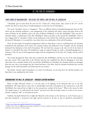# 12 | THE FIRE OF CHANUKAH<sup>[76](#page-57-0)</sup>

## THREE KINDS OF INAUGURATION – THE ALTAR, THE TEMPLE, AND THE WALL OF JERUSALEM

"Chanukah" gets its name from the term הוו כ"ה, "*Chanu koi*", which means "they rested on the 25<sup>th"</sup> [of the month], but there are many facets of understanding as to what the root of Chanukah is.

The word "*chanukah*" means to "inaugurate". There are different kinds of *chanukah\*inauguration that we find. There was the *chanukas mizbeiach*, a new inauguration of the *mizbeiach* (the Altar), which took place both in the times of Moshe, by the *Mishkan*, and in the time of Shlomo HaMelech, in the *Beis HaMikdash*. There was also a *chanukas habayis*, a rededication of the *Beis HaMikdash*, which took place in the second *Beis HaMikdash*. There is also a bigger kind of "*chanukah"*, which was the dedication of the *chomah* (the wall) that surrounded Jerusalem. In the book of Nehemiah, it is recorded the event where there was a dedication of the wall of Jerusalem.

Those are three kinds of *chanukah* (inauguration) which we find when it came to something holy: the *chanukas hamizbeiach* (the dedication of the Altar), the *chanukas habayis* (the dedication of the Temple), and the *chanukah hachomah* (the dedication of the wall of Jerusalem). We also find this concept in the side of evil. In the book of Daniel, it is described that when Nevuchadnezzar made an engraved image, he made a *chanukah*\inauguration to celebrate it. But the root of all inaugurations began with the inaugurations of the altar, the Temple, and the wall of Jerusalem.

The Greeks damaged the Altar when they invaded the *Beis HaMikdash*, and this was one of the main damages that they caused. They made holes in the *Heichal,* and they also vandalized the Altar by damaging it. Even later when there was a *chanukas habayis* of the second *Beis HaMikdash* on Chanukah, the *chanukas habayis* was damaged from the start, due to the damage that the Greeks had done to the Altar. And the *chanukas hachomah* also received damage, for the wall of Jerusalem was broken later by our enemies.

The broken *chomah* (wall of Jerusalem) is in need of rectification, no less than how the *Heichal* needed to be fixed after it was vandalized by the Greeks.

## REMEMBERING THE WALL OF JERUSALEM – THROUGH LIGHTING MENORAH

When we light Menorah, clearly, it is not the same as the lighting of the Menorah that was in the *Beis HaMikdash*. The Sages did not enact that we should light menorah in Jerusalem by the entranceway to the *Beis HaMikdash*; they enacted that we light it on the entranceway, outside of the house.<sup>[77](#page-57-1)</sup> What is the reason for this? The simple reason is "to make known the miracle" (*pirsumei nisa*). But the deeper reason is so that we can create a *chomah,* a spiritual "wall", to surround our house.

Similarly, the depth behind why we light the Menorah at the entrance to the doorway is, as the Gemara says, so that there should be a *"mezuzah* on the right and the *menorah* on the left, so that we should be surrounded by

<span id="page-57-0"></span>*<sup>76</sup>* <http://www.bilvavi.net/english/chanukah-053-fire-chanukah>

<span id="page-57-1"></span>*<sup>77</sup> Editor's Note: There are differing customs today in halachah as to where we light the menorah; on the outside of the entranceway, on the inside of the house by the entrance, or by the window.*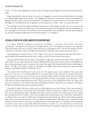*mitzvos"*. In other words, lighting the *menorah* is about creating a spiritual light that will surround the home [like a wall].

Being "surrounded by *mitzvos*" doesn't just mean to be engaged in *mitzvos*; it means that the home be enveloped in a spiritual light formed by the *mitzvos*. The obligation of *mezuzah* is on the home, whereas the obligation of lighting *menorah* is upon "man and his household". The light of the menorah doesn't just "surround" the person who lights it; it surrounds the home, by lighting it at the entranceway. It forms a "wall" to surround the home.

The opening of the home requires protection, because that is where things can enter. One way to protect the home is through *mezuzah*, and another way of how the home is protected is through the wall that would guard the city. Nowadays we do not have that wall, but we have a remembrance of it, through the *menorah*, which celebrates the *chanukas hachomah* (inauguration of the wall of Jerusalem), as we explained.

## THE WALL OF FIRE IN THE FUTURE, MANIFESTED IN OUR OWN TIMES

It is written, *"With fire I destroyed it and with fire I will build it in the future, and I will be a wall of fire surrounding it"*. The light of the *menorah* on Chanukah will not cease - according to the opinion in the Sages that "All of the festivals will cease, except for Purim; and some say Chanukah as well". The fact that Hashem will be a "wall of fire" in the future refers to the light of the menorah of Chanukah, which will not cease in the future.

Thus, lighting the menorah creates a "wall" of light, of fire. Just as *mezuzah* protects the home from harm, so does the light of the menorah protect the home, acting as a wall of fire that cannot be penetrated.

Our holy *sefarim* explain that the "light" of Chanukah is a light that comes from the future which is allowed to shine within our own current dimension. The three Biblical festivals that we have (Pesach, Shavuos, and Sukkos) are about commemorating the past; to remember the exodus from Egypt. But Chanukah and Purim are celebrating the future. The light of the future revealed on Chanukah is the light of the future protection we will merit from Hashem, where Hashem will be a "wall of fire" for us.

The miracle of the *Chashmonaim* was that they were "few against many", and in addition, "the impure were given over to the pure". It is understandable that it is a miracle where the few overcame the majority, but the fact that the impure were given over to the pure was an altogether different kind of miracle, which was of an entirely otherworldly nature. In the World To Come, all impurity will be removed, as the prophet says of the future, *"And I will remove the spirit of impurity from the earth."* Thus in the victory of the *Chashmonaim*, where the impure were given over to the pure, it was a miracle that reflected the light of the future, where there is no impurity. That light of the future was shining in the present, during that miracle.

Chanukah is a light of the future which reveals to us Heavenly protection from Hashem. This is also the depth of how the one flask of pure oil was found. The Greeks didn't defile it, because they couldn't. It was protected, as if there was a wall of fire protecting it. The light of the future protects our purity even in the present. It wasn't simply that one flask of oil wasn't touched - rather, that one flask of oil was protecting us. The "wall of fire" of the future is not like fire that we see today. It will be like the burning bush which Moshe saw, where the fire did not singe the bush. That was the same fire and light of the one flask of oil that lasted for eight days, when it should have only lasted for one day. There are many ways to understand how it lit for eight days, as is well-known; but the depth of the matter is that it wasn't a normal fire which burns whatever it touches. It is a "fire that does not eat fire" as the *Gemara* in Tractate *Yoma* describes. This is the fire which burned on Chanukah for eight days, and it was from the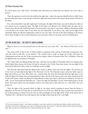$\overline{a}$ 

fire of the future, the "wall of fire" of Hashem that will protect us, which does not destroy, but serves only to protect.

Thus, the question is not how the oil could last for eight days - rather, the question should be how it didn't burn for more than that (since it was eternal). It lasted for eight days because that is the natural characteristic of the fire of the future.

If so, why indeed did it stop after eight days? It is because the light of the future can only be allowed to shine in our current era on a temporary basis. The light of the future was allowed to be clothed under the guise of our current times. But the fire itself which shone was not bound to any time; it came from a different dimension, which is not bound to the normal rules of time from our own dimension. It was above time. That was the light of the Chanukah which was allowed temporarily to shine in our own times. The fire of the future belongs to the future, that is where its light is, but it can be shined into our own times, where we can enjoy some of its illumination.

## THE FIRE IN OUR SOUL – THE LIGHT OF TORAH LEARNING

When it comes to our own personal soul, we also have our own, inner "fire" – the element of fire that is in the soul.[78](#page-59-0)

The nature of fire is that it rises. A Torah scholar is compared to fire, and the Torah itself is compared to fire. *"Are My words not like fire, so says Hashem*." The Greeks tried to make us forget the Torah, and when the *Chashmonaim* won the war, the Torah was restored to its glory, where it is known as the "fire" of Hashem. That was the light\fire that was revealed on Chanukah.

The Torah itself was shining during that time, and that was the light of Chanukah which was shining then, which helped them destroy the Greek evil and be returned to the Torah. From that victory, the true light of the *menorah* was allowed to shine, where we could then receive its light.

The *Aron* (the Ark) which held the tablets of the Torah, is called so from the word *ohr* (light). The *ohr* that was in the *Aron* was what allowed the light of the Menorah to be lit. The Menorah cannot survive by itself; it gets its light only if there is an *Aron.* When there was a miracle where the oil in the Menorah lasted for eight days, it was really the light of the future that was being allowed to shine, the fire of the future, and it was really coming from the Torah of the future, which was allowed to being allowed to shine then (and it will soon be revealed in our times as well). *"A new Torah shall come forth from me*" – that is the light of Chanukah. It is the Torah which protects. In the future when there will be true and complete Torah in the world, that is what will serve as a "wall of fire" for us to protect us.

Thus, the light of the menorah which we light in our times, which is getting its power from the future, is dependent on the level of Torah that we reach from the rest of the year. With the more a person has connected to his Torah learning on a deeper level, the more he will accordingly merit the light of the Torah of the future that is "Hashem's fire", and that in turn will empower his own light of the menorah to be a truer light.

<span id="page-59-0"></span>*<sup>78</sup> The soul contains four elements – earth (sadness and laziness), water (lusts and desires), wind (idle speech, falsity, mockery) and fire (conceit and anger). Here the Rav is explaining a more esoteric and spiritual use of the soul's inner fire. To learn more about the basic aspects of the element of fire, refer to the Rav's series Fixing Your Fire: Conceit and Fixing Your Fire: Anger.*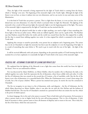Thus, the light of the menorah is being empowered by the light of Torah which is coming from the future, which is "shining" even now. The beginning of the menorah's light is the Torah's light. Although the light of the future is not yet here, at times it radiates into our own dimension, and we can receive its rays and enjoy some of the illumination.

It is this kind of Torah that can protect a person. This is a light from the future, it is not yet here, but it can be shined into our own dimension. It is that fire which is activated when we light the Menorah. The lighting of the menorah is but a result of this previous light; the menorah's light is not the beginning point of the light. The source of the menorah's light is empowered by the light of Torah that one has merited thus far.

We can see from the physical world that in order to light anything, you need to light it from something else. Every light or fire has an earlier source. When rocks are rubbed together, there can be a spark of fire. The Ramban says that Hashem created fire before the world, and the world was created from that fire; this original fire is unlike the fire that is created from rubbing together two rocks. It is that original fire which is contained in the words of Torah itself.

Applying this concept to ourselves practically, every person has an endpoint and a beginning point. The action that we do on Chanukah is to light the menorah, but that is just the endpoint; it is not the beginning of the light. It is a result of something that came before it. We need to get in touch with the root of the light - the light of the Torah.

It will be received differently with each person, depending on the particular quality of Torah learning that he has reached; for as we have explained, it is essentially the light of Torah which is the source of the menorah's light.

#### PEACEFUL FIRE – RETURNING TO OUR ROOT BY LEAVING OUR PRIVATE SELF

We explained that the lighting of the Menorah is not a light that comes from this world, but from the light of the future. Now we can understand as follows.

Fire was discovered by Adam *HaRishon*, on *Motzei Shabbos*, when he needed a fire to illuminate the dark, so he rubbed together two rocks. Such fire represents the fire of dissension, where forces collide with each other. It is like the fire of Gehinnom that was created on the second day of Creation, a fire of *machlokes*, strife. But the fire of the future is not a fire of dissension; it is a peaceful kind of fire. When the *Chashmonaim* won, it wasn't from using a fire of strife, but a fire of peace (*shalom*). When a person has attained more peace, he merits the true fire contained in Chanukah.

The fire we recognize in our times is a fire of dissension, strife, and disparity – the fire of Gehinnom, the fire which Adam discovered on *Motzei Shabbos*, when it was after the sin with the *Eitz HaDaas* and the holiness of Shabbos had left him. The true fire of Chanukah is attained on a personal level when one attains the true fire, which is the power of *shalom* (peace).

In clearer language, fire in the soul is the nature to ascend. There is both holy and evil ascension. Evil ascension is when a person wants to rise to higher levels for his own self-serving purposes. This is a fire of dissension. A holy kind of ascension is when a person wants to leave all elements of disparity and to return to his root. This is holy fire, the fire of the future, which the soul yearns for.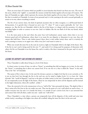There are seven days of Creation which are parallel to seven branches that branch out from one root. The root of the seven, which is the "eighth", is essentially the oneness (*echad*) that binds together all seven days of Creation. The days of Chanukah are eight, which represent the oneness that binds together all seven days of Creation. That is the fire that is revealed on Chanukah. In terms of our personal soul, it is the yearning in the soul to ascend spiritually, to return to its root, where everything is united.

The fire of our current times, the kind of spiritual ascension that we often recognize, is a self-focused kind of fire\ascension. It is growth that is focused on one's own "I": when "I" want to grow spiritually, for "my" own purposes, etc. But the fire on Chanukah, which is the fire of the future, is a deeper wish for ascension. It is about ascending higher in order to connect to our root. And it is hidden, like the one flask of oil that was found, which was hidden.

It is the inner point in the soul where the *yetzer hora* (evil inclination) cannot reach, where there is no war between good and evil inclinations, where there is no room for any disparity or dissension in any way; thus evil cannot take hold there. There is only *shalom* (peace) there; there is only *achdus* (unity) there, and it is entirely the soul's yearning to connect to its upper root, where every Jew's soul wants to unite to.

When one reveals this inner fire in the soul, he receives a light on Chanukah which is the light of the future. But, if the fire in one's soul is being used for his own "I", and surely if it is being used for purposes of dissension with others, his fire on Chanukah is not the future fire, and it is rather a fire that is immersed in the past, and it is not of the future.

## LEAVING THE DISPARITY AND ENTERING INTO ONENESS

Thus, Chanukah is really about living on a level of the future.

In clearer terms, in terms of time, we refer to "future" as something that did not happen yet in time. In the soul, the "future" is something that is above our current level. If we can rise to it, that is called the "future" in the soul. That is the "fire" of Chanukah.

The nature of fire is that it rises. In the soul, fire elevates a person to a higher level that he is not currently at. He is not on that level, but through the fire in the soul one can be raised to higher levels. It is to leave the "*alma d'piruda"* (the "world of disparity") and rise to the place of *achdus* (unity) in the soul. Chanukah shows a person that he can temporarily access the light of the future, where he can temporarily be above all the disparity and be instead in the higher dimension, where all is unified - *achdus*. [79](#page-61-0)

Thus, the *menorah* is lit in the entranceway to be as a "wall of fire" that surrounds the home. The depth of this is that it unites all of the Jews in the city under one unit. That was the point of a city's wall which we used to have – it unifies everyone into one unit. It is outside the home, it is outside of one's current level, but it can surround him and connect him with all others, under one unit - under one "wall of fire".

Thus, Chanukah is a time where a person can temporarily leave all the disparity of this world and enter into *achdus* (unity), ascending to his higher root where all is unified, riding the inner fire that is in his own soul.

<span id="page-61-0"></span>*<sup>79</sup> See also Tefillah\_0166 \_Leaving The Disparate View*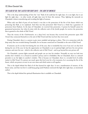## THE FLASK OF OIL THAT LASTED FOR EIGHT DAYS – THE LIGHT OF ONENESS

This is the deep understanding of how the "one" flask of oil could last for eight days. It is one light, but it can light for eight days – in other words, all eight days were lit from this oneness. Thus, lighting the menorah on Chanukah is about remembering and revealing this light of oneness.

When only one flask of pure oil was found, it was due to the protection of the fire of the future which was protecting that flask, as we explained. And what was that protection? *Klal Yisrael* as a whole has a guarantee of protection from Hashem. In the days of Chanukah, we received that protection. A person by himself cannot be guaranteed protection, but when he joins with the collective unit of the Jewish people, he receives the protection that is granted to the whole of *Klal Yisrael*.

Thus the victory of the *Chashmonaim*, on a deep level, was because they received this protection upon *Klal Yisrael*; they connected themselves to the unit of *Klal Yisrael* and that was how they were saved.

During Chanukah, there is a custom to give more *tzedakah* and giving to others. This is in connection with the deep unity that was revealed during Chanukah, for we became connected on Chanukah to the unit of *Klal Yisrael*.

If someone can be on that level during the rest of the year, that is wonderful; but even if one isn't on that level during the rest of the year, he has the opportunity on Chanukah to use its spiritual light and leave his own private existence and enter his root - which is the collective unit of *Klal Yisrael* – and to go beyond his own private self.

On Chanukah a person lights menorah and people can see into his window. Normally we may not look into another else's window; it is a breach in another's privacy and it is forbidden. But on Chanukah, there is a *mitzvah* precisely to see the lights in another's window. This is because on Chanukah, there is a revealed level of *achdus* (unity) in *Klal Yisrael*. If a person can touch upon this level even for a few moments, he is accessing the fire of the future, which can protect us now in our own times and which unites us all together.

This is the depth behind the flask of oil that burned for eight days. It was a manifestation of oneness, of the future unity, and that was how it could keep going [until Hashem restricted this light after eight days, as mentioned earlier].

This is the depth behind the spiritual illumination that is available on Chanukah.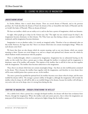# 13 | LEAVING THE GREEK EXILE OF IMAGINATION<sup>[80](#page-63-0)</sup>

## UNDERSTANDING DREAMS

In *Parshas Mikeitz*, there is much about dreams. There are several dreams of Pharoah, and in the previous *parshiyos*, the Torah describes the dreams of Yosef, the dreams of the *sar hamashkim* (the butler of Pharoah) and the *sar ha'ofeh* (the baker of Pharoah). What are dreams all about?

We have our intellect, which can see reality as it is, and we also have a power of imagination, which sees fantasies.

At night, when people go to sleep (as the *Gemara* says, that "The night was not created except for sleep"), the imagination becomes dominant, in their dreams. The Vilna Gaon says that during a dream, a person's intellect is weakened, and his imagination becomes dominant.

Imagination is not an absolute reality. It is merely an imagined reality. Therefore it has no substantial value on this world. However, the Sages state that "there is no dream which does not contain meaningless things." Where do such dreams come from?

We know that there are also dreams which do contain meaning, such as our own dreams, which can contain meaning to them. Dreams can reveal things to us, and on a deeper and spiritual level, dreams were the vehicle by which Hashem would communicate with the prophets.

There is intellect\thought, which is countered by imagination. Imagination has no substantial bearing on the reality on this world, but when a person goes to sleep, although his intellect is weakened and his imagination is dominant, some of his intellect still remains. This imprint of the intellect that is still left in him can fuse together with the imagination. The intellect then becomes subservient to the imagination.

Thus, there is no dream which does not contain meaningless things – but there are also truthful points contained in the dream. This is because the intellect fuses together with the imagination, and therefore in every dream there will be some truthful points that a person can see, via his intellect.

The more a person has purified his spiritual level, his intellect becomes even clearer when he sleeps, and the more truthful his dreams will be. The stronger a person's ability of thought is, although the imagination will overtake his intellect when he sleeps, he will still be able to see truthful things in his dreams, because his intellect will still play a very active role even as he sleeps, since it is strong from during the day.

## PURIFYING THE IMAGINATION – THROUGH STRENGTHENING THE INTELLECT

On a subtler level, when a person has a strongly developed intellect, his dreams will show him revelations from Heaven, through the imagination. Where the intellect ends and cannot perceive, that is where the imagination can jump past all the limitations of the intellect, and perceive higher things that the intellect cannot.

<span id="page-63-0"></span>*שיחת השבוע (תשע"ח) 047 – מקץ-חנוכה 80*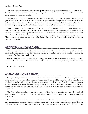This is only true when one has a strongly developed intellect, which purifies the imagination and turns it holy. But when one hasn't yet purified his intellect, his imagination will not either be holy, and it will fantasize about things which aren't connected to reality.

The more one purifies the imagination, although his dreams will still contain meaningless things due to the lower parts of the imagination which will always be unfixed, the higher parts of his imagination which are pure will be able to break past the limitations of the intellect and receive Heavenly revelation and understanding. This can only happen through a strongly developed intellect, which can see reality as it is. This is the depth of dreams.

Thus, in a dream, there is a combination of three factors: evil imagination, intellect, and purified imagination. When one hasn't yet merited it, he is only dominated by the lower parts of the imagination, which are unfixed, and he doesn't have a strongly developed intellect to aid him. His dreams will mainly be dominated by an unfixed kind of imagination. This is the level that most people experience, regarding the dreams that they consciously experience. These dreams have no substantial bearing on reality, because they are coming from unfixed imagination which is not connected with reality.

#### IMAGINATION\GREEK EXILE VS. INTELLECT\TORAH

The Sages compare the Greek exile to "darkness", because they "darkened" the eyes of the Jewish people. The simple understanding of this is that they "darkened" our power of intellect, our power of thought, by battling the holy power of intellect of the Jewish people.

Even more so, the Greek "darkness", which is simply understood as a war of secular wisdom versus the holy wisdom of the Torah, can also be understood as a war between the view of the imagination against the view of the holy Torah.

Let us explain what we mean.

## OUR CURRENT EXILE – A STATE OF IMAGINATION

Simply speaking, a person has a time where he is asleep and a time where he is awake. But going deeper, the initial state of man was sleep. Adam was put to sleep, so that Chavah could be created from his body, and a great slumber descended upon him. The Torah does not say that Hashem woke up Adam from this slumber. The state of slumber remained upon Adam. If he would have gone straight into Shabbos, he would have awoken from this state of slumber. But with the sin with the *Eitz HaDaas*, he remained with this state of slumber, which was the imagination.

The *Eitz HaDaas*, according to the *Sforno* and the *Vilna Gaon*, is identified as a tree that produced *medameh*\imagination. As soon as Adam and Chavah ate from the *Eitz HaDaas*, they remained with their imagination.

Within imagination itself, there is a state of being awake and a state of sleep. Compare this to the difference between a person having a dream that he is having a dream, and a person having a dream that he is awake. They are both dreaming and within their imagination, but the person dreaming he is awake is "awake" within his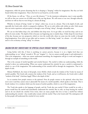imagination, while the person dreaming that he is sleeping is "sleeping" within his imagination. But they are both found within their imagination. That is the level we are found in, on this world.

Of the future, we will say, "*Then, we were like dreamers*."[81](#page-65-0) In the imminent redemption, may it come speedily, we will see that our current era of 6,000 years is like one big dream. We will return to our root, through teshuvah, and then we will see that we were living in a dream all along.

Whether we dream of being "awake" or "asleep", either way, we are in a dream. That is the depth of exile, and especially the Greek exile, which is compared to darkness. We are in exile within exile within an exile. Exile means that our entire experience and perception is through a state of being "asleep", through a dreamlike state.

We can see that babies sleep a lot, and children also sleep more. As we get older, we need less sleep, and we are able to be more awake. The depth of this is because our beginning state is mainly sleep. A baby sleeps for most hours of the day, because our very perspective which we view the world with, when we come into the world, is through sleep\imagination. Even when we get older and we mature, it is like being "awake" in a dream – it is still a dream, and it is not as dreamy as being "asleep" in a dream.

## IMAGINATION ONLY UNDERSTANDS THE SPIRITUAL REALM THROUGH "MOSHOL" (PARABLES)

Going further with this, if there is anything we cannot perceive, because it is on a higher level than our understanding, we are "asleep" towards it. We can "imagine" it – but we cannot actually grasp it and understand it. This is the imagination – when one cannot understand something, the imagination will get to work and imagine it through an example of something on this world.

This is the concept of *moshol* (parable) and *nimshal* (lesson). The *moshol* is within my understanding, while the *nimshal* is above my understanding. When one cannot understand the *nimshal*, he uses a *moshol* to understand it, which is a use of the imagination. His understanding of the *nimshal* will be through the imagination. That is the depth of exile.

Shlomo HaMelech, the wisest of all people, wrote *Mishlei*, which reveals the wisdom of the Torah, by means of *moshol*, parables. The Greek exile counters the wisdom of the Torah, and as is well-known, the Greek exile is called "wisdom of the body" (*chochmas haguf*). What is the depth of this?

Let us examine how people connect to the spiritual. How do people connect to the spiritual, when they have never seen it and they cannot sense it physically? By means of a *moshol* (parable), which speaks to the body. That is Greek wisdom. It is a wisdom which uses the means of *moshol,* parables, which is a use of the imagination.

The Torah also speaks to the language of people, and the Torah also uses *moshol*. If there would be no exile, a person would hear the *moshol* and immediately understand the *nimshal*. But in exile, we keep hearing the *moshol*, and we do not absorb the *nimshal*. Even worse, there are many people who love to hear a *moshol* but without understanding the *nimshal* – they would rather remain with the *moshol*. That is the Greek exile! The redemption will be that people will understand the *nimshal* of every *moshol*.

<span id="page-65-0"></span>*<sup>81</sup> Tehillim 126:1*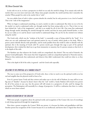In the exile we are in, we have a perspective in which we see only the *moshol* in things. If we remain only with the *moshol*, that is an even more total state exile. Many times people remember the *moshol* and they don't remember the *nimshal*. When people live only in the *moshol*, this is "exile".

An even subtler form of exile is when a person absorbs the *nimshal*, but he only perceives it on a level of *moshol*. That is the "exile of the imagination".

When we begin to understand something, we need a *moshol,* in order to understand. But when we try to live by the *moshol*, we need to understand reality not through *moshol*, but from seeing reality as it is. That is how we can leave behind the "exile of the imagination", and this is an *avodah* for all of one's life. One must first understand things through *moshol*, absorbing the *nimshal* through the *moshol*, and then he must purify himself further, so that he can see reality as it is and he doesn't need *moshol* to understand things. He can live by the *nimshal* even without using the *moshol*.

The Greek exile, which was the "wisdom of the body", is essentially a state of being exiled by the "body". It is when one can only understand inner and spiritual matters by way of *moshol*, which speaks to the body. When a person cannot identify directly with spirituality, and he needs parables from this world in order to identify with the spiritual, this is the meaning of Greek exile! If a person merely goes through this stage as part of his spiritual development, this is indeed the ideal way to go from immaturity to maturity; but if a person remains at that level, it is the depths of the exile.

The Ramban says that whatever the Greeks could not comprehend, they denied. This was said of Aristotle, the greatest Greek philosopher. This meant that their imagination could not comprehend spiritual or Heavenly matters. Whatever they understood, they understood, and whatever they didn't understand, they could not relate to, so they denied it.

This is the depth of all of the exiles, in general - and the Greek exile especially.

## RELATING TO THE SPIRITUAL AS A TANGIBLE REALITY

The way to come out of the perspective of Greek exile, then, is that we need to see the spiritual world as no less real and tangible than the physical world in front of us.

Even if a person learns Torah and does *mitzvos* and makes sure to do the will of Hashem, he may still be in one big state of "slumber", because he doesn't know what the "real" world is. Surely Hashem will reward every person for all of his actions in any case, but the person will still remain in a perspective of exile, until he changes his perception. The Redemption will essentially be a change of perspective. It will be a realization that there is a reality which we never knew existed.

#### IMAGINED RECOGNITION OF THE CREATOR

With most people, recognition about the spiritual world, and recognition of the Creator (the root of everything) is only being experienced through the imagination.

How does a person recognize the Creator? With one person, it is because his father and grandfathers told him. Another person has recognition of the Creator because he is an intellectual, and knows that it's logical that there has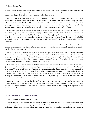to be a Creator, because the Creation itself testifies to a Creator. That is a true reflection to make. But one can recognize the Creator through simply sensing the reality. One can simply sense reality when he realizes that just as he can sense the physical reality, so can he sense the reality of the Creator.

Our own existence is entirely a power of imagination which can recognize the Creator. That is why man is called *adam*, from the word *medameh* (imagination). The existence of the Creator is the only absolute Reality that exists. There is no reality other than Him. Our own existence is only a form of imagination, and our entire existence serves to recognize the reality of the Creator. But if we view ourselves as our own reality and we trying to recognize the Creator within it, this is an imagined perception, and it will not be a true recognition of the Creator.

If only most people would even be on this level, to recognize the Creator from within their own existence. We are not speaking here of those who are in the category of "*tinok shenishbah"* (lit. "captive children"; i.e. Jews who are born and raised irreligious), and the like. Rather, even most believing Jews, who know about the Creator because that's how they were raised and educated to believe, do not have a kind of *emunah* (faith) that is alive and palpable. It is just knowledge to them, in the same way that a person knows (*l'havdil*) that there's a country called Australia and Africa.

And if a person believes in the Creator because he has arrived at this understanding intellectually, because he sees that the Creation testifies that there is a Creator, this can just be *emunah* on an intellectual level, and not necessarily a reality that a person is in touch with.

Only through palpable *emunah* does a person have true "recognition" of the Creator. What is the way to reach it? Even with those who are exerting themselves to attain recognition of the Creator, this is an issue. Again, we are not speaking here of those who simply live their lives superficially and who are simply taking life as it comes. We are speaking about the few people in the world, the "few in the hands of the majority", who have devoted their lives to recognizing the reality of the Creator. How can even these few reach it?

Recognition of the Creator can be reached through receiving our *mesorah* (tradition), and through *hisbonenus* (reflection), and from all other ways which our Sages revealed to us. Most people have reached it on an "intellectual" level alone. They see that if there is a functioning world, there must be Creator behind it. But this is actually a perception of imagination – why? Because the person looks at this world, the lower dimension, and deduces that there must be a higher world. This is imagination, because imagination seeks to understand the higher world through the means of this lower world. If one uses this only as a stage in his spiritual growth, that is wonderful, but if he remains at this level, he is still in "exile".

In the redemption, it will be revealed that one's recognition of the Creator is not through intellectual perception or through imagination, but by recognizing the reality of the Creator because He exists, because He is the only reality! The Creator *is* reality! This is what the *Chovos HaLevovos* describes. True, complete recognition of the Creator *is* the redemption.

## THE TRUE MEANING OF EXILE AND REDEMPTION

What is the exile, and what is the redemption?

The main aspect of exile is not that most Jews are found outside of Eretz Yisrael. The Greek exile took place even in Eretz Yisrael, so there is something deeper about exile that isn't dependent on being in Eretz Yisrael or not. The main aspect of exile is not either our subservience to the nations of the world, and the great suffering that our people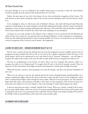have gone through. It is not even defined by the troubles which pursue us each day, or from the Anti-Semitism towards our people, from the nations of the world and from the "*Erev Rav*".

Rather, the main aspect of our exile is the absence of true, clear, and absolute recognition of the Creator. The exile obscures us from clearly sensing the reality of the Creator, and the redemption will reveal His Presence clearly to us.

In the redemption, when we will become clear of Hashem's Presence, that itself will bring all *shefa* (Heavenly sustenance and blessing) to the world completely, and all of the suffering and troubles will then vanish. Awaiting the redemption is thus not about awaiting anything else that will come to the world other than the absolute recognition of the Creator which will be revealed to the world. That is the redemption we are waiting for.

As long as we are in exile, whether in the collective exile or whether we are in a personal exile (the Ramchal and others say that one can leave his own personal exile even during his lifetime), we have a perspective of imagination, which can only understand the spiritual in terms of *moshol*, parables. Even more so, it means that we are only having a sense of recognition of the Creator by way of *moshol –* the imagination.

## LEAVING THE GREEK EXILE – THROUGH RECOGNIZING REALITY AS IT IS

But the more a person elevates his spiritual level, the more his imagination becomes purified, and his sense of recognition becomes purified with this as well. At the time of the complete redemption which will come to the Jewish people, which can be experienced in one's soul when he has is "personal" redemption – one will begin to recognize the reality of the Creator in the sense that this is reality itself! It means to recognize the reality as it is!

We have no comprehension in the Creator, of course. All we can do is recognize His existence, which is to recognize the reality as it is: Hashem exists! To recognize that *He exists,* is the level of complete *emunah.* Thus, the main part of exile is the absence of the light of *emunah,* and redemption is mainly about the light of *emunah*.

When this becomes a person's main perception, his entire life changes, and this is the personal redemption of one's soul.

When one can only get a sense for the spiritual and for the Creator through hearing *meshalim*\parables, he is trying to understand a higher realm by the means of this lower realm, and this is the use of the imagination, which seeks to understand the higher realms through the lower realms. With this level of perception, one will sometimes forget about His reality, and sometimes remember it. But when one has recognition of the Creator because he is aware that is the reality as it is, he never forgets it. This is the meaning of *"I place Hashem opposite me, always."* 

It does not mean that one always "reminds" himself of the Creator. When you "remind" yourself of the Creator, you are using a feeble ability, which may not last. If one keeps reminding himself of the Creator and he persists with it, perhaps he will receive it as a permanent level as a gift from Heaven (which is the simple meaning of the words of the *Mesillas Yesharim*, that all holiness is first with work, and eventually a gift).

## IN SUMMARY AND IN CONCLUSION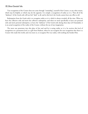True recognition of the Creator does not come through "reminding" yourself of the Creator, or any other means, which may be helpful, or which may do the opposite. It is simply a recognition of reality as it is. Then all of the "darkness" of the Greek exile will not feel "dark" at all, and in this level, the Greeks cannot have any effect at all.

Redemption from the Greek exile is to recognize reality as it is, which is always revealed, all the time. When we leave the collective exile and merit the collective redemption, and when we merit specifically to leave our personal exile and merit personal redemption, to leave the "darkness" of the Greek exile during these days [of Chanukah], it is an actual recognition of the reality of the Creator, without the use of any imagination.

The more one penetrates into this place of the soul and he is seeing reality as it is, he receives this level of recognition on a permanent level, as a gift from Hashem, where he can recognize the true recognition that there is a Creator who made this world, and even more so, to recognize His very reality, with nothing else besides Him.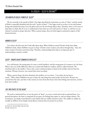# 14 | KISLEV – SLEEP & DREAMS<sup>[82](#page-70-0)</sup>

## THE MONTH OF KISLEV: POWER OF SLEEP"

We are currently in the month of *Kislev*. Our Sages described the wintertime as a time of "sleep", and the month of Kislev is especially identified with the soul's "power of sleep".[83](#page-70-1) Our Sages reveal to us that it is not only human beings and animals that sleep. Even the plants and even the non-living objects sleep. Therefore, there is a lot more to sleep than we think. But let us try to understand at least what our own soul's power of "sleep" is, and how we can channel it towards its proper direction. When a person sleeps, there are both negative and positive aspects of this human function.

## WOMEN & SIFFP

Let's look at the first time the Torah talks about sleep. When Hashem created Chavah's body from Adam *HaRishon*'s body, Adam *HaRishon* was put to sleep. Chavah's entire creation came about through sleep – thus, the entire creation of woman stems from sleep. Therefore, understanding what sleep is an important part of understanding a woman's *avodah*.

## SLEEP – WHERE HEART DOMINATES INTELLECT

As is well-known, the strong point of a man is *seichel* (intellect), and the strong point of a woman is *lev*, the heart. What is the root of this difference? Man was created with Hashem's wisdom, which is called *chochmah*. The *chochmah* refers to the intellect. That is why a man's initial perception is based on his intellect and not from his emotions. Woman, however, was created when man was asleep.

When a person sleeps, the heart dominates the intellect, as it is written, *"I am asleep, but my heart is awake."* When Adam *HaRishon* was put to sleep, the only thing that stayed awake was his heart. Woman was created from this state, and that is why woman act more from their heart, from their feelings and emotions, and less from their intellect.

## THE TWO PARTS TO THE HEART

<span id="page-70-1"></span><span id="page-70-0"></span>We need to understand how we use the power of "sleep", as a way to reach and reveal our spiritual heart. As a general description, the heart is comprised of two parts: our feelings that inspire us, and our deepest desires. The second part, our deeply rooted desired, is also linked with our *middos* (character traits). The *middos* we exhibit are actually an offshoot of our deeply rooted desires (*retzonos*) that are present in our heart.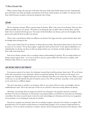When a person sleeps, the main part of the heart that stays awake when he*/*she sleeps is not the "inspirational" part of the heart, but rather the deeply rooted desires of the heart, which produce our *middos*. It is this part of the heart which becomes revealed to the person during the state of sleep.

#### **DREAMS**

We are referring to dreams. When a person sleeps, he dreams. What is the source of our dreams? There are three different possible sources of a dream. The foods we ate during the day can affect what we dream about, and the body's liver is involved with this process. The nature of the food affects our dreams, and even the thoughts of the person who made the food can affect our dreams.

There is also a second factor which can influence our dreams: Our Sages state that a person dreams about what he thought about during the day.

There is also a third cause for our dreams: we dream about our deep, subconscious desires that we may not even be aware of. It is written, *"On my bed at nights, I sought that which my heart loved.*" In the *sefarim hakedoshim,* it is explained that our dreams can show us what our deepest desires are; our dreams can help us figure out what our heart really wants deep down.

Each of our dreams contains a key to reaching a deeper understanding of ourselves. We can simply dismiss our dreams and just ignore them - or we can use them to uncover a great wealth. We will try here to explain, with Hashem's help, of how we can use our dreams.

#### OUR DREAMS SHOW US OUR PNIMIYUS

Every person consists of two layers: his *chitzoniyus* (external layer) and his *pnimiyus* (inner layer). We are all aware of the most external part of our *chitzoniyus*, which is our physical makeup. We see ourselves in the mirror so we recognize our *chitzoniyus*. A slightly deeper part of our *chitzoniyus* than this is our actions that we do. When it comes to this area, we can also identify this part of ourselves, more or less. We are all aware, somewhat, to the actions that we do, each of us to a different degree.

The more inner parts to ourselves, our *pnimiyus*, refers to our *retzonos* (what we want), our thoughts, and our *middos/*character traits. This is the main part of who we are, and this is what more closely defines our identity.

Obviously, our *pnimiyus* does not negate the need for our *chitzoniyus*. Our *pnimiyus* cannot be contained anywhere if we have no *chitzoniyus*. So just because our *pnimiyus* defines our self does not mean that our *chitzoniyus* is worthless. But what we need to know is that if we only acknowledge our *chitzoniyus* and we have no recognition of our *pnimiyus*, we are missing the main part of ourselves.

How do we recognize our *pnimiyus*? Some of it we already recognize, and some of it is harder to recognize. We generally know if we are drawn towards laziness or towards being energetic, if we are drawn towards positivity or negativity, or if we are drawn towards joy or sadness. Anyone can have this general awareness of his character, when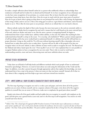he makes a simple reflection about himself; unless he is a person who stubbornly refuses to acknowledge these tendencies in himself and he'd rather live in denial and fool himself. So we have recognition of our *chitzoniyus* and we also have some recognition of our *pnimiyus*, to a certain extent. But we know that the soul is complicated consisting of many deep layers, layer after layer. How do we get in touch with the more inner parts of ourselves? How do we get to know what is going on deep down in our *pnimiyus*?Our soul is like a roll of string; the beginning of the string is thick, and we can see it. But as the string goes on and on, it gets thinner and thinner, and it becomes harder to see it. This is like the inner parts to our *pnimiyus*, which are so refined that it is very hard to discern.

Almost nobody reaches the depth of their souls, because the more inner parts to the soul are extremely subtle to discern. If someone thinks that he recognizes his soul well, it means that he is still found on the more external layers of his soul, which are thicker and easier to see. But the more a person is recognizing himself, he begins to understand that there is layer within layer, subtlety within subtlety, in the soul. He realizes that anything he does understand about himself is a drop in the ocean. *"It is very deep, who shall find it?*" When a person remains ignorant of self-knowledge and he has never worked hard to understand himself, it is definite that has life will lead him in a proper direction. Living on this world for 70 or 80 years without knowing oneself is like a shoemaker who never learned how to make shoes and he tries to make shoes. A person will not be able to life properly if he does not recognize what is in his soul. Indeed, it takes a lifetime of inner work in order to recognize the soul. The Raavad and the Maharal and others, based upon the verse "*From my flesh I can see G-d*", have explained that it is not possible to recognize Hashem unless we have a recognition for our own souls. That is why we need to work hard at understanding ourselves, more and more, discovering more and more subtleties about our souls.

## PREFACE TO SELF-RECOGNITION

Today there are all kinds of self-help books and different methods which teach people of how to understand themselves [psychology]. However, we need to learn about our souls using the information of the Torah and the Sages. In addition, even after a person has gone through appropriate *sefarim* that explain this knowledge, one must understand that is but a step in the process. It does not mean yet that you know yourself. Instead, all of what we learn about is like a stepping stool that helps us get more and more inward into ourselves.

## STEP 1 – WRITE DOWN ALL YOUR FEELINGS & CHARACTER TRAITS YOU'RE AWARE OF.

The first step of getting to recognize our soul is, to take a pen and paper, and write down all of the positive qualities you are aware of about yourself, and on a separate column of the paper, write down all of the negative qualities in yourself that you are aware of. However, make sure to emphasize the good parts about yourself.<sup>[84](#page-72-0)</sup>

Simply write down all of the good *middos* and bad *middos* that you recognize in yourself, with emphasis on the good, and this gives you a general look at your soul, and it is the first step in self-recognition. You need to sit with yourself and write this list.

<span id="page-72-0"></span> $\overline{a}$ *<sup>84</sup> Editor's Note: This is based upon the approach of Reb Yeruchem Levovitz zt"l, that the first step in self-awareness is to become aware of one's qualities, for "woe is to the person who does not know his weaknesses, but even worse is a person who does not know his qualities." (See Daas Torah, parshas Bamidbar). This point is further explained by the Rav in Fixing Your Fire\_012\_Individuality*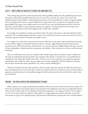## STEP 2 – WRITE DOWN THE NEGATIVE FEELINGS YOU SOMETIMES FEEL

After making this general list (which should include all the good*/*bad *middos*, all of the good*/*bad aspects of your personality, and all of the good*/*bad desires that you are aware of in yourself), now comes a more inner and fundamental part of this *avodah*: to understand that each aspect of our personality also contains an opposite feeling that we sometimes feel. If we have a good *middah*, there are also times where we experience the opposite of that good *middah*.This is due to the complex nature of our soul. We are never one-dimensional, and that is why if we experience a good *middah*, we also sometimes experience its opposite. The deep reason for this is because every aspect of the soul consists of itself and its opposite; this is called *'dovor v'hipucho*'.

For example, if we identify in ourselves an emotion of love for others, that means we also have hatred for others sometimes. We are already familiar with what it means to love and hate, but what we may not be aware of is that we sometimes experience hatred towards the very people we love!

For example, if a mother feels certain that she loves her child, there are also times where she feels hatred towards her own child. It might not be absolute hatred, but there is certainly a slight feeling of hatred that she may feel sometimes at her child (and sometimes, unfortunately, it is even more than just a slight feeling). The same is true for all close relationships – husband and wife, and parents with children. There is always love, but there will also hatred sometimes!

There is a well-known story that once a student of Rav Dessler dreamt that he had taken a knife to kill his son. He woke up terrified from the dream and he went running to Rav Dessler, to ask him how it was possible that he could dream such a thing. Rav Dessler said to him, "You love your son, but sometimes you experience negativity towards him, such as when he wakes you up at night and your sleep is disturbed. This little feeling of resentment that you have towards him made it possible for you to have a dream of killing him."

Obviously, the father loves his child, and that is what he mainly experiences towards the child. But does he love him one hundred percent? No, because there is always an 'opposite point' for each point in the soul, which makes its appearance sometimes; there is some small percentage of hatred contained at the other end of the love, and it came up in his dream.

## DREAMS – THE REVELATION OF OUR SUBCONSCIOUS FEELINGS

When a person is not trying to understand the subtleties of his soul, he doesn't take his dreams that seriously. He knows that sometimes he has pleasant dreams and sometimes he has nightmares. But when one understands that he is here on this world in order to serve Hashem and that self-recognition is a very large part of this ("*From my flesh I see G-d"*), he is aware that there is subtlety within subtlety of recognizing his inner layers, and such a person will view dreams as a great tool to help him greater self-awareness of himself and to improve his service towards Hashem.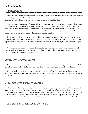### ANAI YZING DIIR DREAMS

Above, we mentioned three sources of our dreams. Our dreams can be influenced by the foods we eat that day, or by something we thought about by day, or by our innermost desires present in our subconscious. Therefore, after you wake up from a dream, try to see which of these three reasons caused the dream.

When we have dreams, we must figure out where they come from. We mentioned in the beginning three causes for dreams – what we ate that day, what we thought about that day and what we really want. If it did not come from foods or from our daydreams, it must be coming from something in our subconscious. It is hard for us to know exactly which kinds of foods we ate that day that may have caused the dream, therefore, we should mainly suspect that the dream came from our subconscious thoughts and desires.

[Here is an example of how our subconscious desires can show up in a dream.] Once the Chofetz Chaim dreamt that he has become wealthy. The next day, he fasted over the dream. He thought to himself, "Either way, this is not a good dream. If it happens and I become rich, my service to Hashem will be interrupted. And if it doesn't happen, it is bad that I had such a dream, because it shows me that I want to be rich."

Our dreams can show us about what our deepest desires are. Sometimes they are about desires we are already consciously familiar with, and sometimes our dreams show us our deep desires which we were out of our conscious radar, and through our dreams, we discover them.

### LISTENING TO THE SUBTLETIES OF OUR SOUL

If one wants to listen to the subtleties contained in the soul, one of the ways is through using our dreams. With the help of Heaven, will briefly list here some ways of how a person can listen to the subtleties in the soul.

Now that we have explained the need to recognize the subtleties of our inner world, our souls, the question is: How indeed do we recognize those subtle parts of ourselves? Here we will present briefly a general picture of how we can know.

## 1- LEARN SEFER 'MICHTAV M'ELIYAHU' OF RAV DESSSLER

 $\overline{a}$ 

The *mussar sefarim*, which span the earlier centuries down to the later centuries, were written by our Sages and *Gedolim*, and they exerted themselves to explain to us the most subtle and refined points. In the more recent generations, we have merited a particular sefer which does this job quite well: the sefer *Michtav M'Eliyahu[85](#page-74-0)*, written by HaRav Eliyahu Dessler *zt"l*. In this sefer, we can see how the author toiled to explain to us how to understand the human soul, based entirely on the words of the Sages. He shows us there the most subtle points about the soul.

<span id="page-74-0"></span>*<sup>85</sup> Available in English from Feldheim Publishers as "Strive For Truth"*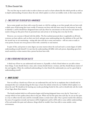The very first step we need to take in order to know our soul is to learn sefarim like this which provide us with an in-depth understanding of matters about the soul, which explain to us how our middos work, in their many details.

### 2 – TIME EVERY DAY TO DEVELOP SELF-AWARENESS

Just as some people were born with a sense for music or a feel for cooking, so are there people who are born with a subtle sense of discerning their inner worlds. If someone was born with this inner sense for soul matters, he needs to identify it, and he should have designated times each day where he concentrates on this sense for soul matters. He needs to bring out this power from its potential state and activate it, by having time every day for this.

However, not everyone is blessed with this ability. The first method presented above is applicable on all levels: everyone can learn *sefarim*, each on their own level, and gain some understanding into the subtleties of the soul. But the second way we are mentioning – setting side time each day to sense soul matters – will not come so easily to every person, because not every person is born with a sensitivity to soul matters.

In spite of this, each person to some degree can sense matters about the soul and reach a certain degree of subtle understanding towards himself. It is just that the understanding will differ with each person, depending upon how much sensitivity to these matters that a person has been born with.

### 3- FIND A FRIEND WHO YOU CAN TALK TO

A third way of how we can understand soul matters is, if possible, to find a friend whom we can talk to about these things. A man should choose a man, and a woman should choose a woman, and they should discuss matters of the soul together. Often the combined understanding of a close friend who understands you can be a great help in understanding yourself.

### 4 - INNER SILENCE

Now we will say a fourth way of how one can understand the soul, but let us emphasize that it should only be attempted after one is already doing the first step: to learn the sefarim written by our *Gedolim* which explain to us about the soul. We should not be learning any secular psychology books for this, and we should only seek the words of our Sages about these matters.

The fourth method which we will mention begins with having designated times every day for "heart time", a concept which we have spoken about often in the past. When one has this quiet time each day, he can use the quiet as a way to reflect into his soul, until he eventually attains a certain inner calm. Once a person reaches this calmness, his sense of recognition towards soul matters will be heightened, and he will be able to sense subtler understandings of his soul amidst this quiet and calmness, things which he wouldn't have been able to sense amidst a noisy environment.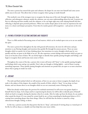The more a person has entered this quiet and calmness, the deeper he can enter into himself and come across subtle areas in his soul. This allows him to better recognize what's going on inside himself.

This method is one of the strongest ways to recognize the deep areas of the soul: through having quiet, deep reflection, and subsequent calmness; amidst the calmness, one can sense understandings about his soul. A person can first try reflecting and then steadily reach the calmness, or he can begin right away with calming himself and then reflecting; it depends upon personal preference. When one reaches deeper places in his soul, he experiences his soul more, in a clearer and sharper perception. From there he reaches greater self-recognition – each person on his own level.

## 5 – PAYING ATTENTION TO FLEETING EMOTIONS AND THOUGHTS

There is a fifth method of becoming aware of soul matters, which can be worked upon even as we are not amidst the quiet.

The more a person lives throughout the day with general self-awareness, the more he will notice and pay attention to any fleeting thoughts and emotions that quickly flit through his sensory process. There are some thoughts which we spend a lot of time thinking about, but sometimes we notice thoughts which pass by very quickly and they are gone in the blink of an eye. We also experience certain feelings and emotions which are gone as soon as we become aware of them. We can slowly begin to identify these quickly passing thoughts and feelings, and begin to recognize them and become more aware of them.

Throughout the course of the day, a person who is more self-aware will "listen" to the quickly passing thoughts and feelings which come and go very quickly. Don't take any thought or feeling lightly – each of them is saying something important. These quickly passing thoughts and emotions are portals that can open to us more awareness about what is going on inside our souls.

### 6 – DREAMS

The sixth and final method which we will mention, of how we can come to better recognize the depth of our souls, is the subject of this chapter: the *avodah* of the month of *Kislev*, which is "sleep". In our sleep, we have dreams, and our dreams show us our thoughts which we are not consciously aware of during the day.

When has already worked upon the previous five methods mentioned, he will access even greater depth to himself when he sleeps. As he sleeps and he is experiencing his dreams, he will be able to identify parts of himself which are hard to recognize during the daytime when he is awake. After he wakes up from the dream, he can analyze what caused the dream: if it was caused by certain foods he ate, or from something he daydreamed about or if it's coming from something deeper than these things. Often, he will find that the dream is caused by a deep subconscious thought, feeling, or desire.

In this way, a person accesses the deep power that lies in "sleep", and instead of viewing sleep as a wasted part of his life, he will see sleep as a valuable tool that helps him enter more within.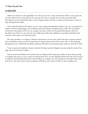## IN CONCLUSION

All that was said here is only applicable to one who wants to live a more internal kind of life. It is not merely for one who wishes to live an inner life, but for someone who wants to actually *enter* into the inner kind of life. Entering into an inner kind of life doesn't mean to begin tasting it and then to remain at the doorway. It means to keep entering further within.

These words described in this chapter are not a way to begin serving Hashem. Rather, they are a continuation for someone who has already begun to serve Hashem and he has already traveling his inner world. The six methods mentioned in this chapter of how we can recognize our inner worlds were but general descriptions, which are describing ways of how we can enter into more subtle areas of the soul, enabling us to go deeper and deeper into ourselves, until we get to our innermost point.

We must remember, as we begin to embark on this journey into our inner world, that there is a greater purpose here we should be trying to reach. Our goal must be to gain a keener sense of the Creator. We are merely passing through these inner roads being described as pathways that lead to our innermost point, where we reach the Creator.

I want to repeat and emphasize, however, that the first skep cannot be skipped: one must study the words of our Sages about the soul and its *middos*.

May we merit from Hashem to be of those who are seeking to know their inner worlds, of those who are trying to recognize their soul, as a way to reach true self and from there, to reach *HaKadosh Baruch Hu.* May all of us merit to climb the spiritual ladder that leads towards Hashem, to recognize our souls with greater and deeper clarity, and from this we can come to have clearer recognition of Hashem, and connect to Him in a more complete way.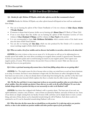## 14 | Q&A (from Bilvavi Q&A Archive)

### **Q1:** *Besides for sefer Michtav M'Eliyahu***,** *which other sefarim can the Rav recommend to learn?*

**ANSWER:** Besides for *Michtav M'Eliyahu*, any other *sefarim* learned will depend on how well one understands these things.

- One can try learning the *sefarim* of Rav Chaim Friedlander *zt"l*, the two volumes of *Sifsei Chaim. Middos* V'Avodas Hashem.
- If someone is deeper kind of person, he*/*she can try learning *sefer* Shiurei Daas of R' Bloch *zt"l* [from Telz].
- If one is even deeper than this, he*/*she can try learning the *sefarim* of Reb Yeruchem Levovitz *zt"l* (two volumes of Daas Chochmah U'Mussar, and five volumes of Daas Torah on the *parsha*).
- It is very recommended to learn Sefer HaMeoros HaGedolim, which contains stories of the *baalei mussar* since the times of Reb Yisrael Salanter.
- You can also try learning s*efer* Beis Kelm, which was also produced by Rav Dessler *zt"l*; it contains the *mussar* teachings taught in Kelm which he hails from.

### **Q2:** *When we make a list of our middos and we discover bad middos in ourselves, what do we do about this?*

**ANSWER:** Just write it down so that you are aware of it. At this point we will not yet be addressing how we actually uproot bad *middos*. Just write down everything you recognize about yourself, in general terms. Remember to focus on your positive points and to avoid focusing too much on your negative points. Don't ignore your negative points, of course. Write them down, but just don't focus on them too much. Make sure that you are keeping the focus on your good points.

#### **Q3:** *Is there a spiritual meaning why women have a hard time falling asleep when we are getting older?*

**ANSWER:** Yes. The simple reason for this is because when we sleep, our mind leaves us and our hearts dominate as we sleep. In women, the heart is more dominant to begin with, for their hearts are softer; throughout the day, their hearts are more active, so they are already drawn towards sleep from during the day, and that is why their need for sleep at night becomes lessened [which explains why there is a harder time for older women to fall asleep].

### **Q4:** *The Rav has said that it is more important to focus on our positive qualities when we write down a list of our middos. Does this include any desires I have that are in order to do the will of Hashem? Or can it also include things which are positive but they are not necessarily in order to do Hashem's will?*

**ANSWER:** Any desire that is aligned with Hashem's will is a positive desire. The lower part of our soul, our *nefesh habehaimis*, contains a mix of desires – some of them are desired by Hashem, and some of them are not. Some of our desires are simply coming from our faculty of ratzon (will), and these can be simply desires to want a certain thing, and some of these desires can be channeled towards doing the will of Hashem. Each desire needs to be examined to see if it can be channeled towards doing Hashem's will or not.

**Q5:** *What then does the Rav mean that we should focus on the positive? Is it referring only to our positive desires, or does it also include our positive middos and other positive aspects of our personality?*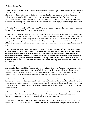**A:** If a person only writes down on the list the desires he has which are aligned with Hashem's will, he is probably fooling himself, because a person is usually not on the level where his main desires in life are to do Hashem's will. That is why we should write down on the list all of the natural desires we recognize in ourselves. We can also include in it our spiritual and holy desires which are Hashem's will, but we should not focus on this part alone, because then we would be avoiding a basic part of our self-awareness, by ignoring our natural desires. If someone is at the level where he only does the will of Hashem, that is wonderful, but most people are not living that way, so we need to be honest with ourselves as we make this list.

#### **Q6:** *Based on what the Rav said earlier that older women need less sleep, does that mean that a woman who has more "heart time" each day will also need less sleep?*

**A:** Often it can happen that the more spiritual a person becomes, the less sleep he needs. Some people need more sleep due to certain physical conditions in their body, but generally speaking, the more a person is living an internal kind of life, his need for sleep is greatly weakened and he will find that he doesn't need as much sleep. Of course, we are physical human beings, and we need to sleep. Chazal say that it is impossible for a person to go three days without sleeping. But the need for sleep can be greatly lessened, with the more a person is living an internal kind of life.

**Q7:** *We have a general question about how to serve Hashem. We are a group of women who learn Chovos HaLevovos (Shaar Avodas Elokim), and it is explained there that a person cannot reach his neshamah (soul) until he has purified his middos (character traits). But we are getting the impression that the Rav's general approach towards Avodas Hashem differs with this, for the Rav is saying that we must first reach the depth of our neshamah and after that to work on our middos. This implies that we don't have to first work on our middos in order to reach our neshamah. How do we reconcile the Rav's approach with the words of the Chovos HaLevovos?*

**ANSWER:** That is a very good question. The *Chovos HaLevovos* lived in the times of the Rishonim (the earlier sages, spanning the tenth and fifteenth centuries), but we live in the times of the Acharonim (the later sages, which began from the period of the fifteenth century), of which it is written about by our *sefarim hakedoshim* that we are closer to the time of Mashiach, in which the light of the *neshamah* is easier to access, for it will soon be revealed upon the world. This phenomenon contains both an advantage and a disadvantage, as follows.

The advantage is clear: the *neshamah* is made easier to access, in our times. But it also presents a certain danger. You can have a person who did not sufficiently work on his *middos* and he begins to enter inward into his soul, and he reaches the light of the *neshamah* which is more easily accessed nowadays – and then what happens? The light of his *neshamah* enters his unfixed *middos,* and then all of his *Avodas Hashem* is not genuine, because he is still full of unrefined character.

Can we say that one should first work on his middos and only after that he should enter into his *neshamah*? This is certainly a valid point. But in spite of this, the *sefarim hakedoshim* state that as the generations get closer to Mashiach, it is easier for us to access our *neshamah* and reach its innermost point.

Therefore, our *avodah* ends up being two-fold. We need to work on our *middos* at the very same time that we work to reach our *neshamah*. We have to be careful not to fall into the trap of neglecting to work on our *middos*, *chas v'shalom*.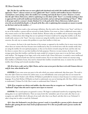**Q8:** *The Rav has said that men are more gifted with chochmah and seichel (the intellectual abilities) as opposed to "heart", whereas women are more gifted with "heart" and less with intellect; because Chavah was created from a state of sleep, where the intellect isn't working and only the heart is active. However, it seems that the sefer Chovos HaLevovos, which is explaining to us the duties of the "heart", is certainly teaching us how to approach the world with intellectual chochmah and seichel, and not with spiritual feelings of "heart". What is the proper path in a woman's Avodas Hashem? It is it the path of the Chovos HaLevovos (which seems to stress the use of seichel/chochmah), or the path of the Rav, who is explaining that womanly are meant to mainly use the heart and not the intellect….?*

**ANSWER:** You have made a clear and proper definition. But the truth is that if there is just "heart" and there is no use of the intellect, a person will not succeed in *Avodas Hashem*. Even more so, there is additional reason today why women need to use their intellect in *Avodas Hashem*. Women today are worldlier and are anyways using their intellect, to think about other things that are not spiritual. If women would not be using their intellect at all, they would easily connect to the "heart", but since women are using the intellect more these days, for materialistic concerns, the only way to counter this problem is to put their intellect to holy uses.

So in essence, the heart is the main function of the woman, as opposed to the intellect; but in more recent times, where there are women who have become more intellectual as they are involved more with the outside world, they are using the intellect for non-spiritual purposes, so they are less drawn towards using the heart; and the only way for them to counter this is to use their intellects for holy purposes. However, in most women, the heart is the stronger point than their intellect, and thus the main *avodah* of a woman in most cases is to use the heart, and less with intellect. The language of our Sages, such as the words of *sefer Chovos HaLevovos*, is certainly a more intellectual approach that is geared towards men and not towards women, but in our times where women are anyways using their intellect in all kinds of areas, they need to channel their intellect towards holy areas, to counter the use of their intellect that is being used towards mundane things.

### **Q9:** *If we learn a sefer such as Sifsei Chaim, and we come across parts that have to do with Gemara that are only for men, what should we do?*

**ANSWER:** If you come across any parts in the sefer which you cannot understand, skip those parts. The truth is that sefer *Sifsei Chaim* was written for yeshiva men, so you will definitely come across parts that are not meant for women to learn. Rav Dessler's sefer *Michtav M'Eliyhau* is preferable for women to learn because it is written in easier language. If you find *Michtav M'Eliyahu* too hard to understand, you can try learning sefer *Alei Shur*, which is easier to understand. (Volume II of *Alei Shur* is easier to understand than Volume I).

### **Q10:** *If we recognize our desires and middos, does that mean that we recognize our "neshamah"? Or is the "neshamah" deeper than this and it requires more layers to traverse?*

**ANSWER:** The second option you guessed is correct. We begin to understand ourselves by recognizing what is taking place in our *nefesh habehaimis,* There are many levels (the 'animalistic' part of our soul), after that we can recognize our *nefesh Elokis* (the G-dly part of our soul), after that is our *Ruach,* and after this is our *Neshamah*. It takes a long time in order to reach the *Neshamah*.

### **Q11:** *Since the Neshamah is very far from a person's reach, is it possible for a person to feel a closeness with Hashem after gaining the more basic levels of self-awareness? Or is this not possible until a person reaches the Neshamah?*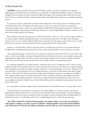**ANSWER:** It surely is possible. We have been describing a path here in which we build our way upwards, beginning from the bottom levels and working our way upwards. It is definitely possible for a person to feel sparks of higher levels even before he is there, because the light of the higher levels sometimes shines itself onto the lower levels. However, we will not be able to understand the sparks of the higher levels until we have actually entered more inward.

Every person contains a spark of the *neshamah*, which enables him to feel a deep closeness to Hashem at times, even before he has risen to the higher levels of his existence. There are several ways of how it is experienced. Sometimes it happens when a person has a deep feeling of simple faith in Hashem (*peshitus/temimus*), sometimes it is experienced through a deep experience of *davening*, sometimes it is felt through talking to Hashem, sometimes it can come from feeling a deep love for Hashem.

But it still does not mean that the person's actual soul level is there. There is a 'crack' in the soul which enables us to connect deeply to Hashem through those places, as we mentioned earlier, due to the light of the redemption which is closer to us now, which enables the light of the *neshamah* to be more easily accessed. That is why it is easier these days for a person to feel deep experiences in his soul, long before he has entered within.

However, as we said earlier, it doesn't mean that person is actually there at that level. It is just that sometimes, the light of the *neshamah* penetrates into the lower layers of the soul and enables a person to connect to it easily.

Thus, generally speaking, we must work our way upwards, starting from the lower levels of our soul. That is why when we work on our middos, we begin working with the lower levels and we work our way upwards, as opposed to beginning from a higher plane. We need to start from the bottom upwards. First we need to recognize the lowest parts of our soul and work our way upwards. We work to 'build' ourselves in this organized manner.

It is certainly possible for one to begin with the "*neshamah"* level, but it is a dangerous to do so. There are some people who begin with this path because they cannot deal with their weaknesses, and if they were to begin analyzing their weaknesses, they would do nothing to improve themselves, so they instead begin to enter the "*Neshamah"* level as an alternative. For such people, there is no realistic alternative, so they feel no other option other than to begin with the "*Neshamah"* level. Others are inclined to begin with *Neshamah* because there's a strong portal available in their souls that enables them to reach their *Neshamah*, and they would have a hard time descending to the lower levels of the soul and working from there. Others want to begin with *Neshamah* simply because they want to see success right away and they wouldn't want to deal with the failures of their weaknesses that are present in the lower layers of their soul.

So it is possible for a person to begin with the *Neshamah* level, but in all of these cases, it is always risky to do so.

The path which we must mainly use to traverse in our *Avodas Hashem* is to work in a step-by-step manner, beginning from the lower layers of our soul. This was the main path which our great leaders traversed throughout the generations. There were always exceptions to this who began to work on themselves from the higher plane [of *Neshamah*], but they were still taking a risk, and it is usually dangerous for us to take that unusual route.

**Q12:** *When I begin this avodah of calming myself to enter deeper within, I try various ways of trying to calm myself. I am doing so in order to connect to Hashem. I think of pesukim (verses) that mention Hashem, and I think about the "Ein Sof" (the Infinite) of Hashem, and this calms me, and I truly feel that I am more*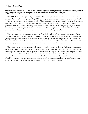### *connected to Hashem when I do this. Is this a true feeling that is coming from my neshamah, since I am feeling a deep feeling? Or is it just something that calms me and there is a lot more for me to feel….?*

**ANSWER:** I do not know personally who is asking this question, so I cannot give a complete answer to this question. But generally speaking, any feeling which feels deep to you contains some truth to it, for there is a 'crack' in the soul that enables you to experience the light of the *neshamah* somewhat. But it is only experienced temporarily and it doesn't mean that you are at that level. It is possible for a person to live in that higher state on more permanent basis, but if a person has not purified the lower layers of his soul, he is taking a very dangerous path by attempting to live in this higher state. It is fine to connect to this higher place in yourself from time to time, but then you must make sure to return to your lower levels and continue fixing yourself there.

When one is working his way upwards, beginning from the lower levels of the soul, and he is not yet feeling a deep connection with Hashem, it is very hard for most people to patiently work on themselves, when they are not getting a feeling of more connection to Hashem. This is especially the case with our generation. That is why every person needs to connect to Hashem from the place where he is currently found in, and along with this, he needs to work his way upwards. Each person can connect to his inner point of the soul, on his own level.

The truth is that sometimes a person is only imagining that he is becoming closer to Hashem, and sometimes it is a real feeling. However, even if it's being imagined, he is still being spurred on to become closer to Hashem and to enter deeper into himself; and if only all people could imagine in this way. But, we cannot build our path in *Avodas Hashem* based upon this point. It is fine to feel a deep closeness with Hashem if this will calm you and then you immediately return to reality and you work on yourself; as long as you understand that you have merely entered into a 'crack' in your soul which lets you experience a higher level. But you must immediately return afterwards to the actual level that your soul is found on, and to continue to work on yourself from there.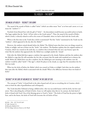*ראש חודש. מהות כסלו. 011 שינה*

## 15 | KISLEV – THE BOW[86](#page-83-0)

## THE MAZAL OF KISLEV – "KESHES" (THE BOW)

The *mazal* of the month of Kislev is called "*keshes*" (which can either mean "bow" as in bow-and- arrow; or it can mean the "rainbow"). [87](#page-83-1)

Yitzchok Avinu blessed Esav with the gift of "*keshes*" – his descendants would become successful archers in battle. The Sages explain that the "*keshes*" of Esav refers to the Greek nation<sup>88</sup>. Thus, the *mazal* of the month of Kislev, which is *keshes,* is directly related as well to the events of Chanukah, where we had to deal with the Greek exile.

Where is the first time in the Torah that a *keshes* is mentioned? The first "*keshes*" mentioned in the Torah was the "rainbow", which appeared in the sky after the *Mabul*. [89](#page-83-3)

However, the rainbow existed already before the *Mabul*. The *Midrash* states that there were ten things created on Friday at twilight, and one of them was the "*keshes"*, the rainbow. The Ramban explains that the original rainbow of Creation, which was created on the sixth day, is a rainbow that is formed when the sun's rays bounce upon the wind. But the rainbow that appeared after the *Mabul* was a sunlight amidst the "clouds".

Only after the *Mabul* did there appear a rainbow that appeared in the clouds. Hashem said that the rainbow after the *Mabul* is a sign that He will remember the *bris* (the covenant) that He made with mankind not to destroy the world. Before the *Mabul* there was also a rainbow, but the *Mabul* gave new meaning to the rainbow: now the rainbow would be called "*kashti*" ("My sign"), which He places in the clouds, as a sign that He remembers the *bris* that was made.

What was the *keshes* of before the *Mabul*, which was created on Friday at twilight? And what was the rainbow that came after the *Mabul*, which is associated with the clouds? What is the difference between these two kinds of *keshes*?

## "KESHES" IN THE SIDE OF HOLINESS VS. "KESHES" IN THE SIDE OF EVIL

The concept of "*keshes"* is found both in the sides of good and evil, just as everything else in Creation, which exists in both the sides of good\holiness and evil\impurity.

The Torah describes Yishmael as being a skilled archer, who was successful hunter with his *keshes*, his bow and arrow. This is describing the evil kind of *keshes*. [Later we will explain what this is]. In contrast, the holy kind of *keshes* is found with Yosef. One of the blessings given to Yosef is "*keshes"*. The *keshes* of Yosef has the power to fight Esav, and in the future, the *keshes* of Yosef will overcome the evil *keshes* of Esav.

<span id="page-83-0"></span>*ראש חודש מזל 012 – כסלו – קשת 86*

<span id="page-83-1"></span>*87 Sefer Yetzirah 5:4*

 $\overline{a}$ 

<span id="page-83-2"></span>*88 Beraishis Rabbah 65:8*

<span id="page-83-3"></span>*89 The Deluge (otherwise known as the Flood)*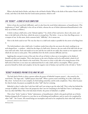What is the holy kind of *keshes*, and what is the evil kind of *keshes*? What is the *keshes* of the nation Yisrael, which is holy, and what is the *keshes* that the Greek nation possesses, which is evil?

## EVIL "KESHES" – A SENSE OF FALSE COMPLETION

*Keshes* is from the word *koshi* (difficulty), and it is also from the word *kishut* (adornment, or beautification). [The implication of "*koshi*" (difficulty) is the evil use of *keshes,* whereas the use of *kishut* (adornment\beautification) is the holy use of *keshes*, as follows.]

A *keshes* is always a half-circle, as the Talmud explains.<sup>[90](#page-84-0)</sup> In a *keshes* of bow and arrow, there is the arrow, and there is the half-circle of the bow, which the arrow is strung from. The *keshes* – it use as a bow that flings arrows - is a weapon of war. In this sense, *keshes* connotes *koshi*, "difficulty", for it means war.

How is the *keshes* used in war? The very fact that it is a half-circle makes it possible for the arrow to be flung from it.

The *keshes*\rainbow is also a half-circle. A rainbow results from when the sun meets the wind, resulting in an arch-sharped bow - a rainbow – which has the shape of a half-circle. However, the two ends of the half-circle do not meet with each other. Each end stands on its own and the two ends do not unify; they remain as two separate ends which do not meet at some point. This symbolizes how the *keshes* connotes difficulty and war.

Applying this concept in terms of the soul, the evil use of *keshes* is when one is incomplete yet he thinks of himself as perfect and complete. This is also known as the trait of *kashyus oref* (to be stiff-necked; a kind of evil brazenness), which is also related to the word *keshes*. The arrow in a bow is only able to be strung because of the half-circle of the bow; so too must one understand that he is only a half, and he is incomplete. When a person perceives himself as whole and complete, he has the negative trait of *kashyus oref,* and this is the evil side to "*keshes"*.

## "KESHES" IN HOLINESS: PRAYING TO FILL WHAT WE LACK

The holy kind of *keshes* is when a person utilizes the power of *bakashah* (request; prayer) – also rooted in the word *keshes*. The Sages said, "*Tefillah* (prayer) does half." When a person wants something, he is like a half-circle, like a bow - he knows he is not complete, he feels lacking somewhat, and he seeks completion. Thus, when he prays for what he lacks, his prayers accomplish the other "half" that he is missing.

*Bakashah* is when I realize that I only have half, and I am trying to get the other half. This is what lays behind the concept of *tefillah*. It is when I have the perspective that I am not remaining in the half that I have; I am hoping to have my other half filled. This is the holy kind of *keshes:* the power of *bakashah,* or *tefillah.*

This is how "*keshes"* results in "*kishut"* (adornment, or beautification), which is the good and holy use of *keshes*. Hashem designed all of Creation in a way that we are all lacking and insufficient, and we need to be completed by other "half" - the Creator. All created beings are incomplete and need to be completed by their other half, which is

<span id="page-84-0"></span>*90 Eruvin 65a*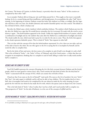the Creator. The beauty of Creation, its *kishut* (beauty), is precisely when the many "halves" of this creation are completed by their other "half".

As an example, Hashem did not bring any rain until Adam prayed for it. This taught us that man is essentially lacking, for he is a created being and thus insufficient, and through prayer, he accomplishes the other "half" that is missing. At the beginning of creation, Hashem created the *keshes* (the rainbow) on Friday, at twilight. But the Sages also said that at that very time, the *sheidim* (demons) and *mazikin* (harmful spirits) were also created. This alludes to the evil kind of *keshes*, which is *kashyus oref.* 

But after the *Mabul* came a *keshes* (rainbow) which symbolizes holiness. The rainbow which Hashem put into the sky after the *Mabul* was a sign that He would forever remember the *bris* (covenant) He made with the word to never destroy it again. This *keshes*\rainbow appeared in the clouds. Unlike the original *keshes*\rainbow of creation, which is a combination of sunlight and air, the rainbow that came after the *Mabul* was a combination of sunlight and cloud. The clouds enable the rain, which man had to pray for, in order for the rain to come. Thus, the *keshes* that appears in the clouds represents *bakashah*, prayer. This is a kind of "*keshes"* that requests its other half.

This is in line with the concept of *bris* that the *keshes*\rainbow represented. In a *bris*, there are two sides, and one of the sides is loyal to the other; the one who agrees to the *bris* is saying that he is incomplete by himself, and he needs the other to complete him.

But by the *keshes* of bow and arrow, the bow seems to be complete in and of itself, even though it is only a half. This is the evil kind of "*keshes"* – the *"keshes"* of Esav, of Yishmael, and of the Greek nation – a *keshes* that does not recognize its incompletion, thinking that it is complete in and of itself, failing to realize how it really needs another half to complete it.

## KESHES AND THE CONCEPT OF BRIS

 $\overline{a}$ 

Yosef *HaTzaddik* represents the concept of keeping the *bris* (the holy covenant between Hashem and the Jewish people, which we must guard in various ways), thus, Yosef contains the holy kind of *keshes* (for the holy kind of "*keshes*" is associated with the concept of *bris*), which can counter the evil *keshes* of Esav.

Chazal say that if one stares at the *bris* of himself[91](#page-85-0) (and surely if he stares at the *bris* of another), his own "*keshes"*  (his "bow"; the male organ) is withheld, and he will not be able to bear children. The *bris* implies that he is but a half, who is incomplete and needs to be completed by the one whom he made the *bris* with; meaning, he must guard the *bris* with the one whom he has made the *bris* with, which is his spouse [and on deeper level, the Creator].

This is the holy kind of "*keshes"*: when I realize that I am but a half, and I need another half to complete me. This perspective of "*keshes*" (in the side of holiness), is at the core of the concepts of *tefillah* and *bris*.

## DEEPER MEANING OF "KESHES": EQUALIZING WITH OTHERS & INTEGRATING WITH HASHEM

<span id="page-85-0"></span>*91 It is forbidden according to Halacha for one to gaze upon the male organ, either of himself or of another.*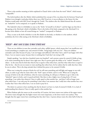There is also another meaning to *keshes* explained in Chazal: *keshes* is also from the word "*hekesh"*, which means "comparable."

The *keshes*\rainbow after the *Mabul,* which symbolized the concept of *bris*, was about the *bris* between Yisrael and Hashem (even though it took place before there was a *Klal Yisrael* yet, it was an allusion to the future *bris* that Hashem would make with *Klal Yisrael*, through the Torah). The rainbow after the *Mabul* showed that all creation are *"mukashim*" (to be compared, so to speak) to Hashem.

The *halachah* is that it is forbidden to stare at the "*keshes*" of oneself or of others<sup>[92](#page-86-0)</sup>, and the Sages say that this is like gazing at the *Shechinah,* which is forbidden. How is the *keshes* of the body compared to the *Shechinah*? It is because *keshes* alludes to how all created beings are *"mukash*" (compared) to Hashem.

Thus, to stare at the *keshes* (whether it is the *Bris Kodesh* on the body, or whether it is the rainbow, which symbolizes the *bris*) is like staring at the *Shechinah*, which is forbidden.

## "HEKESH" – WHAT I HAVE IS EQUAL TO WHAT OTHERS HAVE

There are two abilities in man that contradict each other: *tefillah* (prayer, which means that I am insufficient and I need something to complete me), and *someiach b'chelko*, "being happy with one's lot". These two abilities contradict each other because if I pray, I am not happy and sufficient with what I have, and if I am happy with what I have, I see no reason to pray, because there is nothing that I lack that I am trying to fill.

Simply speaking, "one who has a hundred wants two hundred", and a person cannot be *someich b'chelko* as long as he wants something that he doesn't have right now. But if a person gains the ability to be "*makish*" himself to others – in the sense that he feels that what he has is equal to what others have, and that what others have is equal to what he has – then he sees no reason to want anything that others have, for he realizes that he really does have what he sees in others. This is the deep attitude that is behind the power to be *someiach b'chelko*.

When one is using the concept of *keshes* for evil, he will want something and will fight and engage in war with others, in order to get what he wants (this is the "*koshi*" aspect of *keshes*, and it is evil). When one is using the concept of *keshes* in the side of holiness, when he wants something, he will pray to Hashem to get it (this is the "*bakashah"* aspect in *keshes*, and it is good and holy). But there is also a higher way of using *keshes:* if I want something, I can realize that whatever I have is really *equal* to what another has - and then I will no longer want what others have. I can only pray for something I want when I am unaware that I really have what another has; once I realize that I have what others have, I see no need to pray for it.

The desire in a person to have anything else that he doesn't yet have is a lack of *someiach b'chelko.* It is a lack of understanding that whatever I have is really *equal* to what another has.

When Hashem split the waters on the second day of Creation, the lower waters were jealous of the upper waters. The lower waters thought that the higher waters were more important, so the lower waters were jealous. They thought that the upper waters have something that they don't have. A person always wants the other half of what he

<span id="page-86-0"></span> $\overline{a}$ *92 see ibid*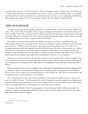is missing, which seems to not be in his possession. Either he will fight to attain it (which is evil) or he will pray for it (which is holy). But there is a deeper perspective he can have: if one is "*makish"* himself to others – if one realizes that all that he has is equal to what others have, and that the same is true vice versa - he realizes that the half which others possess is also a part of him. He is not lacking anything. This is the depth of *someiach b'chelko*.

## "KESHES" AND THE GREEK NATION

The Sages associate the concept of *keshes,* contained in the month of Kislev, with the Greek nation. What is this *keshes*? The ancestor of the Greek nation, Yefes, was given a blessing by Noach that he would "dwell in the tents of Shem". In other words, Yefes was blessed with the *chochmah* (wisdom) that would come to the Greeks, which would eventually challenge the *chochmah* of the Torah, which was inherited by the descendants of Shem. What, essentially, is the difference between the Torah's wisdom and the Greek wisdom?

The wisdom of the nation Yisrael, which is the wisdom contained in the Torah, is essentially the fact that Hashem learns with a person as he learns Torah; "One who sits and learns Torah, the *Shechinah* sits with him and learns with him." <sup>[93](#page-87-0)</sup> When one learns Torah, he is able to have the understanding that he is but a half, who is incomplete and who needs to be completed by another half, the Creator. By contrast, when one learns any wisdom other than the Torah (and any non-Torah wisdom is included in Greek wisdom), it is viewed as a wisdom that complete in and of itself, devoid of any other half; it is disconnected from Hashem. Only with learning Torah can a person realize that his wisdom is just a half, which needs Hashem in order for it to be completed.

Hashem is on one side, Yisrael is on the other side, and there is a *bris* (covenant) that connects us together. That *bris*, symbolized by the *keshes*, is the Torah. But what is this *bris* of the Torah? It is when one learns Torah with the understanding that his learning is just the "half" that he is accomplishing, and he still seeks the other half, Who is Hashem.

Before learning the Gemara, there is a *tefillah* to say, composed by the sage Rabbi Nechunia ben Hakanah. This is a *bakashah*, a request and a prayer from Hashem, that we should succeed in our learning. We need *bakashah* before we learn Torah so that we can understand that our Torah learning is our "half" that we can accomplish, and to understand that our other half that we need is Hashem.

This is the holy power of *keshes*, which Yosef personified. Yosef merited to be called one who is "tender in his years, yet a father of wisdom." Yosef became great in *chochmah* (wisdom) because he merited to have Hashem learn with him, through learning with Yaakov Avinu. Yosef recognized that he is the other "half", the lower half, whereas Yaakov is the upper half. Such Torah learning is the Torah of the nation of Yisrael.

By contrast, the evil kind of "*keshes"* is the perspective of the Greek nation, which is when one perceives his wisdom as complete and independent of Hashem, when in reality, any of the wisdom that he learns is but a half a larger whole, which he fails to recognize.

<span id="page-87-0"></span>*<sup>93</sup> Berachos 5a*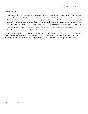## IN CONCLUSION

Thus, altogether, there are three levels to the concept of *keshes*. The evil kind of *keshes* is when I think that I am complete. The good kind of *keshes* is when I realize that I am a half that needs to be completed by another half. A higher level of *keshes*, which was the level reached completely by Moshe Rabbeinu, is when one understands that he is "*mukash*" - when one is at a state of equilibrium with all others, because he recognizes the other half as equal with his own half. Moshe Rabbeinu realized this fully, and that is the depth of why the *Shechinah* spoke from his throat.

The *avodah* in the month of Kislev, which is about the concept of *keshes*, is thus to realize that I am but a half, and that I must seek to be completed by my other half.

"There is no generation which does not have in it a righteous person like Moshe"<sup>[94](#page-88-0)</sup> – thus, every Jew can attain a spark of Moshe *Rabbeinu's* level, to be "*mukash*", to equalize ourselves and align ourselves with our other "half", Hashem – and in this way, we can merit some degree of Moshe's level: "the *Shechinah* speaks from his throat."

<span id="page-88-0"></span>*<sup>94</sup> Rambam in Moreh Nevuchim*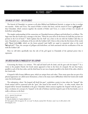## $16$  | TEVES – GOAT $^{95}$  $^{95}$  $^{95}$

## THE MAZAL OF TEVES – THE G'DI (GOAT)

The festival of Chanukah, in contrast to all other Biblical and Rabbinical festivals, is unique in that it overlaps two months – Kislev and Teves. The *mazal* of Kislev is *keshes* (the bow), and the *mazal* of Teves is  $g'di$  (goat)<sup>[96](#page-89-1)</sup> thus Chanukah, which connects together the months of Kislev and Teves, is a union of these two *mazalos* of *keshes*\bow and *g'di*\goat.

The simpler understanding [of the connection on Chanukah between *g'di*\goat and *keshes*\bow] is as follows. The Sages state that the Greeks sent a message to the Jews, "Write for your selves on the horns of a bull that you have no portion in the G-d of Israel."[97](#page-89-2) *Rashi* explains that the 'bull' was a hint to the sin with the Golden Calf; thus, in turn, Chanukah was a rectification of the sin with the Golden Calf. A hint to this is that the first letters of the words *g'di\* **גדי**and *keshes\***קשת**, which are the letters *gimmel*\ גand *kuf*\ק (are equal in numerical value to the word **עגל**/eigel\calf.<sup>98</sup> Thus, the concepts of *g'di*\goat and *keshes*\bow, are both associated with the rectification of the sin with the Golden Calf.

Here we will delve specifically into the role of the *g'di* (goat) in Chanukah of the spiritual power that it represents.

## THE GREEK NATION IS SYMBOLIZED BY THE LEOPARD

Concerning the future, it is written, *"The wolf will dwell with the lamb, and the goat with the leopard."[99](#page-89-3)* In a vision to the prophet Daniel, the Greek nation appeared to him in the form of a leopard. He saw four beasts, parallel to each of the four exiles, and the third beast he saw was a leopard, parallel to the third of the exiles, which is the Greek exile.

A leopard is full of many different spots, which are unique from each other. These many spots that are part of its physical appearance are called *tzuros* (formation), a hint to the many *tzaros* (difficulties) which the Greek exile would cause the Jewish people.

The redemption, where "the leopard will dwell the goat", symbolizes a point in time where the "leopard" (the Greek nation) will be connected with the "goat" (the *mazal* of the month of *Teves*) – in other words, where the leopard will be 'lowered' [humbled] to the goat. Chanukah, which connects together the 'leopard' with the 'goat', is thus a revelation of a concept of a 'leopard' in the side of holiness (and the leopard is part of the lion family, so it is really a reference to the lion).

<span id="page-89-0"></span>*ראש חודש מזל 013 טבת* – *גדי 95*

<span id="page-89-1"></span>*<sup>96</sup> Sefer Yetzirah 5:14*

<span id="page-89-2"></span>*<sup>97</sup> Beraishis Rabbah 2:4, Vayikra Rabbah 13:5*

*<sup>98</sup> עגלis equal to 103 ( עis equal to 70, גis 3, and לis 30; for a total of 103. The letters גand ק are 3+100, which is 103.*

<span id="page-89-3"></span>*<sup>99</sup> Yeshayahu 11:6*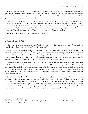Hence, the *mazal* of *g'di*\goat is really a spark of the light of the future, in which the leopard will dwell with the goat, and the wolf will dwell with the lamb. The evil "leopard" - the Greek nation - was defeated, and thereby lowered to the level of the goat, revealing instead a holy and rectified kind of "leopard", which can dwell with the goat (the leopard's root in holiness is the lion).

The Sages say that in the future, all the festivals will disappear except for Purim<sup>[100](#page-90-0)</sup>, and there are those who include Chanukah as well.<sup>[101](#page-90-1)</sup> The understanding of this opinion, that Chanukah will not cease in the future, is linked with the fact that the *mazal* of the month of Teves is *g'di*\goat, which on an inner level is referring to the complete level of *g'di* in the future, where there will be a union of leopard with goat. (The future will also be a revelation of the full level of the "light of Torah" - which is also what Chanukah revealed.)

Let us try to understand more about this *mazal* of *g'di*\goat.

### G'DI AND THE TRIBE OF GAD

The word *g'di* (goat) is rooted in the word "Gad", who was one of the twelve sons of Yaakov Avinu. Gad was named by Leah from the words, "*Ba gad"*, lit. "Gad has come".

*Rashi*[102](#page-90-2) cites three different meanings of Gad's name. One of the meanings of it is *"Ba gad, ba mazal*" (lit. "Gad has come, good *mazal* has come"). The word "*gad"* is thus synonymous with the very concept of *mazal*. Another reason for Gad's name is because his birth was like a "*begidah"*, a "betrayal" – in the sense that he was born from a maidservant, and not directly from her. A third reason for his name is because he was born circumcised, and the word *gad* means to "cut", hinting to the cut of the *bris milah* that he already was born with.

The word "*mazal"* is from the word "*noizel"*, to "flow"; the concept of *mazal* is about the continuous flow of all *shefa* (Heavenly sustenance) to the Jewish people. Throughout the 12 months of the year, there are 12 *mazalos*, and the *mazal* of Teves which is *g'di*\goat corresponds to the tribe Gad - who is the root of *mazal*, for Leah said upon the birth of Gad, "*Ba gad, ba mazal*". Thus, the *mazal* of Teves, which is *g'di*\goat, is the root viewpoint of all the other *mazalos* throughout the other months of the year. The *shefa* of all the *mazalos* of the year flows from the *mazal* of Teves, which is *g'di*\goat.

Since the term "Gad" implies different meanings - as explained above – the concept of Gad and the *mazal g'di*\goat therefore contains opposite concepts. This will either mean that the *shefa* of all the *mazalos* stem from Gad's aspect of "discontinuation" (*gid*\cut), or, from Gad's aspect of *begidah*\betrayal – also a form of discontinuation (either of these implies a bad *mazal*), or, the opposite – the *mazalos* may all stem from Gad's aspect of "*ba gad ba mazal*", the fact that Gad implies good *mazal*, a continuation of uninterrupted *shefa*. So Gad, or the *mazal g'di,* can either imply continuation of *shefa*, or it may imply the discontinuation of *shefa*.

<span id="page-90-0"></span>*<sup>100</sup> Midrash Shochar Tov: Mishlei: 9:1*

<span id="page-90-2"></span><span id="page-90-1"></span>*<sup>101</sup> Ateres Zekainim Orach Chaim 676, Sefer HaChaim 3:7, Magid Maisharim parshas Vayakhel, Manos HaLevi: hakdamah 102 Beraishis 30:11, and Rashi ibid*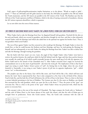Gad's aspect of *gid*\cutting\discontinuation implies limitations, as in the phrase, "Words as tough as '*gidin*' spears".[103](#page-91-0) There are 248 limbs and 365 *gidin* (sinews) in the body; the 248 limbs are parallel to the 248 sins which the Torah enumerates, and the 365 sinews are parallel to the 365 *mitzvos* of the Torah. The Ramban says that the 248 sins of the Torah represent *yirah*\fear of Hashem, which is the idea of staying contracted to boundaries, whereas the 365 *mitzvos* represent *ahavah*\love, which is expansion.

Let us now delve into the roots of these matters.

### THE POWER OF GOATSKINS WHICH SAVES YAAKOV (THE JEWISH PEOPLE) FROM ESAV (WESTERN SOCIETY)

When Yaakov had to take the blessings from Esav, he disguised himself with goatskins. Yitzchok felt the skin on his neck and hands, which was covered in goatskins, and therefore thought he was Esav, and that is what ultimately secured Yaakov with the blessings (and which also aided him in the spiritual war against his brother Esav). Thus, it was goatskins which saved Yaakov.

The war of Esav against Yaakov was first centered on who would get the blessings. He fought Yaakov to leave the womb first, so that he could become the firstborn and have blessings, and later, he tried getting the blessings for himself, and was subsequently at war with Yaakov for taking the blessings from him. Yaakov was able to defeat Esav and take the blessings, through wearing the goatskins.

But the battle with Esav wasn't yet over. Later, the angel of Esav fought Yaakov when Yaakov went back to retrieve the *pachim ketanim*, the small pots which he had left behind (and the Sages said that these *pachim ketanim* were actually the small jug of oil which would eventually became the same small jug of oil with the signature of a *Kohen Gadol* used in the miracle of the Chanukah story<sup>104</sup>). After Yaakov overcame Esav's angel, he received the commandment not to eat the sinew of *gid hanasheh* - also from the word *g'di*. The implication of this is that Esav's angel was trying to attack Yaakov Avinu's power of "*g'di*", by hitting him in the thigh, where the area of *gid hanasheh* is. Essentially, it was trying to turn Yaakov's power of *g'di* into its opposite implication, "*gid" –* which means "cut", or discontinuation.

The prophet says that in the future, Esav will be like straw, and Yosef will be like a fire, which will burn and destroy the 'straw' that is represented by Esav. Esav is also compared to a fire. Esav is the evil kind of fire, whereas Yosef is holy fire, and the holy fire of Yosef will destroy the evil fire of Esav in the future. There is a hint to this from a certain *halachah* pertaining to the laws of Shabbos. The Gemara says that if a fire starts on Shabbos, one should first surround the fire with goatskins, which can cause the fire to die down.<sup>105</sup> Thus, the power of the "goat" can overcome fire. This is a hint to the power of the "goat" which Yaakov Avinu was protected with, which has the power to overcome Esav.

This concept is also at the root of the miracle of Chanukah. The Sages compare the Greek exile to "darkness", and the exile of Edom (Esav) to the lowest abysses of the earth (the *tehom*), and that the exile of Edom gets its strength from its predecessor, Yavan (the Greek nation). Thus, the Greek exile continues with the exile of

<span id="page-91-0"></span>*<sup>103</sup> Rashi to Shemos 19:3*

<span id="page-91-1"></span>*<sup>104</sup> Megaleh Amukos parshas Vayishlach (Beraishis 32:24)*

<span id="page-91-2"></span>*<sup>105</sup> Shabbos 120a*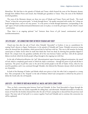Edom\Esav. We find that in the episode of Yehuda and Tamar, which formed the roots of the Messianic dynasty through their children Peretz and Zerach, that Yehudah gave goatskins to Tamar. Thus, the roots of the Mashiach involved goatskins.

The roots of the Messianic dynasty are these two sons of Yehuda and Tamar: Peretz and Zerach. The word "Peretz" is from the term *poiretz geder*, "to break through fences," the quality associated with royalty, for "a king can break through fences, and no one may protest." It is the power to break through limitations, corresponding to the "*gid*" aspect of Gad (cut\discontinuation\limitation) and, in its place, to reveal the *g'di* aspect of Gad, which is *mazal* - continuation.

Thus, there is an ongoing spiritual "war" between these forces of *g'di* (*mazal*, continuation) and *gid* (cut\discontinuation).

### THE G'DI\GOAT – THE CONNECTING POINT BETWEEN YEHUDAH AND YOSEF

Chazal state that after the sale of Yosef, when Yehudah "descended" to Goshen, it was as a punishment for causing Yosef's descent to Egypt. Furthermore, in the episode of Yehudah and Tamar, Yehudah was proven wrong when she showed him the goatskins, which proved that he had been with her. This was in full measure for having caused pain to Yaakov Avinu when he made him think that Yosef was dead, by showing him goatskins dipped in blood. On a deeper level, the goatskins symbolize all of the wars between Yaakov and Esav, with all the spiritual failures involved, which the Jewish people will go through in the ongoing war with Esav.

In the side of holiness\rectification, the "*gid*" (discontinuation) aspect becomes *g'di*\goat\continuation, the *mazal* of Gad, which is completely good *mazal*, in which the *shefa* is continuous – through the power of *g'di* and all that it represents. The power of *g'di* first came to the aid of the Jewish people in the life of Yaakov Avinu, when he was saved by goatskins; and it was continued through Yehudah, who fathered the Messianic dynasty which involved the use of goatskin.

In both of the blessings of Yaakov and Moshe which were given to Gad, the tribe Gad is compared to a young lion. This corresponds to the "leopard" in the side of holiness which Gad corresponds to [which has the power to defeat the Greek exile, the evil leopard].

## GAD\G'DI – THE POWER OF BRIS MILAH WHERE ALL MAZAL AND SHEFA COMES FROM

Thus, we find a connecting point between Yosef and Yehudah. At first, Yosef descended to Egypt through the means of Yehudah (who was mainly responsible for selling him), and afterwards, Yehudah descended to Goshen by means of Yosef (for the brothers shunned him after the sale of Yosef, causing him to descend from his previous royal status). The inner task of Gad (*g'di*) is to connect together Yosef and Yehudah and to continue this connection [as will be explained].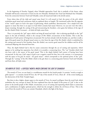In the beginning of *Parashas Vayigash*, when Yehudah approaches Yosef, this is symbolic of the future, when Yehudah will become connected to Yosef [via the two Messiahs, Moshiach ben Yosef and Moshiach ben Yehudah]. From the connection between Yosef and Yehudah, comes all *mazal* and *shefa* to the Jewish nation.

From where does all the *shefa* and *mazal* come from? It is all rooted in Gad, the power of the *g'di*, which symbolizes good *mazal* and continuous *shefa* (as explained above at length). We mentioned earlier that the opposite of the "*mazal*" aspect in Gad is his aspect of *gid*\cutting, which symbolizes 'disconnection'. On a simple level, this appears to mean that there is an aspect in Gad which contains bad *mazal*. However, we can now view this with a deeper meaning: through the cutting of the *gid* (circumcising the foreskin), a Jew gains the holiness of the sign of the *Bris Kodesh* (Holy Covenant) – of which all *shefa* comes from.

Thus, it is precisely the "*gid*" aspect which can bring all *mazal* and *shefa* – this is referring specifically to the "*gid*" aspect in the side of holiness, which is the concept of *Bris Milah*, circumcision of the foreskin. This is also the implication of Gad's power of being born circumcised. He was born already with the foreskin cut, and this is really a sign of his good *mazal*, for all good *mazal* comes to a Jew from the sign of the *Bris Kodesh*, which is symbolized by the cutting and removal of the foreskin; from *Bris Kodesh*, one receives good *mazal* for his children and for all his continued offspring who descend from him.

Thus, the depth behind Gad is that he causes connection through the act of cutting and separation, which appears to be nothing but separation, but which is in actuality a connecting force. The "cut" foreskin which Gad was born with is the source of his good *mazal*. This is the depth behind Gad's power of having been born circumcised. In this way, Gad's aspect of *gid* is not a negative *mazal* for him, but to the contrary, it is synonymous with his aspect of *ba gad, ba mazal* – his good *mazal* – which corresponds to the spiritual power of the "*g'di*". Through the "cutting" of the *Bris Milah*, which is the *gid*, there is a connecting point between Yosef and Yehudah, and from there, all *shefa* comes.

### THE MONTH OF TEVES – A DIFFICULT MONTH, WHICH CONTAINS THE LIGHT OF CHANUKAH

The month of Teves, on one hand, is a troublesome month for the Jewish people. It contains "words as tough as *gidin* (spears)" – it contains *Asarah B'Teves*, the 10<sup>th</sup> day of the month of Teves, where all of the events leading up the destruction of the Holy Temples began.

But there is also a higher, deeper aspect to the month of Teves. Its *mazal* is *g'di*\goat, from the word Gad, which symbolizes the very concept of *mazal*. We have explained here that the depth of this power of "*g'di"* is due to the power in the Jewish people of *Bris Milah*, circumcision, an act of cutting and separating which leads to connection and a combination of mighty spiritual power, which has the strength to defeat the evil forces of Esav. This is the root of how the month of Teves can contain Chanukah, which is the light of the future.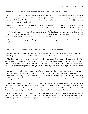## THE POWER OF GAD'S SUCCESS AT WAR: WHEN THE "HANDS" ARE CONNECTED TO THE "HEAD"

Part of Gad's blessing is that he is successful when his tribe goes to war with his enemies. In the blessing of Moshe, Gad is compared to a young lion which can tear apart its victims, removing the skull together with the arm in one blow.[106](#page-94-0) The depth behind this is because Gad can 'connect' together the arm with the head [and all that these two parts of the body symbolize].

In the Chanukah miracle, the "majority fell to the hands of the few". Simply speaking, this meant that although the *Chashmonaim* were outnumbered by the Greek army, the *Chashmonaim* were still able to defeat them. But the depth of this is that the *Chashmonaim* became the majority, through their own spiritual power, making the Greeks into "few", and this was how the Greeks fell into their hands. The Greeks were only more powerful them in their numbers, size and physical strength - in their "hands". But the *Chashmonaim* were more powerful than the Greeks because they were represented by the "head", which is above the hands.

Thus, the secret of winning against all negative forces is when the Jewish people connect their "hands" with their "head".

### "PERETZ": HOLY POWER OF BREAKING ALL LIMITATIONS WHICH CAN DEFEAT THE GREEKS

On a deeper level, Gad's success is not because of *mazal* or either because of his power of "cutting", but because he has the power to go to war against his enemies in order to reveal the continuation of all holiness.

The Greek nation fought the Jewish people by forbidding them from *Bris Milah*; the depth of this is that they were fighting the continuation of the Jewish people, for all good *mazal* for the Jewish people stems from *Bris Milah*. This was their intention as well in contaminating all the oils in the *Beis HaMikdash* and in breaking down all of its walls. They were using the power to "cut", *gid*, an evil power of *peritzas geder*, "breaking fences", which aims to break down the holiness of the Jewish people.

But the Jewish people contain a holy ability of *peritzas geder*, symbolized by Peretz, ancestor of the Messianic dynasty and all royalty, which uses this power for holiness. When the Greeks tried breaking through all of the 'fences' of the Jewish people, this was essentially the Greek "darkness" which the Sages attribute them to, but when the *Chashmonaim* prevailed, it was the power of *peritzas geder* which does not bring darkness, but light and illumination.

This is Gad's holy power of "*gid"*, which is his ability of *peritzas geder* when used for holiness, where *mazal* is continuous. The Greek nation wanted to weaken this power of the Jewish people and to darken all of their *mazal*. But through the power of *peritzas geder* (breaking fences) in the side of holiness, symbolized by Peretz, Zerach, and Gad, there was spiritual light and illumination which dispelled all of the "darkness" of the Greeks.

Chanukah contains this spiritual power of Peretz, of holy *peritzas geder* (breaking fences). It also contains another spiritual illumination: it must be lit at the entranceway, with the menorah on the right and the *mezuzah* on the left, and this implies that we use the spiritual power of the *mezuzah* to guard our entranceways, fences, and *gedarim*

<span id="page-94-0"></span>*106 Devarim 33:20*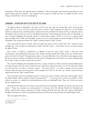(boundaries). With these two spiritual powers combined – holy *peritzas geder,* and *shemirah* (protecting) our own *gedarim* which guard our holiness - the complete level of *mazal* is revealed, and then we enable the power of the "king can break fences", the root of redemption.

### CHANUKAH – THE MITZVAH THAT IS THE LIGHT OF THE TORAH

The light revealed on Chanukah is the power of Gad, who tears apart his enemies like a lion, removing their 'skull' and 'arm' at once. We have Torah and *mitzvos*, and the Torah symbolizes the head, for it is the wisdom (which is contained in the cerebral faculties), whereas the *mitzvos* symbolize the hands, for they are physical actions. Throughout the rest of the year, there is this difference between Torah learning and *mitzvos*. But on Chanukah, we have a *mitzvah* of lighting the menorah, which is a *mitzvah* that contains "Torah" in it, for it is a *mitzvah* which shines the light of the Torah. On Chanukah, we have an act of a *mitzvah* which is entirely the light of Torah! Thus, Chanukah is the connection between the "hands" (*mitzvos*) with the "head" (Torah).

This is precisely the power of Yosef, which can defeat the power of Esav. Yosef's holy "fire", which can burn through Esav, is the concept of combining the "hands" with the "head" – a level where our acts of *mitzvos* contain the light of Torah.

Esav's power is fueled by *asiyah*\action, as alluded to from his name "Esav" which is from the word *maaseh*\action, and symbolized by his power of the "hands" which personifies him. What is the way to defeat Esav's power of action, his "hands"? Through *mitzvos* alone, we cannot defeat Esav, for it will only be action against action. But if our actions of *mitzvos* are fueled by the holy power of thought that is the Torah, our actions combined with the "Torah" in them can then overcome Esav's power.

The *mitzvah* of lighting the Chanukah *menorah* is a unique *mitzvah* act which reveals the spiritual illumination of Torah outward to the rest of the world, from the entranceway of the house where it is lit. It is this power which can overcome Esav. In order to overcome "action" – the power of Esav – we need to combine our own actions (*mitzvos*) with the mind, with the power of holy thought, the Torah. In this way, our "hands" (actions) become empowered with the "head" (mind\Torah).

Thus, the power of Gad is essentially the power to infuse our actions of *mitzvos* with inner, holy thought. This is the depth behind "*Mitzvos* require *kavanah* (concentration)"[107](#page-95-0) – on an inner level, it means to combine "Torah" within our actions, to combine the arm\hands\*mitzvos* with our head\skull\Torah. Then, our Torah and *mitzvos* become unified as one.

All of the festivals will cease in the future, except for Purim and Chanukah. Similarly, the *mitzvos* will cease in the future.<sup>[108](#page-95-1)</sup> These two statements are interconnected. It is because all of the festivals (besides for Chanukah and Purim), and all of the *mitzvos,* represent the "hands" without the head, thus they will cease; whereas Chanukah is the light of the future, in which our hands\actions\*mitzvos* will become connected with our head\thought\Torah.

This is the light of the future….

<span id="page-95-1"></span><span id="page-95-0"></span>*107 Pesachim 114b 108 Niddah 61b*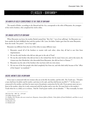# 17 | KISLEV – BINYAMIN[109](#page-96-0)

## THE MONTH OF KISLEV CORRESPONDS TO THE TRIBE OF BINYAMIN

The month of Kislev, according to the *Raavad* and the *Gra,* corresponds to the tribe of Binyamin, the youngest of the twelve brothers, who completed the twelve tribes.

### THE UNIQUE ASPECTS OF BINYAMIN

When Binyamin was born, his mother Rachel named him "*Ben Oni"*, "son of my suffering", for Binyamin was born amidst the fatal childbirth that took his mother's life. Later, his father Yaakov gave him the name Binyamin, from the words "*ben yamin"*, "son of my right".

Binyamin was different from the rest of the tribes in many different ways:

- 1. Binyamin caused all of the brothers to reunite with each other, when they all had to save him from imprisonment.
- 2. He was the only brother who did not take part in the sale of Yosef.
- 3. He was the only brother who did not bow to the wicked Esav [for he wasn't born yet], and in this merit, the *Gemara* says that Mordechai, who descended from Binyamin, also did not bow to Haman.<sup>[110](#page-96-1)</sup>
- 4. Binyamin was the only of the brothers who was born with two twin sisters.
- 5. He was one of the four people who died completely free from sin, and who died solely because of the "effect of the Serpent" on mankind.<sup>[111](#page-96-2)</sup>

### RACHEL IMEINU'S SOUL IN BINYAMIN

Every man is connected with two women who are in his life: his mother, and his wife. The Torah says, *"Therefore a man shall leave his father and his mother, and cleave to his wife, and they shall become one flesh"*).[112](#page-96-3) At first one is connected to his mother, and then he must reserve his primary connection for his wife. Every person starts out as a fetus in his mother, where he is only connected with his mother and to one else. He must listen to his mother's Torah when he is a child, as it is written, *"And the Torah of your mother, do not abandon."* [113](#page-96-4) But eventually, he must

<span id="page-96-3"></span>*112 Beraishis 2:24*

<span id="page-96-0"></span>*ראש חודש* – *מזל 009* – *כסלו*-*בנימין 109*

<span id="page-96-1"></span>*<sup>110</sup> Yalkut Shimeoni 1054*

<span id="page-96-2"></span>*<sup>111</sup> Shabbos 55b (The four who never sinned were: Binyamin, Amram (father of Moshe), Yishai (father of Dovid HaMelech), and Kilav (a son of Dovid HaMelech).*

<span id="page-96-4"></span>*<sup>113</sup> Mishlei 6:20*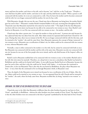marry and leave his mother, and cleave to his wife, and to become "one" with her, as the Torah says: *"Therefore a man shall leave his father and his mother, and cleave to his wife, and they shall become one flesh."* When a person is still connected with his mother, he is not yet connected to a wife. Once he leaves his mother and he becomes connected with his wife, he is no longer connected with his mother, for now he has a wife.

With Binyamin, though, this was not the case. Chazal state that as Binyamin was being born, his mother Rachel gave her soul to him.[114](#page-97-0) Binyamin's mother Rachel remained hidden in his soul, escorting him throughout his life. Chazal also state that Binyamin married the twin sisters he was born with.[115](#page-97-1) The depth of the fact that Binyamin was born with two twin sisters was because he was able to be connected to two women at once. Since Rachel's soul lived on in Binyamin, it is as if he was connected with two women at once – his mother, and his wife.

Chazal state that when a person sins, "it is upon his mother to clean up his mess". A person sins only because he has a physical body that was taken from the earth. After Adam sinned, he separated afterwards from Chavah for 130 years. During that time, there was no woman in his life. He was no longer connected with his wife for this time, and he returned to his "mother", the earth he came from. Since Binyamin represents the concept of being 'connected' to two women at once, Binyamin was a rectification of Adam's sin, for Adam could not be connected with two women at once, whereas Binyamin could.

Normally, a man is either connected to his mother or to his wife, but he cannot be connected with both at once. But Binyamin was connected with his mother and his wife at the same time. Binyamin was also not connected with any sin, because he was one of the four people who never sinned, and he only died because of the Serpent's effect on mankind.

Rachel's soul in Binyamin enabled him to be connected with two women at once: to his mother (Rachel) and to his wife (the twin sisters he married). Therefore, on a deep level, it was not a coincidence that Rachel was buried in Bethlehem and she could not be buried with Yaakov. It was really because Rachel lived on in Binyamin, because she gave her soul to him, and that is why she could not be 'buried' with Yaakov – it was because she continued to remain alive, in her son Binyamin! That is also why she was buried in Bethlehem, the place where Binyamin was born – it was a hint that she continued to live on through Binyamin's birth, in Binyamin's soul.

Thus, the depth of why Binyamin never sinned was because he was a rectification of the sin of Adam. After the sin, Adam could not be married to two women at once – he was separated from his wife Chavah and he returned to his "mother", the earth, where his body came from. Binyamin rectified this, by being "married to two women" at once.

## BINYAMIN: THE POINT OF NO SIN WHICH RECTIFIES THE SIN OF ADAM

Chazal also state in the *Sifrei* that Binyamin is different than the other brothers because he was born in *Eretz Yisrael* – specifically, in Bethlehem - whereas the other brothers were born outside of *Eretz Yisrael*. The depth of this is that the other brothers were not connected to the holy of 'ground' (symbolized by the holy land of *Eretz Yisrael*),

<span id="page-97-0"></span>*<sup>114</sup> brought in the name of the Arizal*

<span id="page-97-1"></span>*<sup>115</sup> Rashi Beraishis 35:17 (see also Gur Aryeh ibid)*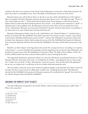and that is why there were not born in *Eretz Yisrael*, whereas Binyamin is connected to a holy kind of 'ground', the point where there is no possibility of sin. That is the depth of why Binyamin was born in *Eretz Yisrael*.

Binyamin had no sins, and he did not deserve to die due to any sins, and he only died because of the Serpent's effect on mankind. Therefore, Binyamin represents the point where there is no sin. The Sages state that "The air of *Eretz Yisrael* makes one wise",[116](#page-98-0) which means that the land of *Eretz Yisrael* represents a total removal from sin. Adam's body was taken from Bavel and his head from *Eretz Yisrael*[117,](#page-98-1) so he still had some connection to "death", to unholy ground, to the possibility of sin. But Binyamin was born in *Eretz Yisrael*, so he was entirely from *Eretz Yisrael* - and therefore, Binyamin was connected to holy kind of "ground": the point where there is no possibility of sin, where there is no curse of death upon man that results from sin.

Binyamin's blessing from Moshe is that he is the "*yedid Hashem"*, the "friend of Hashem["118,](#page-98-2) and that he has a portion in the land of the *Beis HaMikdash.* How did he merit this? The *Gemara* says that a *retzuah*, a strip of land, crosses between Yehudah and Binyamin's portion of land<sup>[119](#page-98-3)</sup>, and the tribe of Binyamin was pained at the fact that he doesn't have this portion of land, which contains the section of the *Beis HaMikdash* that housed the *Mizbeiach*. Due to this pain, Binyamin will merit that the third *Beis HaMikdash* in the future will be built in his portion of the land.

Elsewhere, we find a dispute in the Sages about who was the first to jump into the sea. According to one opinion in the *Gemara*[120](#page-98-4), it was not Nachshon ben Aminadav who first jumped into the sea, but the tribe of Binyamin, and therefore he merited a part of the *Beis HaMikdash* in his portion of land. The depth of this as follows. At first, the world was filled entirely with water, and then Hashem split the waters, forming the dry land.

This original dry land became ruined from Adam's sin, when the earth became contaminated from the sin. Thus, Binyamin fixed the ruined state of the earth – he rectified the sin of Adam - by jumping into the sea. The sea split into 12 paths, the root of the 12 tribes, which became 12 *kesarim* (crowns). Thus, the dry land by the splitting of the sea was, on a deeper level, a rectification of the sin of Adam which had ruined the earth.

This was similar to when the waters of the world were gathered together on the third day of Creation to form the dry land. The first to jump into the sea (Binyamin) revealed a new, rectified kind of dry land. Thus Binyamin merited the *Beis HaMikdash* in his portion, for Binyamin represents the rectified kind of "ground" that is free from sin, which is fitting to house the holy *Beis HaMikdash.* 

## BINYAMIN & THE POWER OF "SLEEP" IN KISLEV

The tribe of Binyamin corresponds to the month of Kislev, which contains the spiritual power called "sleep". [121](#page-98-5) What is the connection?

<span id="page-98-1"></span>*117 Sanhedrin 38a*

- <span id="page-98-2"></span>*118 Devarim 33:12*
- <span id="page-98-3"></span>*119 Zevachim 118a*
- <span id="page-98-4"></span>*120 Sotah 17a*
- <span id="page-98-5"></span>*121 Sefer Yetzirah 5:4*

<span id="page-98-0"></span>*<sup>116</sup> Bava Basra 158b*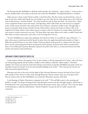We find that the *Beis HaMikdash* is called the *cheder hamittos*, the "bedroom", a place of sleep[.122](#page-99-0) A hint to this is that the *tzaddik* Yaakov *Avinu* slept on the future site of the *Beis HaMikdash*. The depth behind this is as follows.

Adam was put to sleep so that Chavah could be created from him. The first woman was formed from a state of sleep. In this state, Adam and Chavah were two beings in one unit. After the sin, when death came to the world, the state of sleep became a "sixtieth of death". Now there would not only be sleep, but death - the result of sin - which causes a separation between man and woman. Through sleep, which is like death, the soul returns to its original source. Death returns the body to the earth and the soul to Heaven, and sleep is similar to this. Through sleep, a person is somewhat dead, because his body becomes still and silent, and his soul returns to Heaven. But in the original level of sleep, which is when Adam was put to sleep in order for Chavah to be created, Adam and Chavah were meant to remain connected as one unit. The sleep which came upon Adam was in order to enable Chavah and allow them to remain connected to each other, to be two beings that were one.

The *Beis HaMikdash* was a place that symbolizes the holy level of sleep. It was called the "gate of Heaven",<sup>[123](#page-99-1)</sup> a place where prayers would ascend and be heard, the place where the angels descended and ascended on Yaakov's ladder that reached Heaven. It was where Yaakov's head was placed on the ground: on a deeper level, this means that it was the connecting point between the physical and the spiritual, the point where Heaven touched earth. Since it was in Binyamin's portion, Binyamin represents the point where there is a connection between the body and the soul, between earth and Heaven.

### BINYAMIN'S POWER COUNTERS GREEK EVIL

Greek wisdom, which is the opposite of the Torah's wisdom, is like the impaired level of "sleep", where the brain isn't functioning properly and the intellect is dulled. Greek wisdom is called the "fallen intellect" (*chochmah nefulah*). The *Gemara* says that the Greek ruler Hordos renovated the second *Beis HaMikdash* and made it look very beautiful, because he wanted it to be the most beautiful building in the world.<sup>[124](#page-99-2)</sup> This is because the Greeks were solely interested in physical beauty.

Binyamin was born on the road, and the depth of this is because Binyamin connects the land of *Eretz Yisrael* with outside of *Eretz Yisrael*. In other words, through Binyamin, Heaven touches earth, just as the place where Heaven touches earth, the *Beis HaMikdash,* was contained in Binyamin's portion of the land.

In the blessings of Yaakov, Binyamin is compared to the wolf.[125](#page-99-3) The wolf kills its prey in the morning and divides it at night. The deeper meaning of this is that Binyamin connects the day and night together, which hints to how Binyamin is the connecting point between of all the dimensions of time, space, and soul . This is also the depth of why Binyamin is called the *yedid Hashem,* "friend of Hashem", because his title of "*yedid"* connotes this connection.

<span id="page-99-2"></span>*124 Bava Basra 14a*

<span id="page-99-0"></span>*<sup>122</sup> Rashi Shir HaShirim 1:16*

<span id="page-99-1"></span>*<sup>123</sup> Beraishis 28:17*

<span id="page-99-3"></span>*<sup>125</sup> Beraishis 49:27*